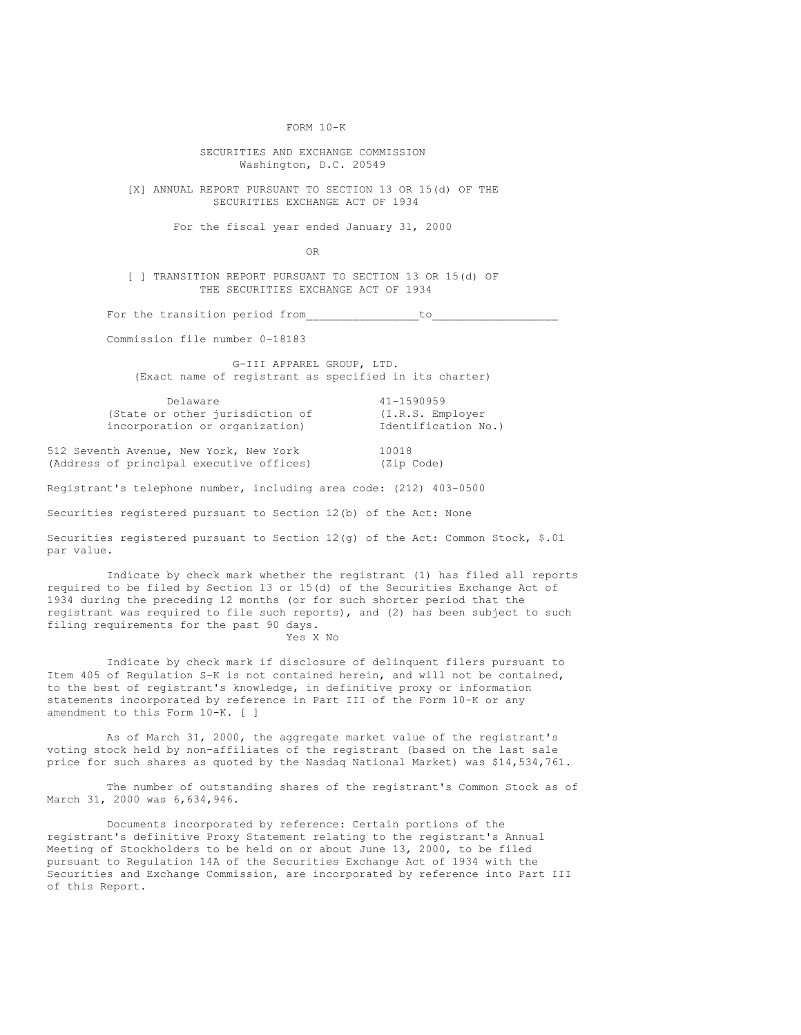FORM 10-K

SECURITIES AND EXCHANGE COMMISSION Washington, D.C. 20549

[X] ANNUAL REPORT PURSUANT TO SECTION 13 OR 15(d) OF THE SECURITIES EXCHANGE ACT OF 1934

For the fiscal year ended January 31, 2000

OR

[ ] TRANSITION REPORT PURSUANT TO SECTION 13 OR 15(d) OF THE SECURITIES EXCHANGE ACT OF 1934

For the transition period from to

Commission file number 0-18183

G-III APPAREL GROUP, LTD. (Exact name of registrant as specified in its charter)

| Delaware                        | 41-1590959          |
|---------------------------------|---------------------|
| (State or other jurisdiction of | (I.R.S. Employer)   |
| incorporation or organization)  | Identification No.) |

512 Seventh Avenue, New York, New York 10018 (Address of principal executive offices) (Zip Code)

Registrant's telephone number, including area code: (212) 403-0500

Securities registered pursuant to Section 12(b) of the Act: None

Securities registered pursuant to Section 12(g) of the Act: Common Stock, \$.01 par value.

Indicate by check mark whether the registrant (1) has filed all reports required to be filed by Section 13 or 15(d) of the Securities Exchange Act of 1934 during the preceding 12 months (or for such shorter period that the registrant was required to file such reports), and (2) has been subject to such filing requirements for the past 90 days.

Yes X No

Indicate by check mark if disclosure of delinquent filers pursuant to Item 405 of Regulation S-K is not contained herein, and will not be contained, to the best of registrant's knowledge, in definitive proxy or information statements incorporated by reference in Part III of the Form 10-K or any amendment to this Form 10-K. [ ]

As of March 31, 2000, the aggregate market value of the registrant's voting stock held by non-affiliates of the registrant (based on the last sale price for such shares as quoted by the Nasdaq National Market) was \$14,534,761.

The number of outstanding shares of the registrant's Common Stock as of March 31, 2000 was 6,634,946.

Documents incorporated by reference: Certain portions of the registrant's definitive Proxy Statement relating to the registrant's Annual Meeting of Stockholders to be held on or about June 13, 2000, to be filed pursuant to Regulation 14A of the Securities Exchange Act of 1934 with the Securities and Exchange Commission, are incorporated by reference into Part III of this Report.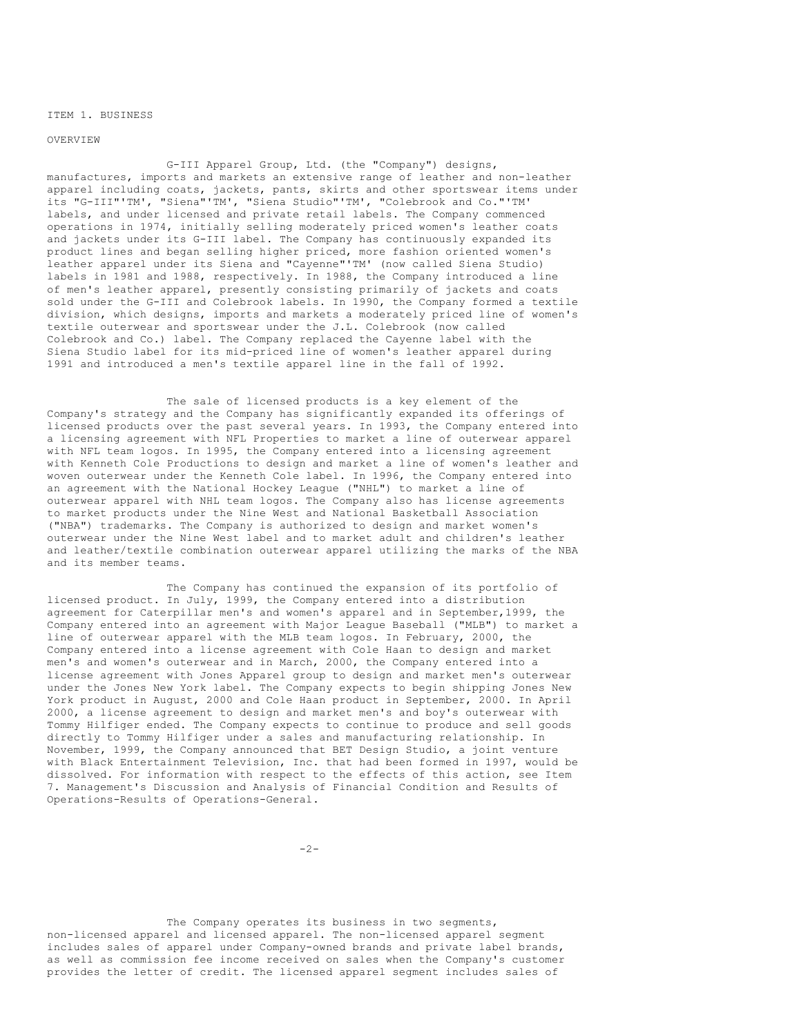ITEM 1. BUSINESS

OVERVIEW

G-III Apparel Group, Ltd. (the "Company") designs, manufactures, imports and markets an extensive range of leather and non-leather apparel including coats, jackets, pants, skirts and other sportswear items under its "G-III"'TM', "Siena"'TM', "Siena Studio"'TM', "Colebrook and Co."'TM' labels, and under licensed and private retail labels. The Company commenced operations in 1974, initially selling moderately priced women's leather coats and jackets under its G-III label. The Company has continuously expanded its product lines and began selling higher priced, more fashion oriented women's leather apparel under its Siena and "Cayenne"'TM' (now called Siena Studio) labels in 1981 and 1988, respectively. In 1988, the Company introduced a line of men's leather apparel, presently consisting primarily of jackets and coats sold under the G-III and Colebrook labels. In 1990, the Company formed a textile division, which designs, imports and markets a moderately priced line of women's textile outerwear and sportswear under the J.L. Colebrook (now called Colebrook and Co.) label. The Company replaced the Cayenne label with the Siena Studio label for its mid-priced line of women's leather apparel during 1991 and introduced a men's textile apparel line in the fall of 1992.

The sale of licensed products is a key element of the Company's strategy and the Company has significantly expanded its offerings of licensed products over the past several years. In 1993, the Company entered into a licensing agreement with NFL Properties to market a line of outerwear apparel with NFL team logos. In 1995, the Company entered into a licensing agreement with Kenneth Cole Productions to design and market a line of women's leather and woven outerwear under the Kenneth Cole label. In 1996, the Company entered into an agreement with the National Hockey League ("NHL") to market a line of outerwear apparel with NHL team logos. The Company also has license agreements to market products under the Nine West and National Basketball Association ("NBA") trademarks. The Company is authorized to design and market women's outerwear under the Nine West label and to market adult and children's leather and leather/textile combination outerwear apparel utilizing the marks of the NBA and its member teams.

The Company has continued the expansion of its portfolio of licensed product. In July, 1999, the Company entered into a distribution agreement for Caterpillar men's and women's apparel and in September,1999, the Company entered into an agreement with Major League Baseball ("MLB") to market a line of outerwear apparel with the MLB team logos. In February, 2000, the Company entered into a license agreement with Cole Haan to design and market men's and women's outerwear and in March, 2000, the Company entered into a license agreement with Jones Apparel group to design and market men's outerwear under the Jones New York label. The Company expects to begin shipping Jones New York product in August, 2000 and Cole Haan product in September, 2000. In April 2000, a license agreement to design and market men's and boy's outerwear with Tommy Hilfiger ended. The Company expects to continue to produce and sell goods directly to Tommy Hilfiger under a sales and manufacturing relationship. In November, 1999, the Company announced that BET Design Studio, a joint venture with Black Entertainment Television, Inc. that had been formed in 1997, would be dissolved. For information with respect to the effects of this action, see Item 7. Management's Discussion and Analysis of Financial Condition and Results of Operations-Results of Operations-General.

 $-2-$ 

The Company operates its business in two segments, non-licensed apparel and licensed apparel. The non-licensed apparel segment includes sales of apparel under Company-owned brands and private label brands, as well as commission fee income received on sales when the Company's customer provides the letter of credit. The licensed apparel segment includes sales of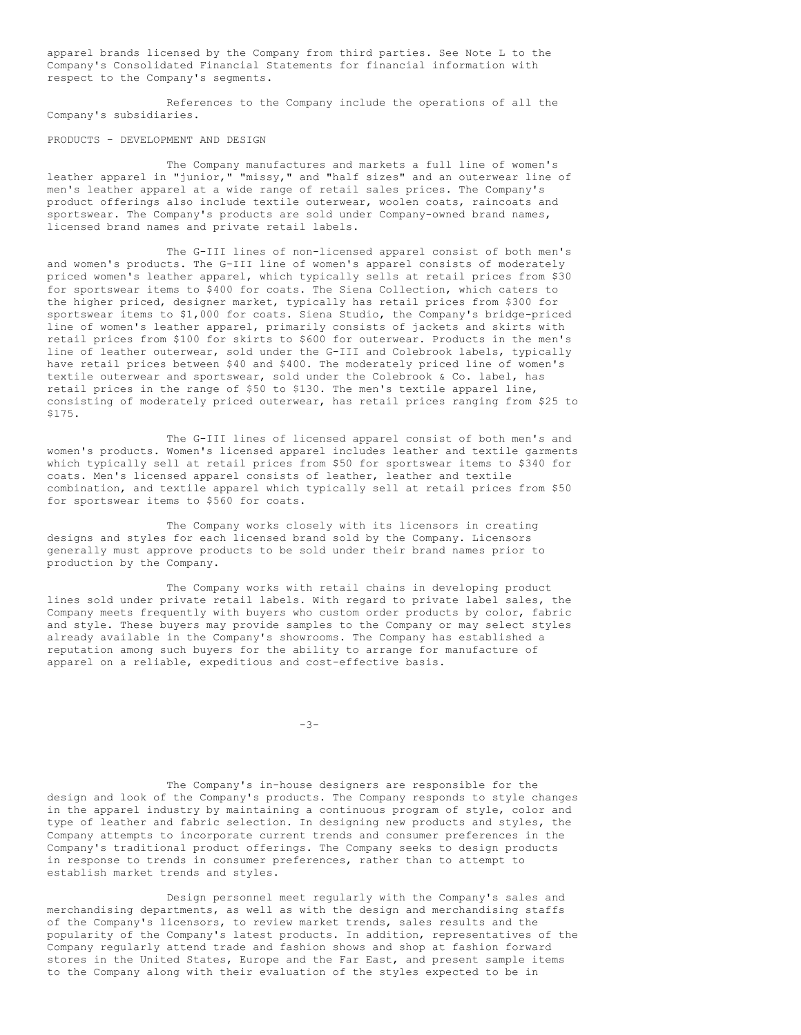apparel brands licensed by the Company from third parties. See Note L to the Company's Consolidated Financial Statements for financial information with respect to the Company's segments.

References to the Company include the operations of all the Company's subsidiaries.

### PRODUCTS - DEVELOPMENT AND DESIGN

The Company manufactures and markets a full line of women's leather apparel in "junior," "missy," and "half sizes" and an outerwear line of men's leather apparel at a wide range of retail sales prices. The Company's product offerings also include textile outerwear, woolen coats, raincoats and sportswear. The Company's products are sold under Company-owned brand names, licensed brand names and private retail labels.

The G-III lines of non-licensed apparel consist of both men's and women's products. The G-III line of women's apparel consists of moderately priced women's leather apparel, which typically sells at retail prices from \$30 for sportswear items to \$400 for coats. The Siena Collection, which caters to the higher priced, designer market, typically has retail prices from \$300 for sportswear items to \$1,000 for coats. Siena Studio, the Company's bridge-priced line of women's leather apparel, primarily consists of jackets and skirts with retail prices from \$100 for skirts to \$600 for outerwear. Products in the men's line of leather outerwear, sold under the G-III and Colebrook labels, typically have retail prices between \$40 and \$400. The moderately priced line of women's textile outerwear and sportswear, sold under the Colebrook & Co. label, has retail prices in the range of \$50 to \$130. The men's textile apparel line, consisting of moderately priced outerwear, has retail prices ranging from \$25 to \$175.

The G-III lines of licensed apparel consist of both men's and women's products. Women's licensed apparel includes leather and textile garments which typically sell at retail prices from \$50 for sportswear items to \$340 for coats. Men's licensed apparel consists of leather, leather and textile combination, and textile apparel which typically sell at retail prices from \$50 for sportswear items to \$560 for coats.

The Company works closely with its licensors in creating designs and styles for each licensed brand sold by the Company. Licensors generally must approve products to be sold under their brand names prior to production by the Company.

The Company works with retail chains in developing product lines sold under private retail labels. With regard to private label sales, the Company meets frequently with buyers who custom order products by color, fabric and style. These buyers may provide samples to the Company or may select styles already available in the Company's showrooms. The Company has established a reputation among such buyers for the ability to arrange for manufacture of apparel on a reliable, expeditious and cost-effective basis.

 $-3-$ 

The Company's in-house designers are responsible for the design and look of the Company's products. The Company responds to style changes in the apparel industry by maintaining a continuous program of style, color and type of leather and fabric selection. In designing new products and styles, the Company attempts to incorporate current trends and consumer preferences in the Company's traditional product offerings. The Company seeks to design products in response to trends in consumer preferences, rather than to attempt to establish market trends and styles.

Design personnel meet regularly with the Company's sales and merchandising departments, as well as with the design and merchandising staffs of the Company's licensors, to review market trends, sales results and the popularity of the Company's latest products. In addition, representatives of the Company regularly attend trade and fashion shows and shop at fashion forward stores in the United States, Europe and the Far East, and present sample items to the Company along with their evaluation of the styles expected to be in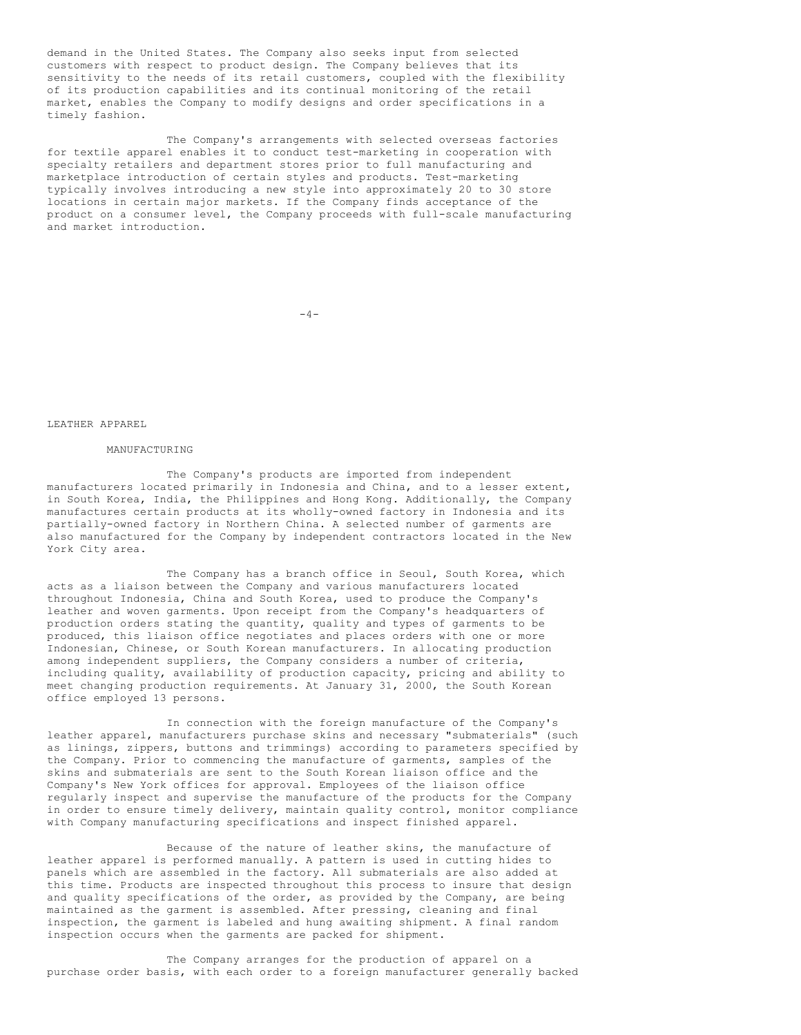demand in the United States. The Company also seeks input from selected customers with respect to product design. The Company believes that its sensitivity to the needs of its retail customers, coupled with the flexibility of its production capabilities and its continual monitoring of the retail market, enables the Company to modify designs and order specifications in a timely fashion.

The Company's arrangements with selected overseas factories for textile apparel enables it to conduct test-marketing in cooperation with specialty retailers and department stores prior to full manufacturing and marketplace introduction of certain styles and products. Test-marketing typically involves introducing a new style into approximately 20 to 30 store locations in certain major markets. If the Company finds acceptance of the product on a consumer level, the Company proceeds with full-scale manufacturing and market introduction.

 $-4-$ 

LEATHER APPAREL

#### MANUFACTURING

The Company's products are imported from independent manufacturers located primarily in Indonesia and China, and to a lesser extent, in South Korea, India, the Philippines and Hong Kong. Additionally, the Company manufactures certain products at its wholly-owned factory in Indonesia and its partially-owned factory in Northern China. A selected number of garments are also manufactured for the Company by independent contractors located in the New York City area.

The Company has a branch office in Seoul, South Korea, which acts as a liaison between the Company and various manufacturers located throughout Indonesia, China and South Korea, used to produce the Company's leather and woven garments. Upon receipt from the Company's headquarters of production orders stating the quantity, quality and types of garments to be produced, this liaison office negotiates and places orders with one or more Indonesian, Chinese, or South Korean manufacturers. In allocating production among independent suppliers, the Company considers a number of criteria, including quality, availability of production capacity, pricing and ability to meet changing production requirements. At January 31, 2000, the South Korean office employed 13 persons.

In connection with the foreign manufacture of the Company's leather apparel, manufacturers purchase skins and necessary "submaterials" (such as linings, zippers, buttons and trimmings) according to parameters specified by the Company. Prior to commencing the manufacture of garments, samples of the skins and submaterials are sent to the South Korean liaison office and the Company's New York offices for approval. Employees of the liaison office regularly inspect and supervise the manufacture of the products for the Company in order to ensure timely delivery, maintain quality control, monitor compliance with Company manufacturing specifications and inspect finished apparel.

Because of the nature of leather skins, the manufacture of leather apparel is performed manually. A pattern is used in cutting hides to panels which are assembled in the factory. All submaterials are also added at this time. Products are inspected throughout this process to insure that design and quality specifications of the order, as provided by the Company, are being maintained as the garment is assembled. After pressing, cleaning and final inspection, the garment is labeled and hung awaiting shipment. A final random inspection occurs when the garments are packed for shipment.

The Company arranges for the production of apparel on a purchase order basis, with each order to a foreign manufacturer generally backed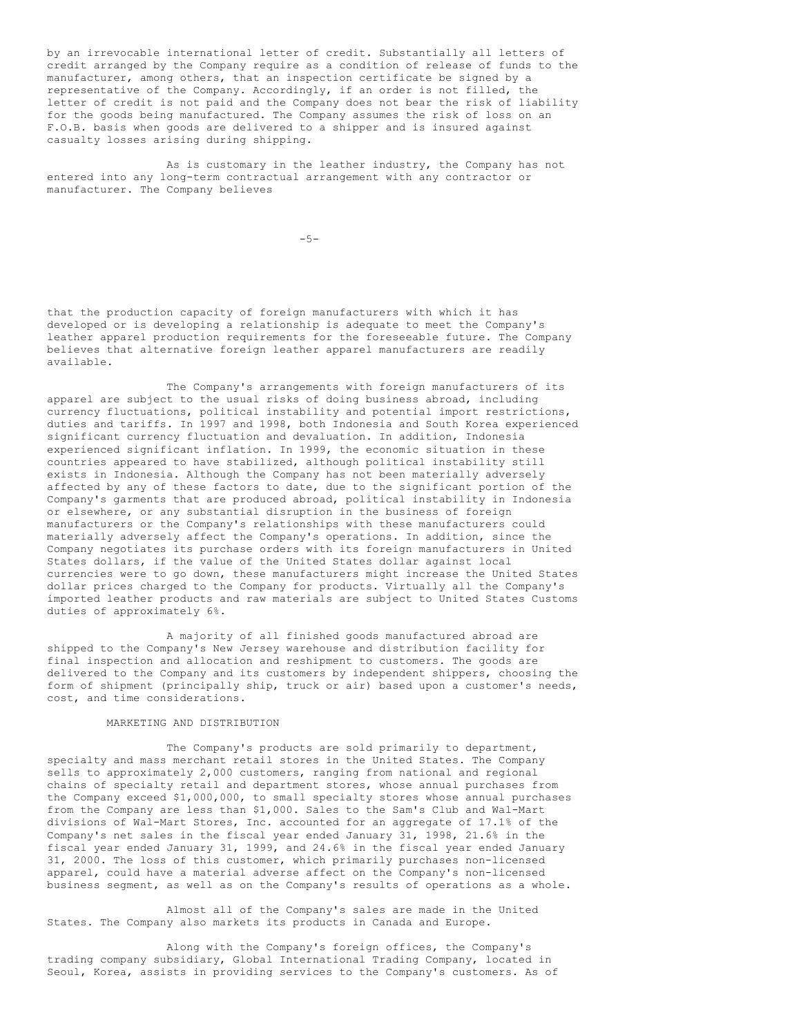by an irrevocable international letter of credit. Substantially all letters of credit arranged by the Company require as a condition of release of funds to the manufacturer, among others, that an inspection certificate be signed by a representative of the Company. Accordingly, if an order is not filled, the letter of credit is not paid and the Company does not bear the risk of liability for the goods being manufactured. The Company assumes the risk of loss on an F.O.B. basis when goods are delivered to a shipper and is insured against casualty losses arising during shipping.

As is customary in the leather industry, the Company has not entered into any long-term contractual arrangement with any contractor or manufacturer. The Company believes

 $-5-$ 

that the production capacity of foreign manufacturers with which it has developed or is developing a relationship is adequate to meet the Company's leather apparel production requirements for the foreseeable future. The Company believes that alternative foreign leather apparel manufacturers are readily available.

The Company's arrangements with foreign manufacturers of its apparel are subject to the usual risks of doing business abroad, including currency fluctuations, political instability and potential import restrictions, duties and tariffs. In 1997 and 1998, both Indonesia and South Korea experienced significant currency fluctuation and devaluation. In addition, Indonesia experienced significant inflation. In 1999, the economic situation in these countries appeared to have stabilized, although political instability still exists in Indonesia. Although the Company has not been materially adversely affected by any of these factors to date, due to the significant portion of the Company's garments that are produced abroad, political instability in Indonesia or elsewhere, or any substantial disruption in the business of foreign manufacturers or the Company's relationships with these manufacturers could materially adversely affect the Company's operations. In addition, since the Company negotiates its purchase orders with its foreign manufacturers in United States dollars, if the value of the United States dollar against local currencies were to go down, these manufacturers might increase the United States dollar prices charged to the Company for products. Virtually all the Company's imported leather products and raw materials are subject to United States Customs duties of approximately 6%.

A majority of all finished goods manufactured abroad are shipped to the Company's New Jersey warehouse and distribution facility for final inspection and allocation and reshipment to customers. The goods are delivered to the Company and its customers by independent shippers, choosing the form of shipment (principally ship, truck or air) based upon a customer's needs, cost, and time considerations.

# MARKETING AND DISTRIBUTION

The Company's products are sold primarily to department, specialty and mass merchant retail stores in the United States. The Company sells to approximately 2,000 customers, ranging from national and regional chains of specialty retail and department stores, whose annual purchases from the Company exceed \$1,000,000, to small specialty stores whose annual purchases from the Company are less than \$1,000. Sales to the Sam's Club and Wal-Mart divisions of Wal-Mart Stores, Inc. accounted for an aggregate of 17.1% of the Company's net sales in the fiscal year ended January 31, 1998, 21.6% in the fiscal year ended January 31, 1999, and 24.6% in the fiscal year ended January 31, 2000. The loss of this customer, which primarily purchases non-licensed apparel, could have a material adverse affect on the Company's non-licensed business segment, as well as on the Company's results of operations as a whole.

Almost all of the Company's sales are made in the United States. The Company also markets its products in Canada and Europe.

Along with the Company's foreign offices, the Company's trading company subsidiary, Global International Trading Company, located in Seoul, Korea, assists in providing services to the Company's customers. As of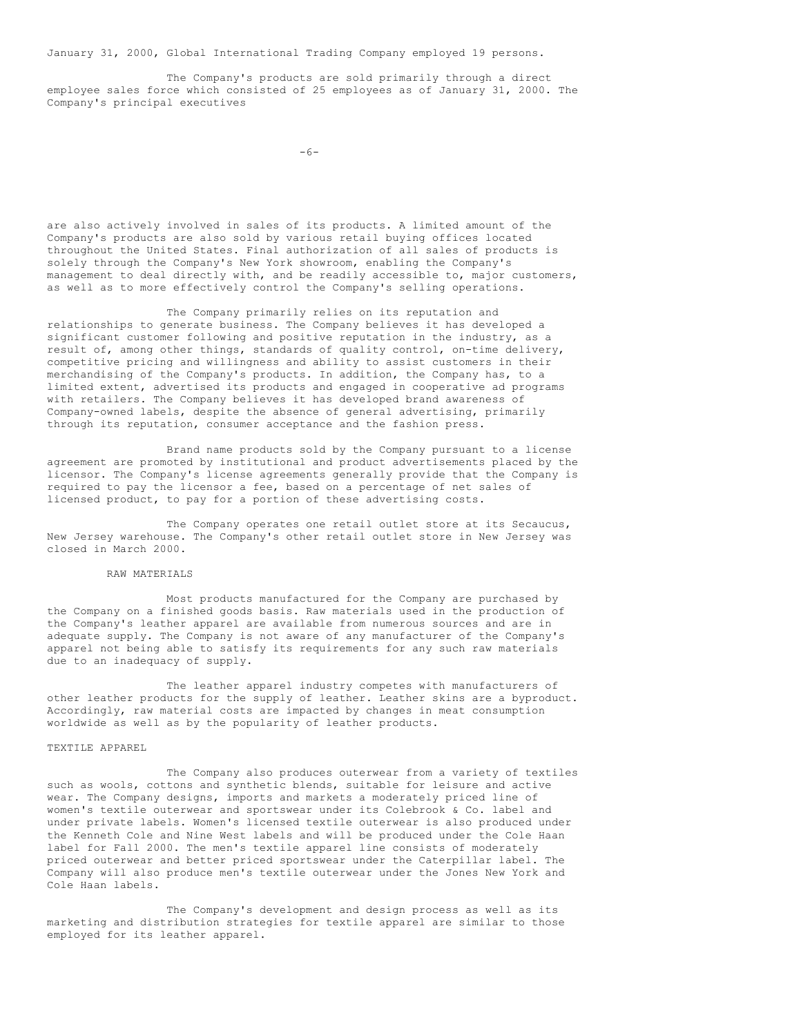January 31, 2000, Global International Trading Company employed 19 persons.

The Company's products are sold primarily through a direct employee sales force which consisted of 25 employees as of January 31, 2000. The Company's principal executives

```
-6-
```
are also actively involved in sales of its products. A limited amount of the Company's products are also sold by various retail buying offices located throughout the United States. Final authorization of all sales of products is solely through the Company's New York showroom, enabling the Company's management to deal directly with, and be readily accessible to, major customers, as well as to more effectively control the Company's selling operations.

The Company primarily relies on its reputation and relationships to generate business. The Company believes it has developed a significant customer following and positive reputation in the industry, as a result of, among other things, standards of quality control, on-time delivery, competitive pricing and willingness and ability to assist customers in their merchandising of the Company's products. In addition, the Company has, to a limited extent, advertised its products and engaged in cooperative ad programs with retailers. The Company believes it has developed brand awareness of Company-owned labels, despite the absence of general advertising, primarily through its reputation, consumer acceptance and the fashion press.

Brand name products sold by the Company pursuant to a license agreement are promoted by institutional and product advertisements placed by the licensor. The Company's license agreements generally provide that the Company is required to pay the licensor a fee, based on a percentage of net sales of licensed product, to pay for a portion of these advertising costs.

The Company operates one retail outlet store at its Secaucus, New Jersey warehouse. The Company's other retail outlet store in New Jersey was closed in March 2000.

# RAW MATERIALS

Most products manufactured for the Company are purchased by the Company on a finished goods basis. Raw materials used in the production of the Company's leather apparel are available from numerous sources and are in adequate supply. The Company is not aware of any manufacturer of the Company's apparel not being able to satisfy its requirements for any such raw materials due to an inadequacy of supply.

The leather apparel industry competes with manufacturers of other leather products for the supply of leather. Leather skins are a byproduct. Accordingly, raw material costs are impacted by changes in meat consumption worldwide as well as by the popularity of leather products.

### TEXTILE APPAREL

The Company also produces outerwear from a variety of textiles such as wools, cottons and synthetic blends, suitable for leisure and active wear. The Company designs, imports and markets a moderately priced line of women's textile outerwear and sportswear under its Colebrook & Co. label and under private labels. Women's licensed textile outerwear is also produced under the Kenneth Cole and Nine West labels and will be produced under the Cole Haan label for Fall 2000. The men's textile apparel line consists of moderately priced outerwear and better priced sportswear under the Caterpillar label. The Company will also produce men's textile outerwear under the Jones New York and Cole Haan labels.

The Company's development and design process as well as its marketing and distribution strategies for textile apparel are similar to those employed for its leather apparel.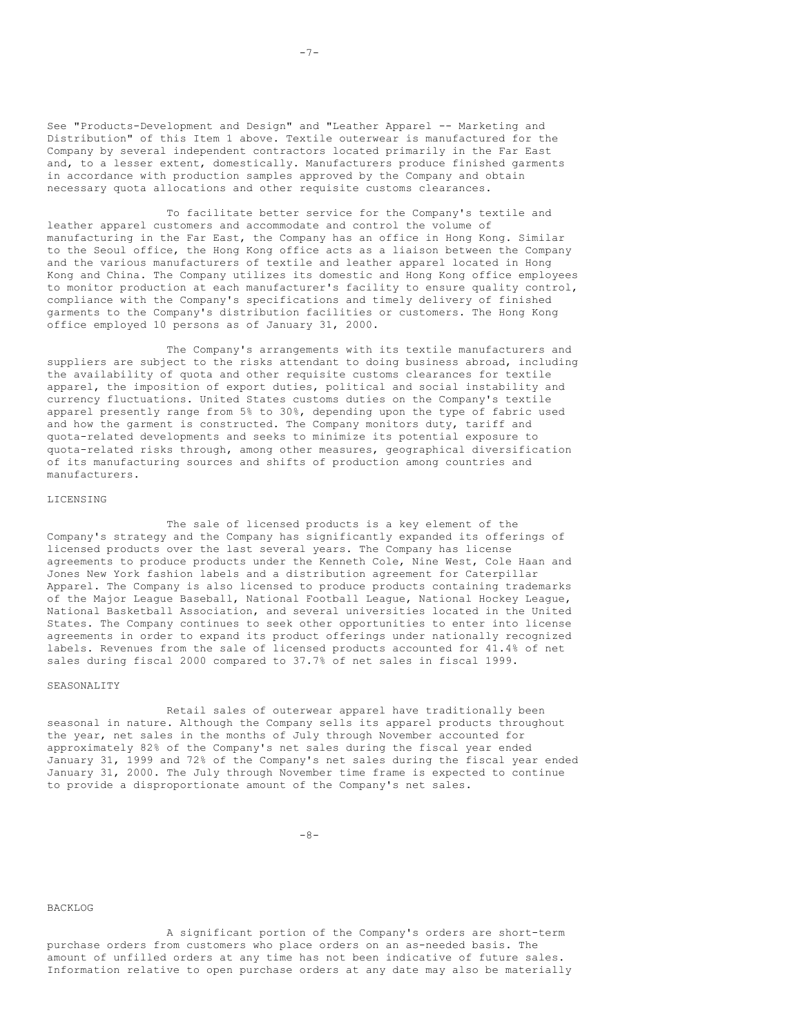See "Products-Development and Design" and "Leather Apparel -- Marketing and Distribution" of this Item 1 above. Textile outerwear is manufactured for the Company by several independent contractors located primarily in the Far East and, to a lesser extent, domestically. Manufacturers produce finished garments in accordance with production samples approved by the Company and obtain necessary quota allocations and other requisite customs clearances.

To facilitate better service for the Company's textile and leather apparel customers and accommodate and control the volume of manufacturing in the Far East, the Company has an office in Hong Kong. Similar to the Seoul office, the Hong Kong office acts as a liaison between the Company and the various manufacturers of textile and leather apparel located in Hong Kong and China. The Company utilizes its domestic and Hong Kong office employees to monitor production at each manufacturer's facility to ensure quality control, compliance with the Company's specifications and timely delivery of finished garments to the Company's distribution facilities or customers. The Hong Kong office employed 10 persons as of January 31, 2000.

The Company's arrangements with its textile manufacturers and suppliers are subject to the risks attendant to doing business abroad, including the availability of quota and other requisite customs clearances for textile apparel, the imposition of export duties, political and social instability and currency fluctuations. United States customs duties on the Company's textile apparel presently range from 5% to 30%, depending upon the type of fabric used and how the garment is constructed. The Company monitors duty, tariff and quota-related developments and seeks to minimize its potential exposure to quota-related risks through, among other measures, geographical diversification of its manufacturing sources and shifts of production among countries and manufacturers.

#### LICENSING

The sale of licensed products is a key element of the Company's strategy and the Company has significantly expanded its offerings of licensed products over the last several years. The Company has license agreements to produce products under the Kenneth Cole, Nine West, Cole Haan and Jones New York fashion labels and a distribution agreement for Caterpillar Apparel. The Company is also licensed to produce products containing trademarks of the Major League Baseball, National Football League, National Hockey League, National Basketball Association, and several universities located in the United States. The Company continues to seek other opportunities to enter into license agreements in order to expand its product offerings under nationally recognized labels. Revenues from the sale of licensed products accounted for 41.4% of net sales during fiscal 2000 compared to 37.7% of net sales in fiscal 1999.

### SEASONALITY

Retail sales of outerwear apparel have traditionally been seasonal in nature. Although the Company sells its apparel products throughout the year, net sales in the months of July through November accounted for approximately 82% of the Company's net sales during the fiscal year ended January 31, 1999 and 72% of the Company's net sales during the fiscal year ended January 31, 2000. The July through November time frame is expected to continue to provide a disproportionate amount of the Company's net sales.

-8-

### BACKLOG

A significant portion of the Company's orders are short-term purchase orders from customers who place orders on an as-needed basis. The amount of unfilled orders at any time has not been indicative of future sales. Information relative to open purchase orders at any date may also be materially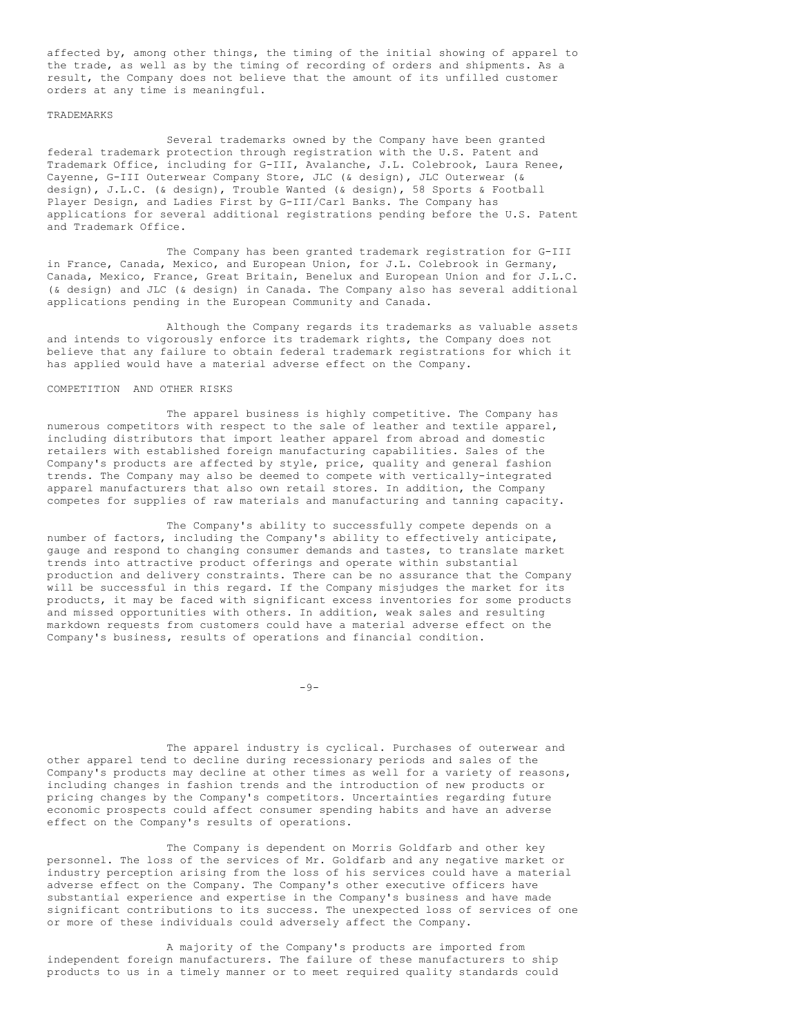affected by, among other things, the timing of the initial showing of apparel to the trade, as well as by the timing of recording of orders and shipments. As a result, the Company does not believe that the amount of its unfilled customer orders at any time is meaningful.

### **TRADEMARKS**

Several trademarks owned by the Company have been granted federal trademark protection through registration with the U.S. Patent and Trademark Office, including for G-III, Avalanche, J.L. Colebrook, Laura Renee, Cayenne, G-III Outerwear Company Store, JLC (& design), JLC Outerwear (& design), J.L.C. (& design), Trouble Wanted (& design), 58 Sports & Football Player Design, and Ladies First by G-III/Carl Banks. The Company has applications for several additional registrations pending before the U.S. Patent and Trademark Office.

The Company has been granted trademark registration for G-III in France, Canada, Mexico, and European Union, for J.L. Colebrook in Germany, Canada, Mexico, France, Great Britain, Benelux and European Union and for J.L.C. (& design) and JLC (& design) in Canada. The Company also has several additional applications pending in the European Community and Canada.

Although the Company regards its trademarks as valuable assets and intends to vigorously enforce its trademark rights, the Company does not believe that any failure to obtain federal trademark registrations for which it has applied would have a material adverse effect on the Company.

### COMPETITION AND OTHER RISKS

The apparel business is highly competitive. The Company has numerous competitors with respect to the sale of leather and textile apparel, including distributors that import leather apparel from abroad and domestic retailers with established foreign manufacturing capabilities. Sales of the Company's products are affected by style, price, quality and general fashion trends. The Company may also be deemed to compete with vertically-integrated apparel manufacturers that also own retail stores. In addition, the Company competes for supplies of raw materials and manufacturing and tanning capacity.

The Company's ability to successfully compete depends on a number of factors, including the Company's ability to effectively anticipate, gauge and respond to changing consumer demands and tastes, to translate market trends into attractive product offerings and operate within substantial production and delivery constraints. There can be no assurance that the Company will be successful in this regard. If the Company misjudges the market for its products, it may be faced with significant excess inventories for some products and missed opportunities with others. In addition, weak sales and resulting markdown requests from customers could have a material adverse effect on the Company's business, results of operations and financial condition.

 $-9-$ 

The apparel industry is cyclical. Purchases of outerwear and other apparel tend to decline during recessionary periods and sales of the Company's products may decline at other times as well for a variety of reasons, including changes in fashion trends and the introduction of new products or pricing changes by the Company's competitors. Uncertainties regarding future economic prospects could affect consumer spending habits and have an adverse effect on the Company's results of operations.

The Company is dependent on Morris Goldfarb and other key personnel. The loss of the services of Mr. Goldfarb and any negative market or industry perception arising from the loss of his services could have a material adverse effect on the Company. The Company's other executive officers have substantial experience and expertise in the Company's business and have made significant contributions to its success. The unexpected loss of services of one or more of these individuals could adversely affect the Company.

A majority of the Company's products are imported from independent foreign manufacturers. The failure of these manufacturers to ship products to us in a timely manner or to meet required quality standards could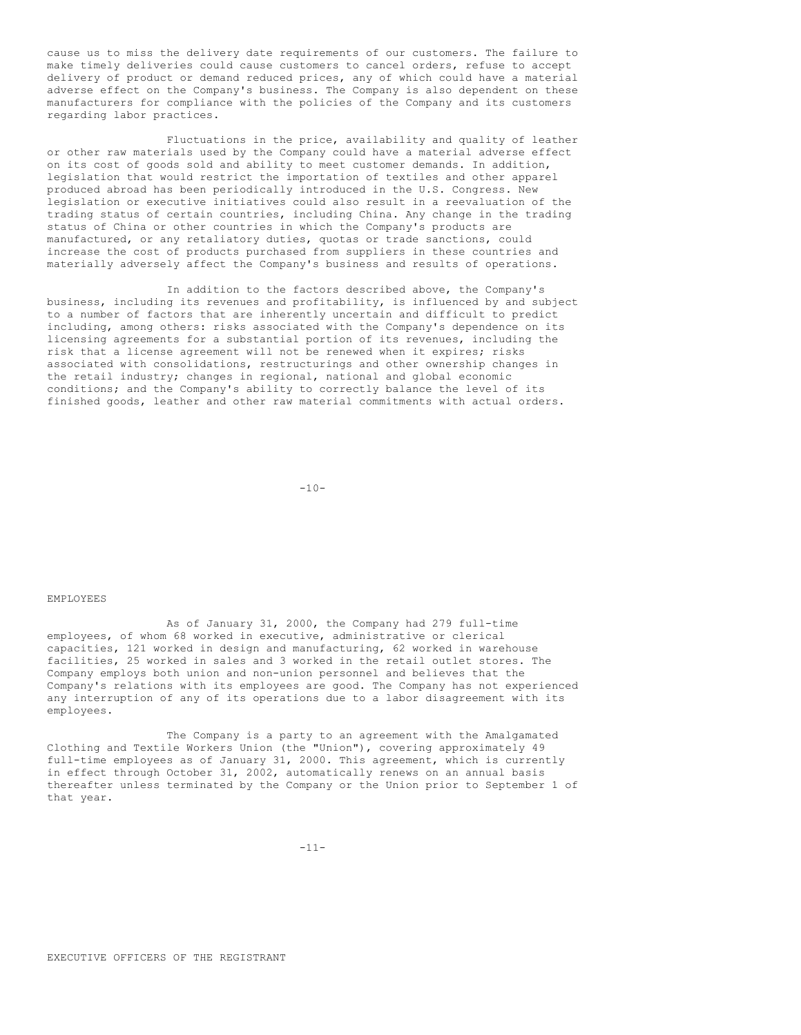cause us to miss the delivery date requirements of our customers. The failure to make timely deliveries could cause customers to cancel orders, refuse to accept delivery of product or demand reduced prices, any of which could have a material adverse effect on the Company's business. The Company is also dependent on these manufacturers for compliance with the policies of the Company and its customers regarding labor practices.

Fluctuations in the price, availability and quality of leather or other raw materials used by the Company could have a material adverse effect on its cost of goods sold and ability to meet customer demands. In addition, legislation that would restrict the importation of textiles and other apparel produced abroad has been periodically introduced in the U.S. Congress. New legislation or executive initiatives could also result in a reevaluation of the trading status of certain countries, including China. Any change in the trading status of China or other countries in which the Company's products are manufactured, or any retaliatory duties, quotas or trade sanctions, could increase the cost of products purchased from suppliers in these countries and materially adversely affect the Company's business and results of operations.

In addition to the factors described above, the Company's business, including its revenues and profitability, is influenced by and subject to a number of factors that are inherently uncertain and difficult to predict including, among others: risks associated with the Company's dependence on its licensing agreements for a substantial portion of its revenues, including the risk that a license agreement will not be renewed when it expires; risks associated with consolidations, restructurings and other ownership changes in the retail industry; changes in regional, national and global economic conditions; and the Company's ability to correctly balance the level of its finished goods, leather and other raw material commitments with actual orders.

 $-10-$ 

### EMPLOYEES

As of January 31, 2000, the Company had 279 full-time employees, of whom 68 worked in executive, administrative or clerical capacities, 121 worked in design and manufacturing, 62 worked in warehouse facilities, 25 worked in sales and 3 worked in the retail outlet stores. The Company employs both union and non-union personnel and believes that the Company's relations with its employees are good. The Company has not experienced any interruption of any of its operations due to a labor disagreement with its employees.

The Company is a party to an agreement with the Amalgamated Clothing and Textile Workers Union (the "Union"), covering approximately 49 full-time employees as of January 31, 2000. This agreement, which is currently in effect through October 31, 2002, automatically renews on an annual basis thereafter unless terminated by the Company or the Union prior to September 1 of that year.

 $-11-$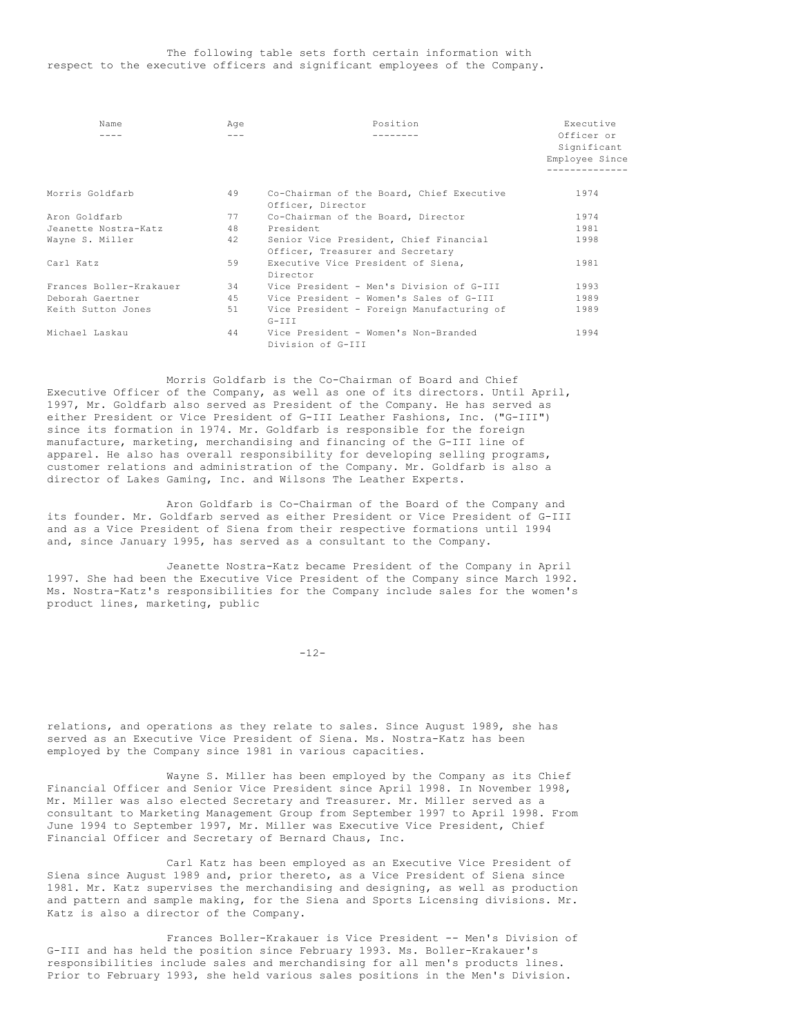### The following table sets forth certain information with respect to the executive officers and significant employees of the Company.

| Name                    | Age | Position                                                                   | Executive                                   |
|-------------------------|-----|----------------------------------------------------------------------------|---------------------------------------------|
|                         |     |                                                                            | Officer or<br>Significant<br>Employee Since |
| Morris Goldfarb         | 49  | Co-Chairman of the Board, Chief Executive<br>Officer, Director             | 1974                                        |
| Aron Goldfarb           | 77  | Co-Chairman of the Board, Director                                         | 1974                                        |
| Jeanette Nostra-Katz    | 48  | President                                                                  | 1981                                        |
| Wayne S. Miller         | 42  | Senior Vice President, Chief Financial<br>Officer, Treasurer and Secretary | 1998                                        |
| Carl Katz               | 59  | Executive Vice President of Siena,<br>Director                             | 1981                                        |
| Frances Boller-Krakauer | 34  | Vice President - Men's Division of G-III                                   | 1993                                        |
| Deborah Gaertner        | 45  | Vice President - Women's Sales of G-III                                    | 1989                                        |
| Keith Sutton Jones      | 51  | Vice President - Foreign Manufacturing of<br>$G-III$                       | 1989                                        |
| Michael Laskau          | 44  | Vice President - Women's Non-Branded<br>Division of G-III                  | 1994                                        |

Morris Goldfarb is the Co-Chairman of Board and Chief Executive Officer of the Company, as well as one of its directors. Until April, 1997, Mr. Goldfarb also served as President of the Company. He has served as either President or Vice President of G-III Leather Fashions, Inc. ("G-III") since its formation in 1974. Mr. Goldfarb is responsible for the foreign manufacture, marketing, merchandising and financing of the G-III line of apparel. He also has overall responsibility for developing selling programs, customer relations and administration of the Company. Mr. Goldfarb is also a director of Lakes Gaming, Inc. and Wilsons The Leather Experts.

Aron Goldfarb is Co-Chairman of the Board of the Company and its founder. Mr. Goldfarb served as either President or Vice President of G-III and as a Vice President of Siena from their respective formations until 1994 and, since January 1995, has served as a consultant to the Company.

Jeanette Nostra-Katz became President of the Company in April 1997. She had been the Executive Vice President of the Company since March 1992. Ms. Nostra-Katz's responsibilities for the Company include sales for the women's product lines, marketing, public

-12-

relations, and operations as they relate to sales. Since August 1989, she has served as an Executive Vice President of Siena. Ms. Nostra-Katz has been employed by the Company since 1981 in various capacities.

Wayne S. Miller has been employed by the Company as its Chief Financial Officer and Senior Vice President since April 1998. In November 1998, Mr. Miller was also elected Secretary and Treasurer. Mr. Miller served as a consultant to Marketing Management Group from September 1997 to April 1998. From June 1994 to September 1997, Mr. Miller was Executive Vice President, Chief Financial Officer and Secretary of Bernard Chaus, Inc.

Carl Katz has been employed as an Executive Vice President of Siena since August 1989 and, prior thereto, as a Vice President of Siena since 1981. Mr. Katz supervises the merchandising and designing, as well as production and pattern and sample making, for the Siena and Sports Licensing divisions. Mr. Katz is also a director of the Company.

Frances Boller-Krakauer is Vice President -- Men's Division of G-III and has held the position since February 1993. Ms. Boller-Krakauer's responsibilities include sales and merchandising for all men's products lines. Prior to February 1993, she held various sales positions in the Men's Division.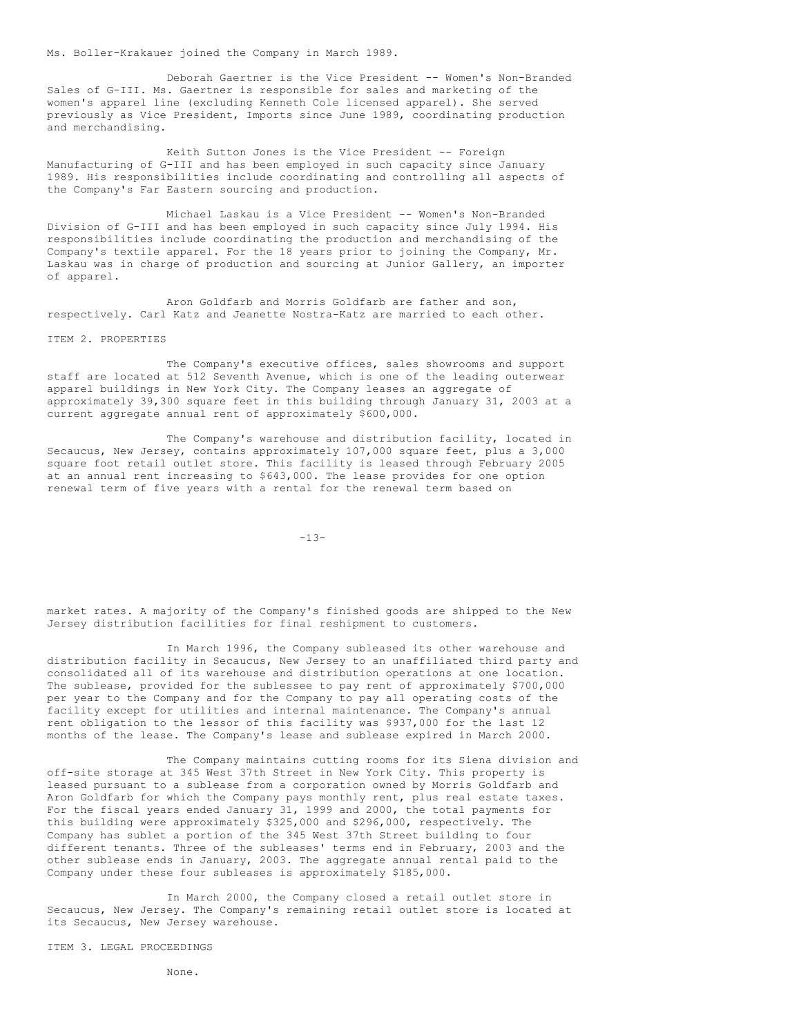Ms. Boller-Krakauer joined the Company in March 1989.

Deborah Gaertner is the Vice President -- Women's Non-Branded Sales of G-III. Ms. Gaertner is responsible for sales and marketing of the women's apparel line (excluding Kenneth Cole licensed apparel). She served previously as Vice President, Imports since June 1989, coordinating production and merchandising.

Keith Sutton Jones is the Vice President -- Foreign Manufacturing of G-III and has been employed in such capacity since January 1989. His responsibilities include coordinating and controlling all aspects of the Company's Far Eastern sourcing and production.

Michael Laskau is a Vice President -- Women's Non-Branded Division of G-III and has been employed in such capacity since July 1994. His responsibilities include coordinating the production and merchandising of the Company's textile apparel. For the 18 years prior to joining the Company, Mr. Laskau was in charge of production and sourcing at Junior Gallery, an importer of apparel.

Aron Goldfarb and Morris Goldfarb are father and son, respectively. Carl Katz and Jeanette Nostra-Katz are married to each other.

ITEM 2. PROPERTIES

The Company's executive offices, sales showrooms and support staff are located at 512 Seventh Avenue, which is one of the leading outerwear apparel buildings in New York City. The Company leases an aggregate of approximately 39,300 square feet in this building through January 31, 2003 at a current aggregate annual rent of approximately \$600,000.

The Company's warehouse and distribution facility, located in Secaucus, New Jersey, contains approximately 107,000 square feet, plus a 3,000 square foot retail outlet store. This facility is leased through February 2005 at an annual rent increasing to \$643,000. The lease provides for one option renewal term of five years with a rental for the renewal term based on

-13-

market rates. A majority of the Company's finished goods are shipped to the New Jersey distribution facilities for final reshipment to customers.

In March 1996, the Company subleased its other warehouse and distribution facility in Secaucus, New Jersey to an unaffiliated third party and consolidated all of its warehouse and distribution operations at one location. The sublease, provided for the sublessee to pay rent of approximately \$700,000 per year to the Company and for the Company to pay all operating costs of the facility except for utilities and internal maintenance. The Company's annual rent obligation to the lessor of this facility was \$937,000 for the last 12 months of the lease. The Company's lease and sublease expired in March 2000.

The Company maintains cutting rooms for its Siena division and off-site storage at 345 West 37th Street in New York City. This property is leased pursuant to a sublease from a corporation owned by Morris Goldfarb and Aron Goldfarb for which the Company pays monthly rent, plus real estate taxes. For the fiscal years ended January 31, 1999 and 2000, the total payments for this building were approximately \$325,000 and \$296,000, respectively. The Company has sublet a portion of the 345 West 37th Street building to four different tenants. Three of the subleases' terms end in February, 2003 and the other sublease ends in January, 2003. The aggregate annual rental paid to the Company under these four subleases is approximately \$185,000.

In March 2000, the Company closed a retail outlet store in Secaucus, New Jersey. The Company's remaining retail outlet store is located at its Secaucus, New Jersey warehouse.

ITEM 3. LEGAL PROCEEDINGS

None.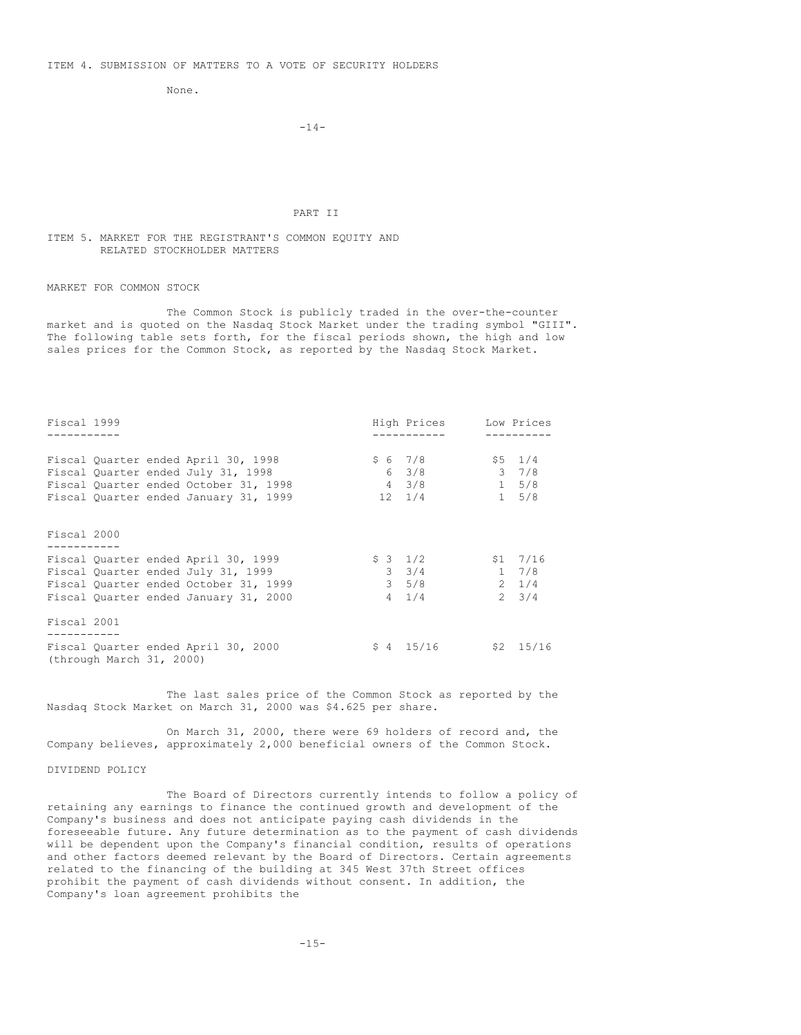None.

### $-14-$

#### PART II

### ITEM 5. MARKET FOR THE REGISTRANT'S COMMON EQUITY AND RELATED STOCKHOLDER MATTERS

MARKET FOR COMMON STOCK

The Common Stock is publicly traded in the over-the-counter market and is quoted on the Nasdaq Stock Market under the trading symbol "GIII". The following table sets forth, for the fiscal periods shown, the high and low sales prices for the Common Stock, as reported by the Nasdaq Stock Market.

| Fiscal 1999 |                                                                                                                                                             |              | High Prices                                              |                                            | Low Prices                                |
|-------------|-------------------------------------------------------------------------------------------------------------------------------------------------------------|--------------|----------------------------------------------------------|--------------------------------------------|-------------------------------------------|
|             |                                                                                                                                                             |              |                                                          |                                            |                                           |
|             | Fiscal Quarter ended April 30, 1998<br>Fiscal Quarter ended July 31, 1998<br>Fiscal Quarter ended October 31, 1998<br>Fiscal Quarter ended January 31, 1999 |              | \$67/8<br>$6 \t3/8$<br>$4 \frac{3}{8}$<br>$12 \quad 1/4$ | $1 \quad 5/8$                              | $$5 \t1/4$<br>$3 \t 7/8$<br>$1 \quad 5/8$ |
| Fiscal 2000 |                                                                                                                                                             |              |                                                          |                                            |                                           |
|             | Fiscal Quarter ended April 30, 1999<br>Fiscal Quarter ended July 31, 1999<br>Fiscal Quarter ended October 31, 1999<br>Fiscal Quarter ended January 31, 2000 | $3\quad 5/8$ | $$3$ $1/2$<br>$3 \t3/4$<br>$4 \quad 1/4$                 | $$1 \quad 7/16$<br>$1 \t 7/8$<br>$2 \t1/4$ | $2 \frac{3}{4}$                           |
| Fiscal 2001 |                                                                                                                                                             |              |                                                          |                                            |                                           |
|             | Fiscal Quarter ended April 30, 2000<br>(through March 31, 2000)                                                                                             |              | $$4$ 15/16                                               |                                            | $$2$ 15/16                                |

The last sales price of the Common Stock as reported by the Nasdaq Stock Market on March 31, 2000 was \$4.625 per share.

On March 31, 2000, there were 69 holders of record and, the Company believes, approximately 2,000 beneficial owners of the Common Stock.

# DIVIDEND POLICY

The Board of Directors currently intends to follow a policy of retaining any earnings to finance the continued growth and development of the Company's business and does not anticipate paying cash dividends in the foreseeable future. Any future determination as to the payment of cash dividends will be dependent upon the Company's financial condition, results of operations and other factors deemed relevant by the Board of Directors. Certain agreements related to the financing of the building at 345 West 37th Street offices prohibit the payment of cash dividends without consent. In addition, the Company's loan agreement prohibits the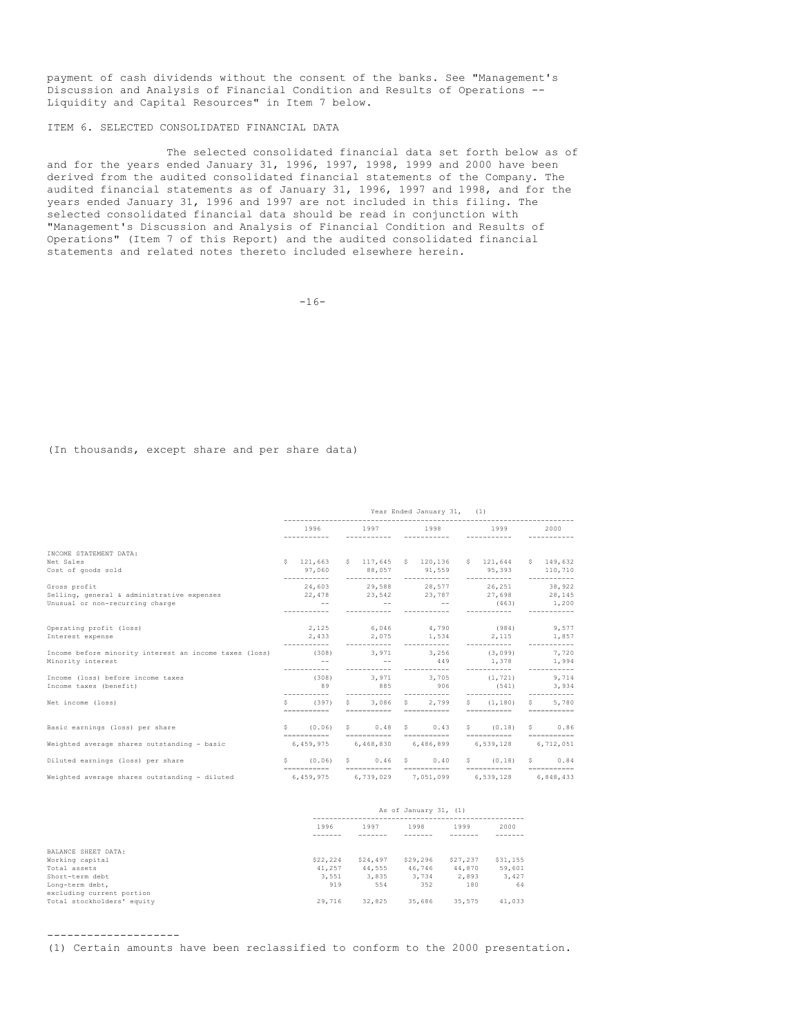payment of cash dividends without the consent of the banks. See "Management's Discussion and Analysis of Financial Condition and Results of Operations -- Liquidity and Capital Resources" in Item 7 below.

ITEM 6. SELECTED CONSOLIDATED FINANCIAL DATA

The selected consolidated financial data set forth below as of and for the years ended January 31, 1996, 1997, 1998, 1999 and 2000 have been derived from the audited consolidated financial statements of the Company. The audited financial statements as of January 31, 1996, 1997 and 1998, and for the years ended January 31, 1996 and 1997 are not included in this filing. The selected consolidated financial data should be read in conjunction with "Management's Discussion and Analysis of Financial Condition and Results of Operations" (Item 7 of this Report) and the audited consolidated financial statements and related notes thereto included elsewhere herein.

 $-16-$ 

(In thousands, except share and per share data)

|                                                        | Year Ended January 31,<br>(1) |              |             |                      |  |                                      |                                                        |   |                        |
|--------------------------------------------------------|-------------------------------|--------------|-------------|----------------------|--|--------------------------------------|--------------------------------------------------------|---|------------------------|
|                                                        |                               | 1996         |             | 1997                 |  | 1998                                 | 1999                                                   |   | 2000                   |
| INCOME STATEMENT DATA:                                 |                               |              |             |                      |  |                                      |                                                        |   |                        |
| Net Sales                                              |                               |              |             |                      |  |                                      | \$ 121,663 \$ 117,645 \$ 120,136 \$ 121,644 \$ 149,632 |   |                        |
| Cost of goods sold                                     |                               | 97,060       |             |                      |  |                                      | 88,057 91,559 95,393 110,710                           |   |                        |
| Gross profit                                           |                               |              |             | ------------         |  | ------------<br>24,603 29,588 28,577 | ------------<br>26,251                                 |   | -----------<br>38,922  |
| Selling, general & administrative expenses             |                               | 22,478       |             |                      |  |                                      | 23,542 23,787 27,698 28,145                            |   |                        |
| Unusual or non-recurring charge                        |                               | $- -$        |             |                      |  | $ -$                                 | (463)                                                  |   | 1,200                  |
|                                                        |                               |              |             |                      |  |                                      |                                                        |   |                        |
| Operating profit (loss)                                |                               |              |             |                      |  |                                      | 2,125 6,046 4,790 (984) 9,577                          |   |                        |
| Interest expense                                       |                               | 2,433        |             |                      |  | 2,075 1,534                          | 2, 115                                                 |   | 1,857                  |
|                                                        |                               |              |             | -----------          |  | -----------                          |                                                        |   |                        |
| Income before minority interest an income taxes (loss) |                               | (308)        |             | 3,971                |  | 3.256                                | (3.099)                                                |   | 7.720                  |
| Minority interest                                      |                               | $- -$        |             | <b>Service State</b> |  | 449                                  | 1,378 1,994                                            |   |                        |
|                                                        |                               |              |             | -----------          |  | -----------                          | -----------                                            |   | -----------            |
| Income (loss) before income taxes                      |                               | (308)        |             | 3.971                |  | 3,705                                | (1, 721)                                               |   | 9,714                  |
| Income taxes (benefit)                                 |                               | 89           |             | 885                  |  | 906                                  | (541)                                                  |   | 3,934                  |
|                                                        |                               | -----------  |             | -----------          |  | ------------                         | ------------                                           |   | -----------            |
| Net income (loss)                                      | S.                            | (397)        | $S$ and $S$ | 3,086                |  | 2.799<br>$S = 1$                     | \$(1.180)                                              |   | 5,780<br>$S = \square$ |
|                                                        |                               | ------------ |             |                      |  | ------------ -----------             | -----------                                            |   | ------------           |
| Basic earnings (loss) per share                        |                               | 5(0.06)      |             |                      |  | $S \t 0.48 S \t 0.43$                | $S \qquad \qquad$<br>(0.18)                            |   | \$0.86                 |
|                                                        |                               | ------------ |             |                      |  |                                      | ----------- ---------- ---------                       |   |                        |
| Weighted average shares outstanding - basic            |                               |              |             |                      |  |                                      | 6,459,975 6,468,830 6,486,899 6,539,128 6,712,051      |   |                        |
| Diluted earnings (loss) per share                      | S.                            | (0.06)       | S           | $0.46-5$             |  | 0.40                                 | $S \qquad \qquad$<br>(0.18)                            | S | 0.84                   |
|                                                        |                               | ------------ |             | ------------         |  | ===========                          | ------------                                           |   |                        |
| Weighted average shares outstanding - diluted          |                               | 6.459.975    |             | 6,739,029            |  | 7,051,099                            | 6,539,128                                              |   | 6,848,433              |

| As of January 31, (1) |                      |          |          |          |  |
|-----------------------|----------------------|----------|----------|----------|--|
| 1996                  | 1997<br>1998<br>1999 |          |          |          |  |
|                       |                      |          |          |          |  |
|                       |                      |          |          |          |  |
| \$22,224              | \$24,497             | \$29,296 | \$27,237 | \$31,155 |  |
| 41,257                | 44.555               | 46.746   | 44,870   | 59,601   |  |
| 3,551                 | 3,835                | 3.734    | 2,893    | 3,427    |  |
| 919                   | 554                  | 352      | 180      | 64       |  |
|                       |                      |          |          |          |  |
| 29,716                | 32,825               | 35,686   | 35,575   | 41,033   |  |

--------------------

(1) Certain amounts have been reclassified to conform to the 2000 presentation.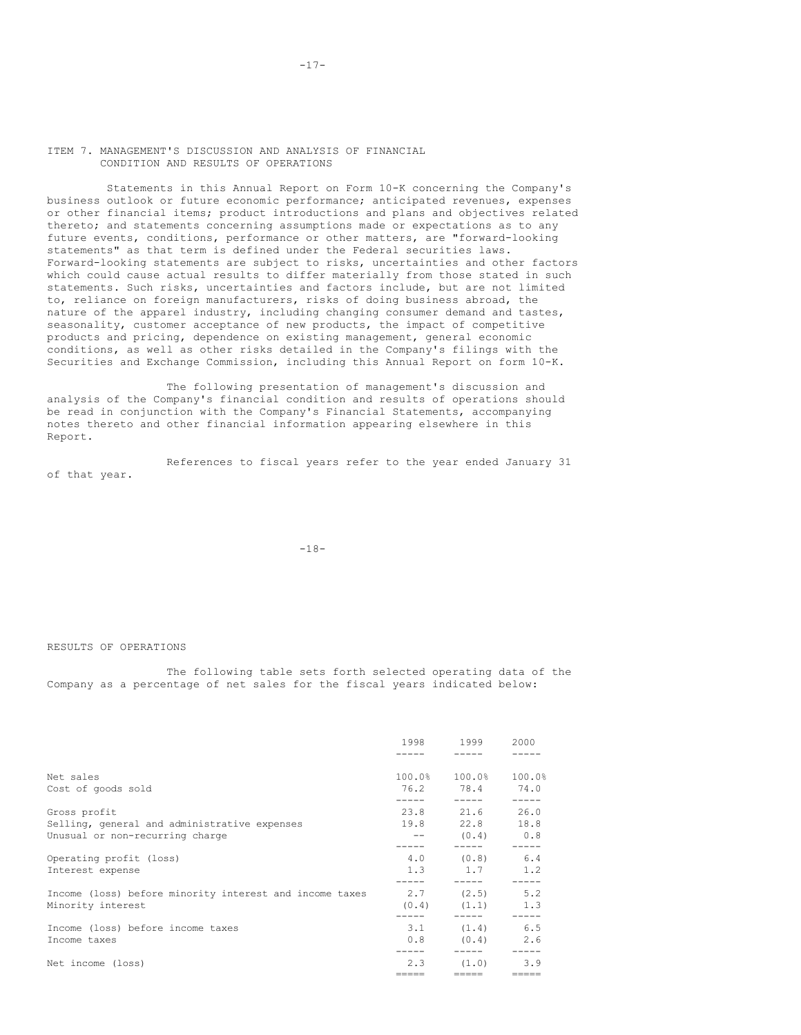### ITEM 7. MANAGEMENT'S DISCUSSION AND ANALYSIS OF FINANCIAL CONDITION AND RESULTS OF OPERATIONS

Statements in this Annual Report on Form 10-K concerning the Company's business outlook or future economic performance; anticipated revenues, expenses or other financial items; product introductions and plans and objectives related thereto; and statements concerning assumptions made or expectations as to any future events, conditions, performance or other matters, are "forward-looking statements" as that term is defined under the Federal securities laws. Forward-looking statements are subject to risks, uncertainties and other factors which could cause actual results to differ materially from those stated in such statements. Such risks, uncertainties and factors include, but are not limited to, reliance on foreign manufacturers, risks of doing business abroad, the nature of the apparel industry, including changing consumer demand and tastes, seasonality, customer acceptance of new products, the impact of competitive products and pricing, dependence on existing management, general economic conditions, as well as other risks detailed in the Company's filings with the Securities and Exchange Commission, including this Annual Report on form 10-K.

The following presentation of management's discussion and analysis of the Company's financial condition and results of operations should be read in conjunction with the Company's Financial Statements, accompanying notes thereto and other financial information appearing elsewhere in this Report.

References to fiscal years refer to the year ended January 31 of that year.

-18-

RESULTS OF OPERATIONS

The following table sets forth selected operating data of the Company as a percentage of net sales for the fiscal years indicated below:

|                                                                              | 1998   | 1999                         | 2000         |
|------------------------------------------------------------------------------|--------|------------------------------|--------------|
| Net sales                                                                    | 100.0% | 100.0%                       | 100.0%       |
| Cost of goods sold                                                           | 76.2   | 78.4                         | 74.0         |
| Gross profit                                                                 | 19.8   | 23.8 21.6                    | 26.0         |
| Selling, general and administrative expenses                                 |        | 22.8                         | 18.8         |
| Unusual or non-recurring charge                                              |        | (0.4)                        | 0.8          |
| Operating profit (loss)                                                      | 4.0    | (0, 8)                       | 6.4          |
| Interest expense                                                             | 1.3    | 1.7                          | 1.2          |
| Income (loss) before minority interest and income taxes<br>Minority interest | (0.4)  | $2.7$ $(2.5)$ $5.2$<br>(1,1) | 1.3          |
| Income (loss) before income taxes                                            | 3.1    | (1, 4)                       | 6.5          |
| Income taxes                                                                 | 0.8    | (0.4)                        | 2.6          |
| Net income (loss)                                                            | 2.3    | (1.0)                        | 3.9<br>----- |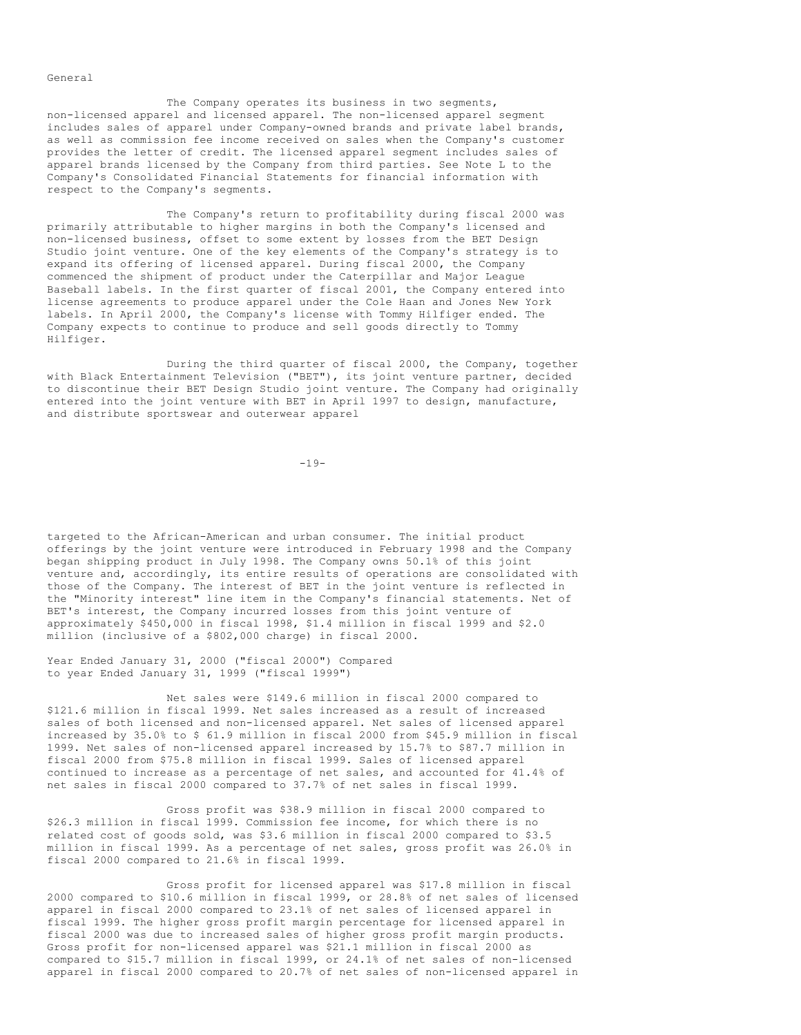General

The Company operates its business in two segments, non-licensed apparel and licensed apparel. The non-licensed apparel segment includes sales of apparel under Company-owned brands and private label brands, as well as commission fee income received on sales when the Company's customer provides the letter of credit. The licensed apparel segment includes sales of apparel brands licensed by the Company from third parties. See Note L to the Company's Consolidated Financial Statements for financial information with respect to the Company's segments.

The Company's return to profitability during fiscal 2000 was primarily attributable to higher margins in both the Company's licensed and non-licensed business, offset to some extent by losses from the BET Design Studio joint venture. One of the key elements of the Company's strategy is to expand its offering of licensed apparel. During fiscal 2000, the Company commenced the shipment of product under the Caterpillar and Major League Baseball labels. In the first quarter of fiscal 2001, the Company entered into license agreements to produce apparel under the Cole Haan and Jones New York labels. In April 2000, the Company's license with Tommy Hilfiger ended. The Company expects to continue to produce and sell goods directly to Tommy Hilfiger.

During the third quarter of fiscal 2000, the Company, together with Black Entertainment Television ("BET"), its joint venture partner, decided to discontinue their BET Design Studio joint venture. The Company had originally entered into the joint venture with BET in April 1997 to design, manufacture, and distribute sportswear and outerwear apparel

 $-19-$ 

targeted to the African-American and urban consumer. The initial product offerings by the joint venture were introduced in February 1998 and the Company began shipping product in July 1998. The Company owns 50.1% of this joint venture and, accordingly, its entire results of operations are consolidated with those of the Company. The interest of BET in the joint venture is reflected in the "Minority interest" line item in the Company's financial statements. Net of BET's interest, the Company incurred losses from this joint venture of approximately \$450,000 in fiscal 1998, \$1.4 million in fiscal 1999 and \$2.0 million (inclusive of a \$802,000 charge) in fiscal 2000.

Year Ended January 31, 2000 ("fiscal 2000") Compared to year Ended January 31, 1999 ("fiscal 1999")

Net sales were \$149.6 million in fiscal 2000 compared to \$121.6 million in fiscal 1999. Net sales increased as a result of increased sales of both licensed and non-licensed apparel. Net sales of licensed apparel increased by 35.0% to \$ 61.9 million in fiscal 2000 from \$45.9 million in fiscal 1999. Net sales of non-licensed apparel increased by 15.7% to \$87.7 million in fiscal 2000 from \$75.8 million in fiscal 1999. Sales of licensed apparel continued to increase as a percentage of net sales, and accounted for 41.4% of net sales in fiscal 2000 compared to 37.7% of net sales in fiscal 1999.

Gross profit was \$38.9 million in fiscal 2000 compared to \$26.3 million in fiscal 1999. Commission fee income, for which there is no related cost of goods sold, was \$3.6 million in fiscal 2000 compared to \$3.5 million in fiscal 1999. As a percentage of net sales, gross profit was 26.0% in fiscal 2000 compared to 21.6% in fiscal 1999.

Gross profit for licensed apparel was \$17.8 million in fiscal 2000 compared to \$10.6 million in fiscal 1999, or 28.8% of net sales of licensed apparel in fiscal 2000 compared to 23.1% of net sales of licensed apparel in fiscal 1999. The higher gross profit margin percentage for licensed apparel in fiscal 2000 was due to increased sales of higher gross profit margin products. Gross profit for non-licensed apparel was \$21.1 million in fiscal 2000 as compared to \$15.7 million in fiscal 1999, or 24.1% of net sales of non-licensed apparel in fiscal 2000 compared to 20.7% of net sales of non-licensed apparel in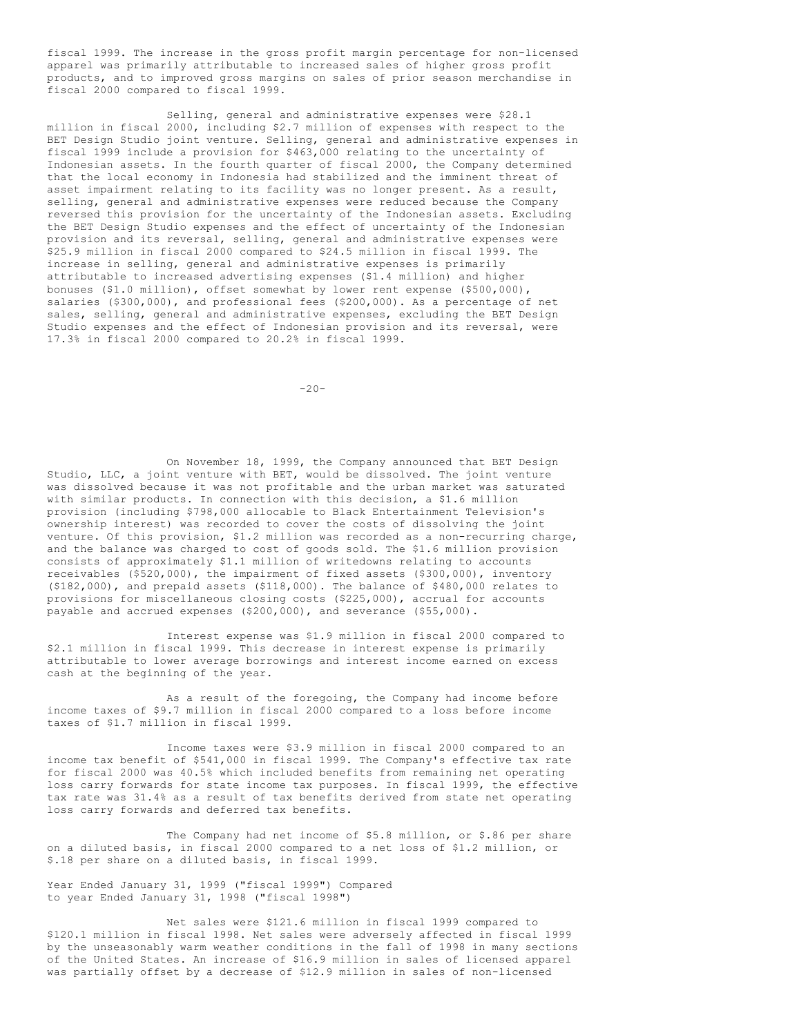fiscal 1999. The increase in the gross profit margin percentage for non-licensed apparel was primarily attributable to increased sales of higher gross profit products, and to improved gross margins on sales of prior season merchandise in fiscal 2000 compared to fiscal 1999.

Selling, general and administrative expenses were \$28.1 million in fiscal 2000, including \$2.7 million of expenses with respect to the BET Design Studio joint venture. Selling, general and administrative expenses in fiscal 1999 include a provision for \$463,000 relating to the uncertainty of Indonesian assets. In the fourth quarter of fiscal 2000, the Company determined that the local economy in Indonesia had stabilized and the imminent threat of asset impairment relating to its facility was no longer present. As a result, selling, general and administrative expenses were reduced because the Company reversed this provision for the uncertainty of the Indonesian assets. Excluding the BET Design Studio expenses and the effect of uncertainty of the Indonesian provision and its reversal, selling, general and administrative expenses were \$25.9 million in fiscal 2000 compared to \$24.5 million in fiscal 1999. The increase in selling, general and administrative expenses is primarily attributable to increased advertising expenses (\$1.4 million) and higher bonuses (\$1.0 million), offset somewhat by lower rent expense (\$500,000), salaries (\$300,000), and professional fees (\$200,000). As a percentage of net sales, selling, general and administrative expenses, excluding the BET Design Studio expenses and the effect of Indonesian provision and its reversal, were 17.3% in fiscal 2000 compared to 20.2% in fiscal 1999.

 $-20-$ 

On November 18, 1999, the Company announced that BET Design Studio, LLC, a joint venture with BET, would be dissolved. The joint venture was dissolved because it was not profitable and the urban market was saturated with similar products. In connection with this decision, a \$1.6 million provision (including \$798,000 allocable to Black Entertainment Television's ownership interest) was recorded to cover the costs of dissolving the joint venture. Of this provision, \$1.2 million was recorded as a non-recurring charge, and the balance was charged to cost of goods sold. The \$1.6 million provision consists of approximately \$1.1 million of writedowns relating to accounts receivables (\$520,000), the impairment of fixed assets (\$300,000), inventory (\$182,000), and prepaid assets (\$118,000). The balance of \$480,000 relates to provisions for miscellaneous closing costs (\$225,000), accrual for accounts payable and accrued expenses (\$200,000), and severance (\$55,000).

Interest expense was \$1.9 million in fiscal 2000 compared to \$2.1 million in fiscal 1999. This decrease in interest expense is primarily attributable to lower average borrowings and interest income earned on excess cash at the beginning of the year.

As a result of the foregoing, the Company had income before income taxes of \$9.7 million in fiscal 2000 compared to a loss before income taxes of \$1.7 million in fiscal 1999.

Income taxes were \$3.9 million in fiscal 2000 compared to an income tax benefit of \$541,000 in fiscal 1999. The Company's effective tax rate for fiscal 2000 was 40.5% which included benefits from remaining net operating loss carry forwards for state income tax purposes. In fiscal 1999, the effective tax rate was 31.4% as a result of tax benefits derived from state net operating loss carry forwards and deferred tax benefits.

The Company had net income of \$5.8 million, or \$.86 per share on a diluted basis, in fiscal 2000 compared to a net loss of \$1.2 million, or \$.18 per share on a diluted basis, in fiscal 1999.

Year Ended January 31, 1999 ("fiscal 1999") Compared to year Ended January 31, 1998 ("fiscal 1998")

Net sales were \$121.6 million in fiscal 1999 compared to \$120.1 million in fiscal 1998. Net sales were adversely affected in fiscal 1999 by the unseasonably warm weather conditions in the fall of 1998 in many sections of the United States. An increase of \$16.9 million in sales of licensed apparel was partially offset by a decrease of \$12.9 million in sales of non-licensed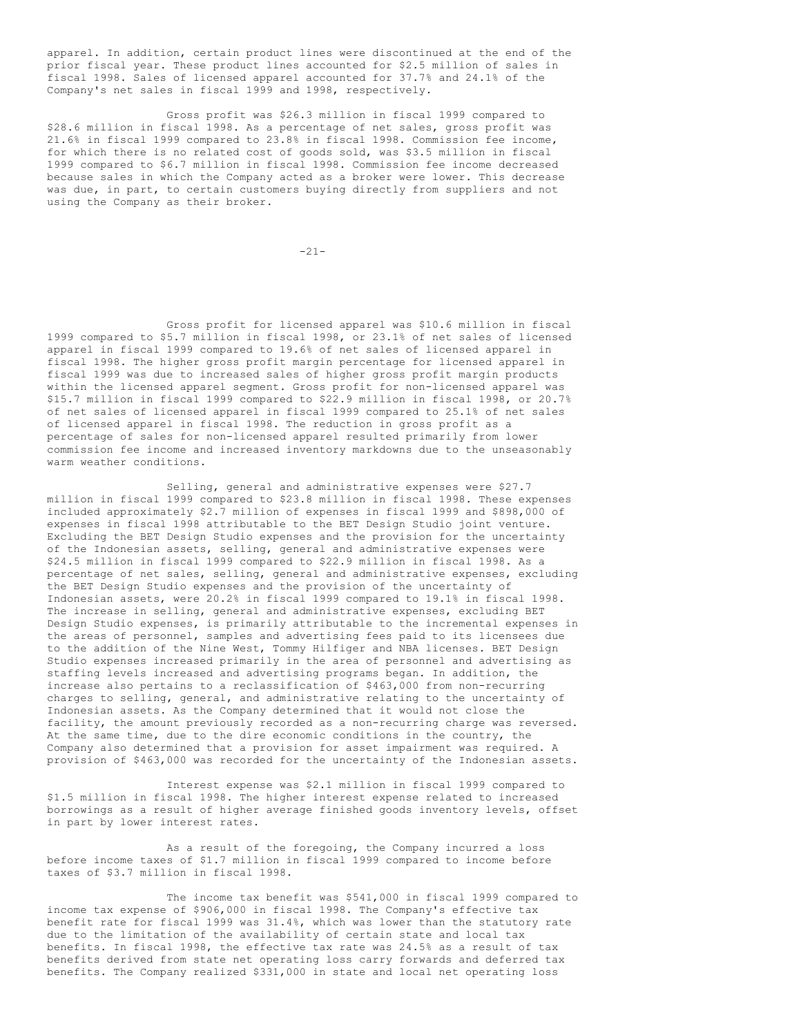apparel. In addition, certain product lines were discontinued at the end of the prior fiscal year. These product lines accounted for \$2.5 million of sales in fiscal 1998. Sales of licensed apparel accounted for 37.7% and 24.1% of the Company's net sales in fiscal 1999 and 1998, respectively.

Gross profit was \$26.3 million in fiscal 1999 compared to \$28.6 million in fiscal 1998. As a percentage of net sales, gross profit was 21.6% in fiscal 1999 compared to 23.8% in fiscal 1998. Commission fee income, for which there is no related cost of goods sold, was \$3.5 million in fiscal 1999 compared to \$6.7 million in fiscal 1998. Commission fee income decreased because sales in which the Company acted as a broker were lower. This decrease was due, in part, to certain customers buying directly from suppliers and not using the Company as their broker.

 $-21-$ 

Gross profit for licensed apparel was \$10.6 million in fiscal 1999 compared to \$5.7 million in fiscal 1998, or 23.1% of net sales of licensed apparel in fiscal 1999 compared to 19.6% of net sales of licensed apparel in fiscal 1998. The higher gross profit margin percentage for licensed apparel in fiscal 1999 was due to increased sales of higher gross profit margin products within the licensed apparel segment. Gross profit for non-licensed apparel was \$15.7 million in fiscal 1999 compared to \$22.9 million in fiscal 1998, or 20.7% of net sales of licensed apparel in fiscal 1999 compared to 25.1% of net sales of licensed apparel in fiscal 1998. The reduction in gross profit as a percentage of sales for non-licensed apparel resulted primarily from lower commission fee income and increased inventory markdowns due to the unseasonably warm weather conditions.

Selling, general and administrative expenses were \$27.7 million in fiscal 1999 compared to \$23.8 million in fiscal 1998. These expenses included approximately \$2.7 million of expenses in fiscal 1999 and \$898,000 of expenses in fiscal 1998 attributable to the BET Design Studio joint venture. Excluding the BET Design Studio expenses and the provision for the uncertainty of the Indonesian assets, selling, general and administrative expenses were \$24.5 million in fiscal 1999 compared to \$22.9 million in fiscal 1998. As a percentage of net sales, selling, general and administrative expenses, excluding the BET Design Studio expenses and the provision of the uncertainty of Indonesian assets, were 20.2% in fiscal 1999 compared to 19.1% in fiscal 1998. The increase in selling, general and administrative expenses, excluding BET Design Studio expenses, is primarily attributable to the incremental expenses in the areas of personnel, samples and advertising fees paid to its licensees due to the addition of the Nine West, Tommy Hilfiger and NBA licenses. BET Design Studio expenses increased primarily in the area of personnel and advertising as staffing levels increased and advertising programs began. In addition, the increase also pertains to a reclassification of \$463,000 from non-recurring charges to selling, general, and administrative relating to the uncertainty of Indonesian assets. As the Company determined that it would not close the facility, the amount previously recorded as a non-recurring charge was reversed. At the same time, due to the dire economic conditions in the country, the Company also determined that a provision for asset impairment was required. A provision of \$463,000 was recorded for the uncertainty of the Indonesian assets.

Interest expense was \$2.1 million in fiscal 1999 compared to \$1.5 million in fiscal 1998. The higher interest expense related to increased borrowings as a result of higher average finished goods inventory levels, offset in part by lower interest rates.

As a result of the foregoing, the Company incurred a loss before income taxes of \$1.7 million in fiscal 1999 compared to income before taxes of \$3.7 million in fiscal 1998.

The income tax benefit was \$541,000 in fiscal 1999 compared to income tax expense of \$906,000 in fiscal 1998. The Company's effective tax benefit rate for fiscal 1999 was 31.4%, which was lower than the statutory rate due to the limitation of the availability of certain state and local tax benefits. In fiscal 1998, the effective tax rate was 24.5% as a result of tax benefits derived from state net operating loss carry forwards and deferred tax benefits. The Company realized \$331,000 in state and local net operating loss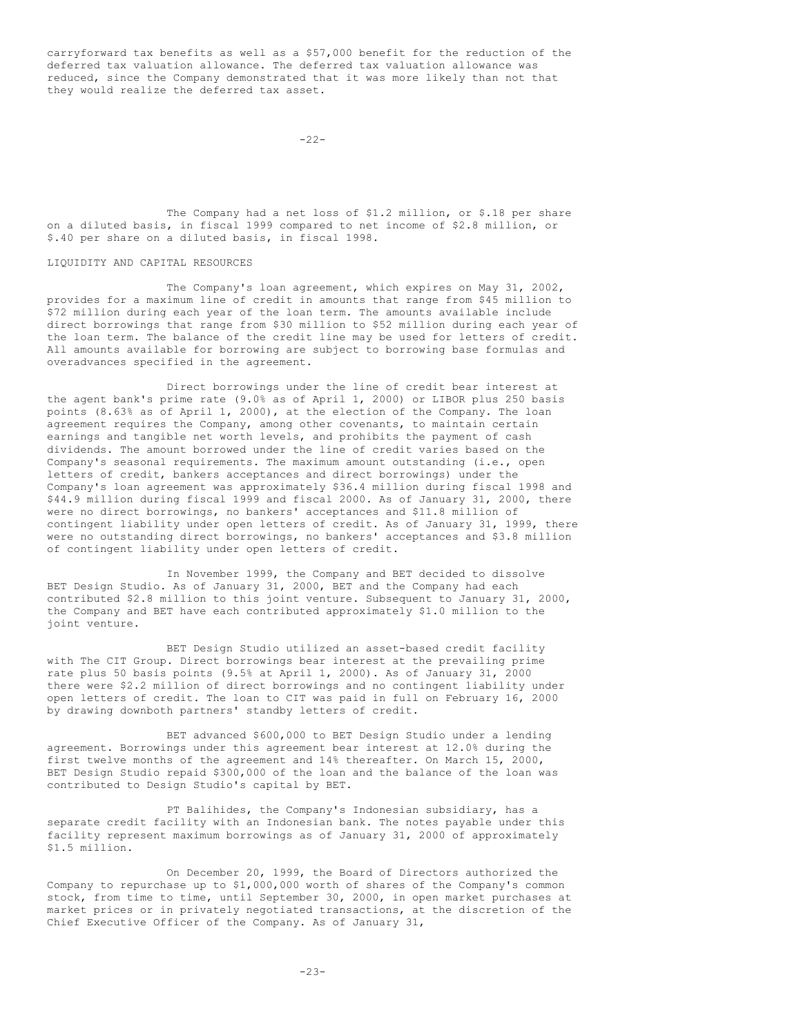carryforward tax benefits as well as a \$57,000 benefit for the reduction of the deferred tax valuation allowance. The deferred tax valuation allowance was reduced, since the Company demonstrated that it was more likely than not that they would realize the deferred tax asset.

 $-22-$ 

The Company had a net loss of \$1.2 million, or \$.18 per share on a diluted basis, in fiscal 1999 compared to net income of \$2.8 million, or \$.40 per share on a diluted basis, in fiscal 1998.

LIQUIDITY AND CAPITAL RESOURCES

The Company's loan agreement, which expires on May 31, 2002, provides for a maximum line of credit in amounts that range from \$45 million to \$72 million during each year of the loan term. The amounts available include direct borrowings that range from \$30 million to \$52 million during each year of the loan term. The balance of the credit line may be used for letters of credit. All amounts available for borrowing are subject to borrowing base formulas and overadvances specified in the agreement.

Direct borrowings under the line of credit bear interest at the agent bank's prime rate (9.0% as of April 1, 2000) or LIBOR plus 250 basis points (8.63% as of April 1, 2000), at the election of the Company. The loan agreement requires the Company, among other covenants, to maintain certain earnings and tangible net worth levels, and prohibits the payment of cash dividends. The amount borrowed under the line of credit varies based on the Company's seasonal requirements. The maximum amount outstanding (i.e., open letters of credit, bankers acceptances and direct borrowings) under the Company's loan agreement was approximately \$36.4 million during fiscal 1998 and \$44.9 million during fiscal 1999 and fiscal 2000. As of January 31, 2000, there were no direct borrowings, no bankers' acceptances and \$11.8 million of contingent liability under open letters of credit. As of January 31, 1999, there were no outstanding direct borrowings, no bankers' acceptances and \$3.8 million of contingent liability under open letters of credit.

In November 1999, the Company and BET decided to dissolve BET Design Studio. As of January 31, 2000, BET and the Company had each contributed \$2.8 million to this joint venture. Subsequent to January 31, 2000, the Company and BET have each contributed approximately \$1.0 million to the joint venture.

BET Design Studio utilized an asset-based credit facility with The CIT Group. Direct borrowings bear interest at the prevailing prime rate plus 50 basis points (9.5% at April 1, 2000). As of January 31, 2000 there were \$2.2 million of direct borrowings and no contingent liability under open letters of credit. The loan to CIT was paid in full on February 16, 2000 by drawing downboth partners' standby letters of credit.

BET advanced \$600,000 to BET Design Studio under a lending agreement. Borrowings under this agreement bear interest at 12.0% during the first twelve months of the agreement and 14% thereafter. On March 15, 2000, BET Design Studio repaid \$300,000 of the loan and the balance of the loan was contributed to Design Studio's capital by BET.

PT Balihides, the Company's Indonesian subsidiary, has a separate credit facility with an Indonesian bank. The notes payable under this facility represent maximum borrowings as of January 31, 2000 of approximately \$1.5 million.

On December 20, 1999, the Board of Directors authorized the Company to repurchase up to \$1,000,000 worth of shares of the Company's common stock, from time to time, until September 30, 2000, in open market purchases at market prices or in privately negotiated transactions, at the discretion of the Chief Executive Officer of the Company. As of January 31,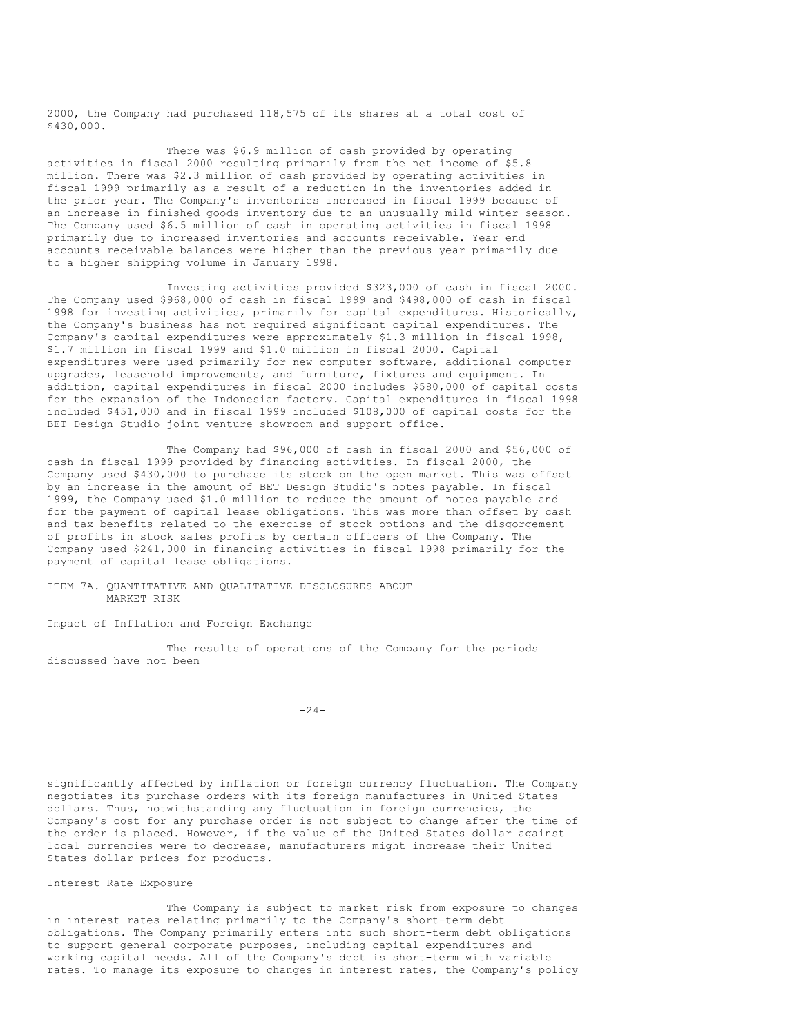2000, the Company had purchased 118,575 of its shares at a total cost of \$430,000.

There was \$6.9 million of cash provided by operating activities in fiscal 2000 resulting primarily from the net income of \$5.8 million. There was \$2.3 million of cash provided by operating activities in fiscal 1999 primarily as a result of a reduction in the inventories added in the prior year. The Company's inventories increased in fiscal 1999 because of an increase in finished goods inventory due to an unusually mild winter season. The Company used \$6.5 million of cash in operating activities in fiscal 1998 primarily due to increased inventories and accounts receivable. Year end accounts receivable balances were higher than the previous year primarily due to a higher shipping volume in January 1998.

Investing activities provided \$323,000 of cash in fiscal 2000. The Company used \$968,000 of cash in fiscal 1999 and \$498,000 of cash in fiscal 1998 for investing activities, primarily for capital expenditures. Historically, the Company's business has not required significant capital expenditures. The Company's capital expenditures were approximately \$1.3 million in fiscal 1998, \$1.7 million in fiscal 1999 and \$1.0 million in fiscal 2000. Capital expenditures were used primarily for new computer software, additional computer upgrades, leasehold improvements, and furniture, fixtures and equipment. In addition, capital expenditures in fiscal 2000 includes \$580,000 of capital costs for the expansion of the Indonesian factory. Capital expenditures in fiscal 1998 included \$451,000 and in fiscal 1999 included \$108,000 of capital costs for the BET Design Studio joint venture showroom and support office.

The Company had \$96,000 of cash in fiscal 2000 and \$56,000 of cash in fiscal 1999 provided by financing activities. In fiscal 2000, the Company used \$430,000 to purchase its stock on the open market. This was offset by an increase in the amount of BET Design Studio's notes payable. In fiscal 1999, the Company used \$1.0 million to reduce the amount of notes payable and for the payment of capital lease obligations. This was more than offset by cash and tax benefits related to the exercise of stock options and the disgorgement of profits in stock sales profits by certain officers of the Company. The Company used \$241,000 in financing activities in fiscal 1998 primarily for the payment of capital lease obligations.

ITEM 7A. QUANTITATIVE AND QUALITATIVE DISCLOSURES ABOUT MARKET RISK

Impact of Inflation and Foreign Exchange

The results of operations of the Company for the periods discussed have not been

 $-24-$ 

significantly affected by inflation or foreign currency fluctuation. The Company negotiates its purchase orders with its foreign manufactures in United States dollars. Thus, notwithstanding any fluctuation in foreign currencies, the Company's cost for any purchase order is not subject to change after the time of the order is placed. However, if the value of the United States dollar against local currencies were to decrease, manufacturers might increase their United States dollar prices for products.

Interest Rate Exposure

The Company is subject to market risk from exposure to changes in interest rates relating primarily to the Company's short-term debt obligations. The Company primarily enters into such short-term debt obligations to support general corporate purposes, including capital expenditures and working capital needs. All of the Company's debt is short-term with variable rates. To manage its exposure to changes in interest rates, the Company's policy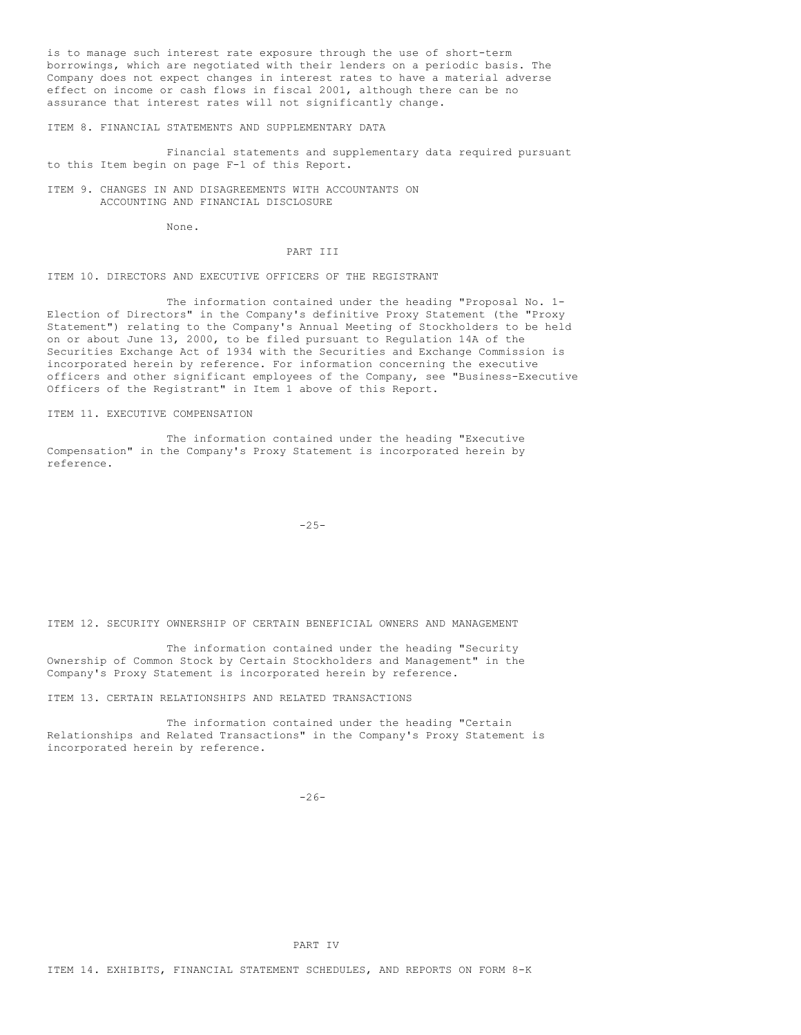is to manage such interest rate exposure through the use of short-term borrowings, which are negotiated with their lenders on a periodic basis. The Company does not expect changes in interest rates to have a material adverse effect on income or cash flows in fiscal 2001, although there can be no assurance that interest rates will not significantly change.

ITEM 8. FINANCIAL STATEMENTS AND SUPPLEMENTARY DATA

Financial statements and supplementary data required pursuant to this Item begin on page F-1 of this Report.

ITEM 9. CHANGES IN AND DISAGREEMENTS WITH ACCOUNTANTS ON ACCOUNTING AND FINANCIAL DISCLOSURE

None.

#### PART III

#### ITEM 10. DIRECTORS AND EXECUTIVE OFFICERS OF THE REGISTRANT

The information contained under the heading "Proposal No. 1- Election of Directors" in the Company's definitive Proxy Statement (the "Proxy Statement") relating to the Company's Annual Meeting of Stockholders to be held on or about June 13, 2000, to be filed pursuant to Regulation 14A of the Securities Exchange Act of 1934 with the Securities and Exchange Commission is incorporated herein by reference. For information concerning the executive officers and other significant employees of the Company, see "Business-Executive Officers of the Registrant" in Item 1 above of this Report.

ITEM 11. EXECUTIVE COMPENSATION

The information contained under the heading "Executive Compensation" in the Company's Proxy Statement is incorporated herein by reference.

-25-

ITEM 12. SECURITY OWNERSHIP OF CERTAIN BENEFICIAL OWNERS AND MANAGEMENT

The information contained under the heading "Security Ownership of Common Stock by Certain Stockholders and Management" in the Company's Proxy Statement is incorporated herein by reference.

ITEM 13. CERTAIN RELATIONSHIPS AND RELATED TRANSACTIONS

The information contained under the heading "Certain Relationships and Related Transactions" in the Company's Proxy Statement is incorporated herein by reference.

 $-26-$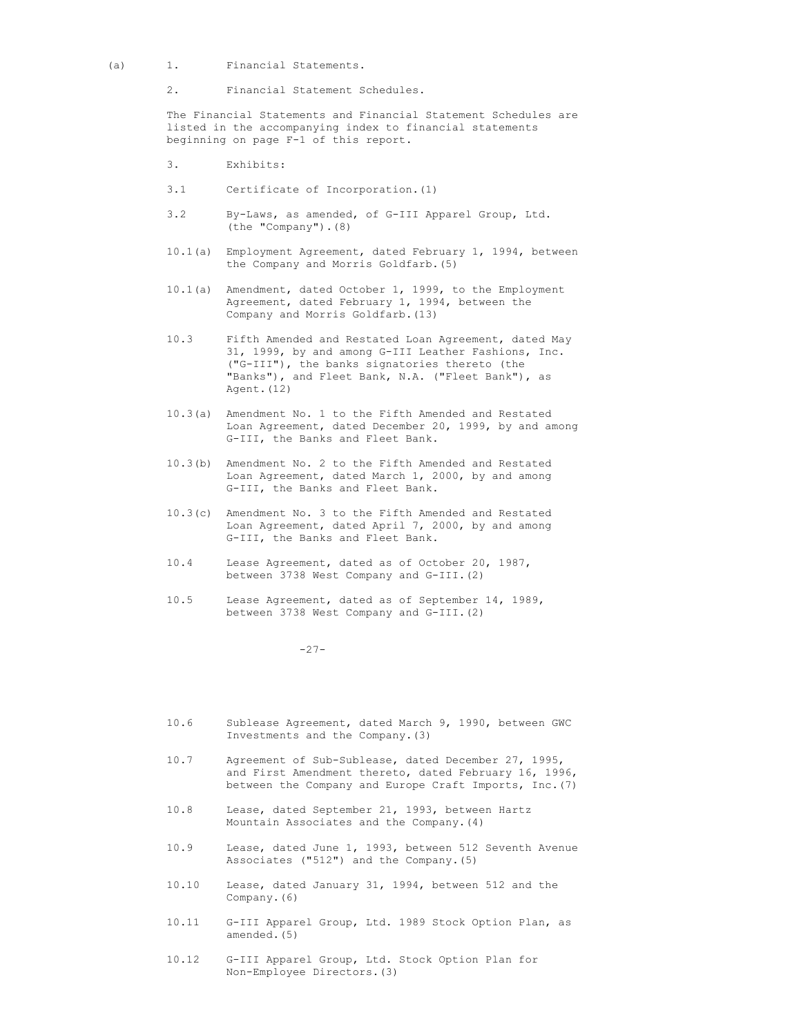- (a) 1. Financial Statements.
	- 2. Financial Statement Schedules.

The Financial Statements and Financial Statement Schedules are listed in the accompanying index to financial statements beginning on page F-1 of this report.

- 3. Exhibits:
- 3.1 Certificate of Incorporation.(1)
- 3.2 By-Laws, as amended, of G-III Apparel Group, Ltd. (the "Company").(8)
- 10.1(a) Employment Agreement, dated February 1, 1994, between the Company and Morris Goldfarb.(5)
- 10.1(a) Amendment, dated October 1, 1999, to the Employment Agreement, dated February 1, 1994, between the Company and Morris Goldfarb.(13)
- 10.3 Fifth Amended and Restated Loan Agreement, dated May 31, 1999, by and among G-III Leather Fashions, Inc. ("G-III"), the banks signatories thereto (the "Banks"), and Fleet Bank, N.A. ("Fleet Bank"), as Agent. (12)
- 10.3(a) Amendment No. 1 to the Fifth Amended and Restated Loan Agreement, dated December 20, 1999, by and among G-III, the Banks and Fleet Bank.
- 10.3(b) Amendment No. 2 to the Fifth Amended and Restated Loan Agreement, dated March 1, 2000, by and among G-III, the Banks and Fleet Bank.
- 10.3(c) Amendment No. 3 to the Fifth Amended and Restated Loan Agreement, dated April 7, 2000, by and among G-III, the Banks and Fleet Bank.
- 10.4 Lease Agreement, dated as of October 20, 1987, between 3738 West Company and G-III.(2)
- 10.5 Lease Agreement, dated as of September 14, 1989, between 3738 West Company and G-III.(2)

 $-27-$ 

- 10.6 Sublease Agreement, dated March 9, 1990, between GWC Investments and the Company.(3)
- 10.7 Agreement of Sub-Sublease, dated December 27, 1995, and First Amendment thereto, dated February 16, 1996, between the Company and Europe Craft Imports, Inc.(7)
- 10.8 Lease, dated September 21, 1993, between Hartz Mountain Associates and the Company.(4)
- 10.9 Lease, dated June 1, 1993, between 512 Seventh Avenue Associates ("512") and the Company.(5)
- 10.10 Lease, dated January 31, 1994, between 512 and the Company.(6)
- 10.11 G-III Apparel Group, Ltd. 1989 Stock Option Plan, as amended.(5)
- 10.12 G-III Apparel Group, Ltd. Stock Option Plan for Non-Employee Directors.(3)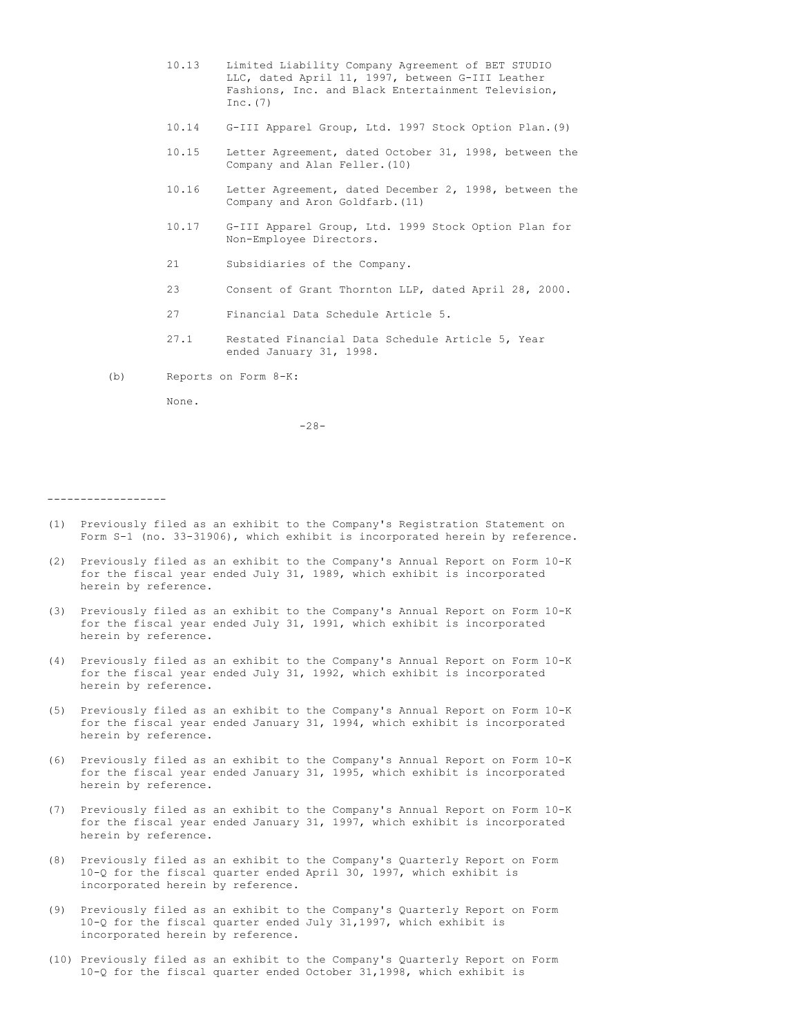- 10.13 Limited Liability Company Agreement of BET STUDIO LLC, dated April 11, 1997, between G-III Leather Fashions, Inc. and Black Entertainment Television, Inc.(7)
- 10.14 G-III Apparel Group, Ltd. 1997 Stock Option Plan.(9)
- 10.15 Letter Agreement, dated October 31, 1998, between the Company and Alan Feller.(10)
- 10.16 Letter Agreement, dated December 2, 1998, between the Company and Aron Goldfarb.(11)
- 10.17 G-III Apparel Group, Ltd. 1999 Stock Option Plan for Non-Employee Directors.
- 21 Subsidiaries of the Company.
- 23 Consent of Grant Thornton LLP, dated April 28, 2000.
- 27 Financial Data Schedule Article 5.
- 27.1 Restated Financial Data Schedule Article 5, Year ended January 31, 1998.
- (b) Reports on Form 8-K:

None.

 $-28-$ 

------------------

- (1) Previously filed as an exhibit to the Company's Registration Statement on Form S-1 (no. 33-31906), which exhibit is incorporated herein by reference.
- (2) Previously filed as an exhibit to the Company's Annual Report on Form 10-K for the fiscal year ended July 31, 1989, which exhibit is incorporated herein by reference.
- (3) Previously filed as an exhibit to the Company's Annual Report on Form 10-K for the fiscal year ended July 31, 1991, which exhibit is incorporated herein by reference.
- (4) Previously filed as an exhibit to the Company's Annual Report on Form 10-K for the fiscal year ended July 31, 1992, which exhibit is incorporated herein by reference.
- (5) Previously filed as an exhibit to the Company's Annual Report on Form 10-K for the fiscal year ended January 31, 1994, which exhibit is incorporated herein by reference.
- (6) Previously filed as an exhibit to the Company's Annual Report on Form 10-K for the fiscal year ended January 31, 1995, which exhibit is incorporated herein by reference.
- (7) Previously filed as an exhibit to the Company's Annual Report on Form 10-K for the fiscal year ended January 31, 1997, which exhibit is incorporated herein by reference.
- (8) Previously filed as an exhibit to the Company's Quarterly Report on Form 10-Q for the fiscal quarter ended April 30, 1997, which exhibit is incorporated herein by reference.
- (9) Previously filed as an exhibit to the Company's Quarterly Report on Form 10-Q for the fiscal quarter ended July 31,1997, which exhibit is incorporated herein by reference.
- (10) Previously filed as an exhibit to the Company's Quarterly Report on Form 10-Q for the fiscal quarter ended October 31,1998, which exhibit is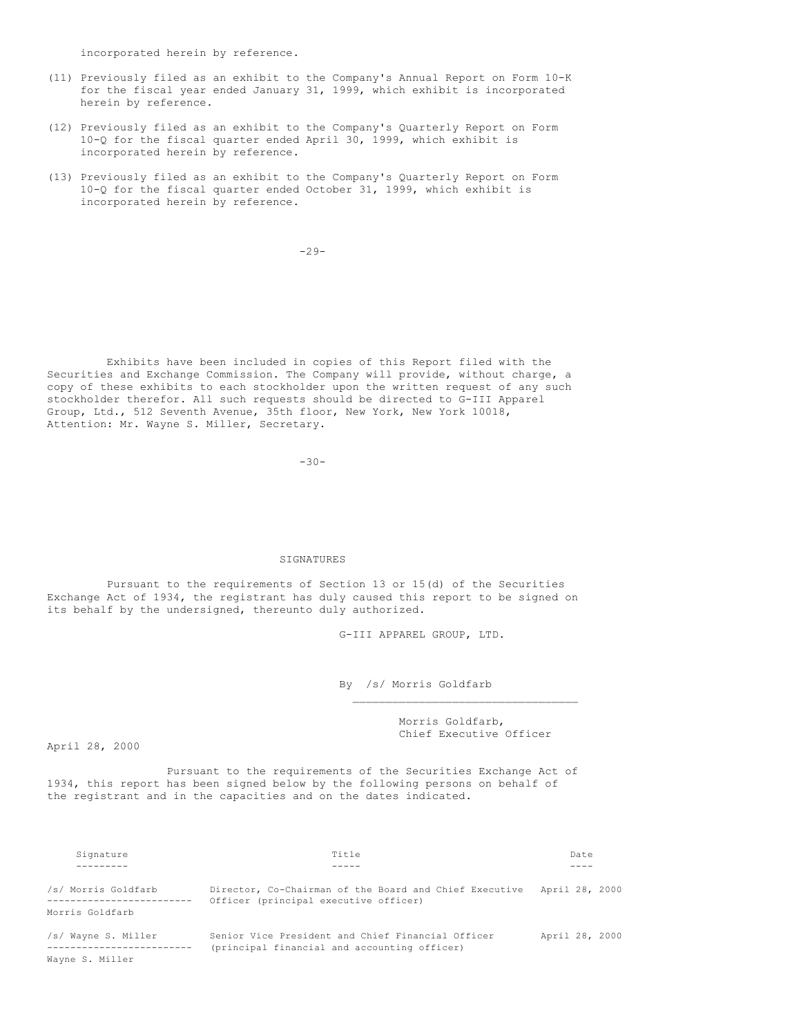incorporated herein by reference.

- (11) Previously filed as an exhibit to the Company's Annual Report on Form 10-K for the fiscal year ended January 31, 1999, which exhibit is incorporated herein by reference.
- (12) Previously filed as an exhibit to the Company's Quarterly Report on Form 10-Q for the fiscal quarter ended April 30, 1999, which exhibit is incorporated herein by reference.
- (13) Previously filed as an exhibit to the Company's Quarterly Report on Form 10-Q for the fiscal quarter ended October 31, 1999, which exhibit is incorporated herein by reference.

-29-

Exhibits have been included in copies of this Report filed with the Securities and Exchange Commission. The Company will provide, without charge, a copy of these exhibits to each stockholder upon the written request of any such stockholder therefor. All such requests should be directed to G-III Apparel Group, Ltd., 512 Seventh Avenue, 35th floor, New York, New York 10018, Attention: Mr. Wayne S. Miller, Secretary.

-30-

### SIGNATURES

Pursuant to the requirements of Section 13 or 15(d) of the Securities Exchange Act of 1934, the registrant has duly caused this report to be signed on its behalf by the undersigned, thereunto duly authorized.

G-III APPAREL GROUP, LTD.

By /s/ Morris Goldfarb

Morris Goldfarb, Chief Executive Officer

 $\mathcal{L}_\text{max}$ 

April 28, 2000

Pursuant to the requirements of the Securities Exchange Act of 1934, this report has been signed below by the following persons on behalf of the registrant and in the capacities and on the dates indicated.

| Signature           | Title                                                                                             | Date           |
|---------------------|---------------------------------------------------------------------------------------------------|----------------|
|                     |                                                                                                   |                |
| /s/ Morris Goldfarb | Director, Co-Chairman of the Board and Chief Executive<br>Officer (principal executive officer)   | April 28, 2000 |
| Morris Goldfarb     |                                                                                                   |                |
| /s/ Wayne S. Miller | Senior Vice President and Chief Financial Officer<br>(principal financial and accounting officer) | April 28, 2000 |
| Wayne S. Miller     |                                                                                                   |                |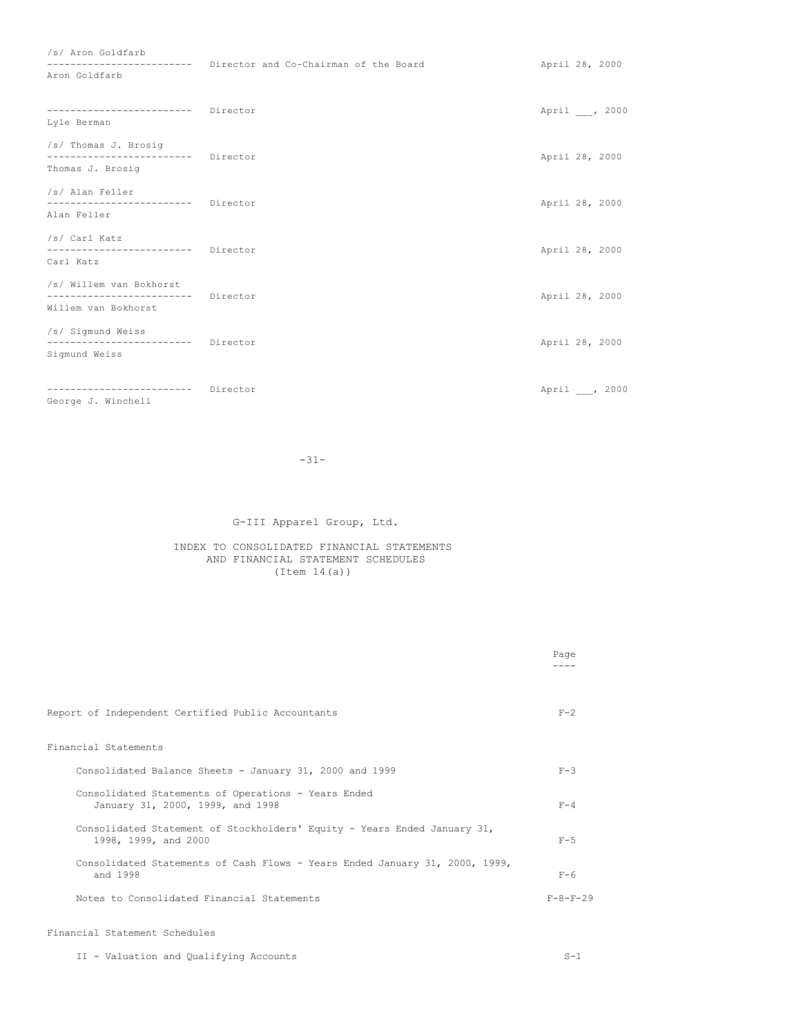| /s/ Aron Goldfarb                                                                   |                                       |                |
|-------------------------------------------------------------------------------------|---------------------------------------|----------------|
| --------------------------<br>Aron Goldfarb                                         | Director and Co-Chairman of the Board | April 28, 2000 |
| ------------------------ Director<br>Lyle Berman                                    |                                       | April , 2000   |
| /s/ Thomas J. Brosig<br>------------------------- Director                          |                                       | April 28, 2000 |
| Thomas J. Brosig                                                                    |                                       |                |
| /s/ Alan Feller<br>------------------------- Director<br>Alan Feller                |                                       | April 28, 2000 |
| /s/ Carl Katz<br>------------------------ Director<br>Carl Katz                     |                                       | April 28, 2000 |
| /s/ Willem van Bokhorst<br>------------------------ Director<br>Willem van Bokhorst |                                       | April 28, 2000 |
| /s/ Sigmund Weiss<br>------------------------- Director<br>Sigmund Weiss            |                                       | April 28, 2000 |
| ------------------------ Director                                                   |                                       | April , 2000   |

George J. Winchell

-31-

# G-III Apparel Group, Ltd.

### INDEX TO CONSOLIDATED FINANCIAL STATEMENTS AND FINANCIAL STATEMENT SCHEDULES  $(Item 14(a))$

|                                                                                                  | Page             |
|--------------------------------------------------------------------------------------------------|------------------|
| Report of Independent Certified Public Accountants                                               | $F-2$            |
| Financial Statements                                                                             |                  |
| Consolidated Balance Sheets - January 31, 2000 and 1999                                          | $F-3$            |
| Consolidated Statements of Operations - Years Ended<br>January 31, 2000, 1999, and 1998          | $F - 4$          |
| Consolidated Statement of Stockholders' Equity - Years Ended January 31,<br>1998, 1999, and 2000 | $F-5$            |
| Consolidated Statements of Cash Flows - Years Ended January 31, 2000, 1999,<br>and 1998          | $F-6$            |
| Notes to Consolidated Financial Statements                                                       | $F - 8 - F - 29$ |
|                                                                                                  |                  |

# Financial Statement Schedules

II - Valuation and Qualifying Accounts S-1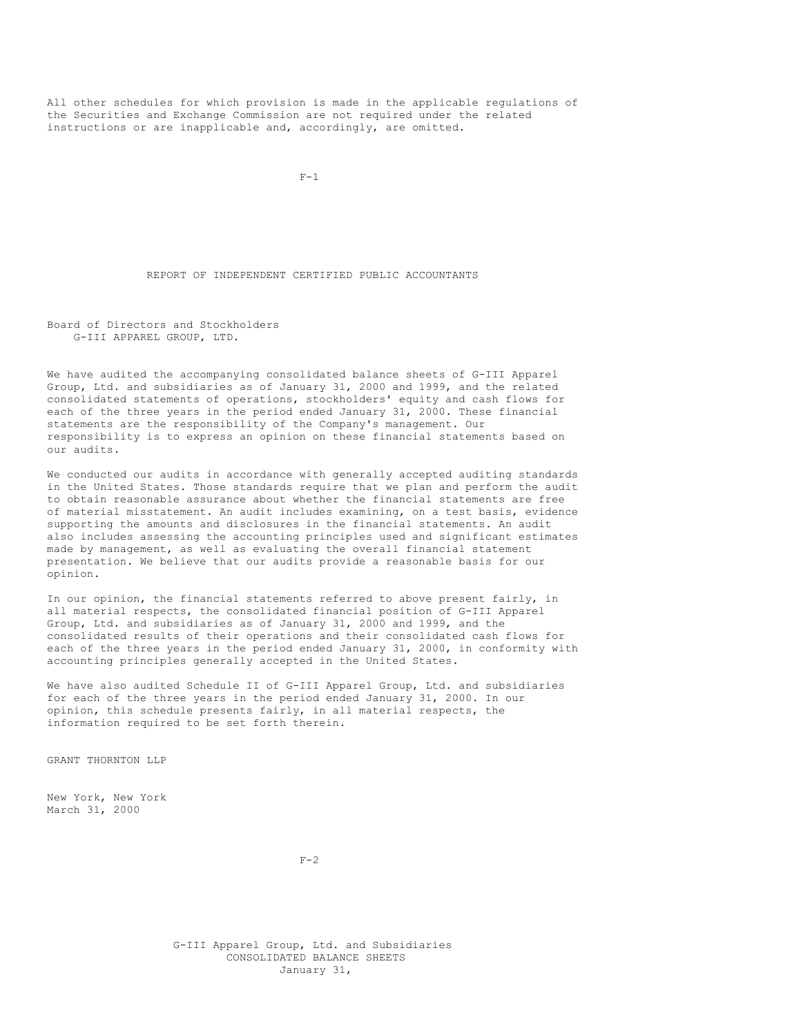All other schedules for which provision is made in the applicable regulations of the Securities and Exchange Commission are not required under the related instructions or are inapplicable and, accordingly, are omitted.

 $F-1$ 

### REPORT OF INDEPENDENT CERTIFIED PUBLIC ACCOUNTANTS

Board of Directors and Stockholders G-III APPAREL GROUP, LTD.

We have audited the accompanying consolidated balance sheets of G-III Apparel Group, Ltd. and subsidiaries as of January 31, 2000 and 1999, and the related consolidated statements of operations, stockholders' equity and cash flows for each of the three years in the period ended January 31, 2000. These financial statements are the responsibility of the Company's management. Our responsibility is to express an opinion on these financial statements based on our audits.

We conducted our audits in accordance with generally accepted auditing standards in the United States. Those standards require that we plan and perform the audit to obtain reasonable assurance about whether the financial statements are free of material misstatement. An audit includes examining, on a test basis, evidence supporting the amounts and disclosures in the financial statements. An audit also includes assessing the accounting principles used and significant estimates made by management, as well as evaluating the overall financial statement presentation. We believe that our audits provide a reasonable basis for our opinion.

In our opinion, the financial statements referred to above present fairly, in all material respects, the consolidated financial position of G-III Apparel Group, Ltd. and subsidiaries as of January 31, 2000 and 1999, and the consolidated results of their operations and their consolidated cash flows for each of the three years in the period ended January 31, 2000, in conformity with accounting principles generally accepted in the United States.

We have also audited Schedule II of G-III Apparel Group, Ltd. and subsidiaries for each of the three years in the period ended January 31, 2000. In our opinion, this schedule presents fairly, in all material respects, the information required to be set forth therein.

GRANT THORNTON LLP

New York, New York March 31, 2000

 $F-2$ 

G-III Apparel Group, Ltd. and Subsidiaries CONSOLIDATED BALANCE SHEETS January 31,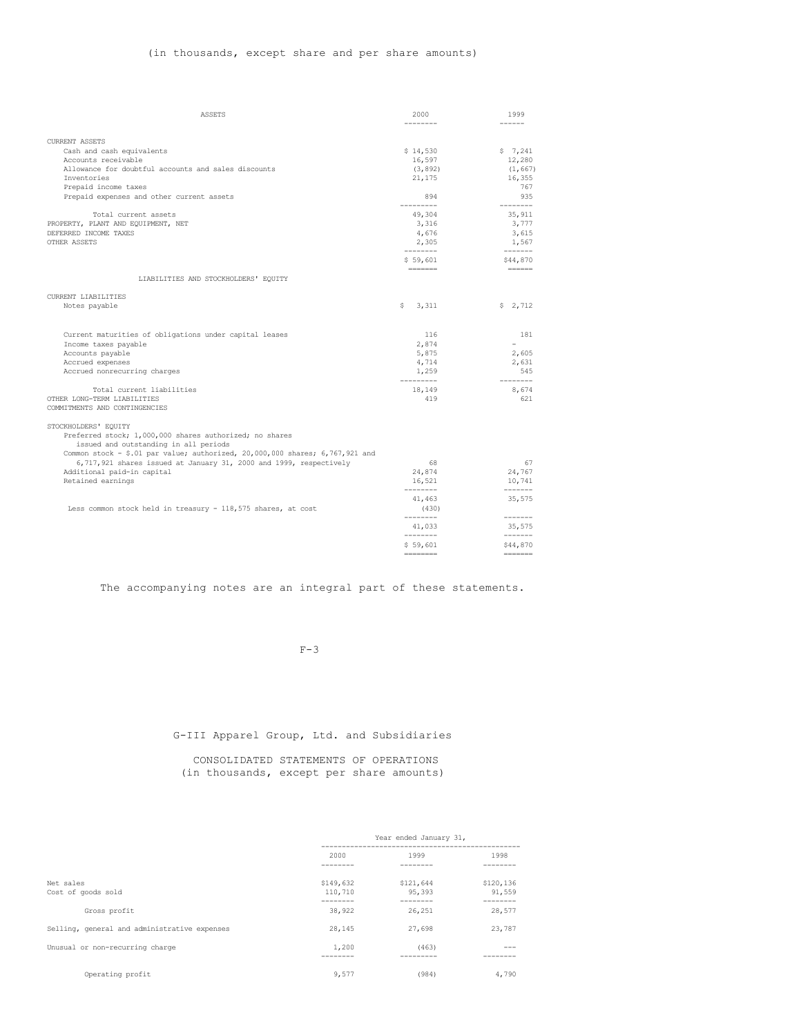# (in thousands, except share and per share amounts)

| <b>ASSETS</b>                                                                | 2000                  | 1999                                                                                                                                                                                                                                                                                                                                                                                                                                                                                                   |
|------------------------------------------------------------------------------|-----------------------|--------------------------------------------------------------------------------------------------------------------------------------------------------------------------------------------------------------------------------------------------------------------------------------------------------------------------------------------------------------------------------------------------------------------------------------------------------------------------------------------------------|
|                                                                              | --------              | ------                                                                                                                                                                                                                                                                                                                                                                                                                                                                                                 |
| <b>CURRENT ASSETS</b>                                                        |                       |                                                                                                                                                                                                                                                                                                                                                                                                                                                                                                        |
| Cash and cash equivalents                                                    | \$14,530              | $5 \t 7, 241$                                                                                                                                                                                                                                                                                                                                                                                                                                                                                          |
| Accounts receivable                                                          | 16,597                | 12,280                                                                                                                                                                                                                                                                                                                                                                                                                                                                                                 |
| Allowance for doubtful accounts and sales discounts                          | (3, 892)              | (1, 667)                                                                                                                                                                                                                                                                                                                                                                                                                                                                                               |
| Inventories                                                                  | 21,175                | 16,355                                                                                                                                                                                                                                                                                                                                                                                                                                                                                                 |
| Prepaid income taxes                                                         |                       | 767                                                                                                                                                                                                                                                                                                                                                                                                                                                                                                    |
| Prepaid expenses and other current assets                                    | 894<br>----------     | 935<br>--------                                                                                                                                                                                                                                                                                                                                                                                                                                                                                        |
| Total current assets                                                         | 49,304                | 35,911                                                                                                                                                                                                                                                                                                                                                                                                                                                                                                 |
| PROPERTY, PLANT AND EQUIPMENT, NET                                           | 3,316                 | 3,777                                                                                                                                                                                                                                                                                                                                                                                                                                                                                                  |
| DEFERRED INCOME TAXES                                                        | 4,676                 | 3,615                                                                                                                                                                                                                                                                                                                                                                                                                                                                                                  |
| <b>OTHER ASSETS</b>                                                          | 2,305                 | 1,567                                                                                                                                                                                                                                                                                                                                                                                                                                                                                                  |
|                                                                              | ---------<br>\$59,601 | $\begin{tabular}{ccccc} \multicolumn{2}{c} {\textbf{1}} & \multicolumn{2}{c} {\textbf{2}} & \multicolumn{2}{c} {\textbf{3}} & \multicolumn{2}{c} {\textbf{4}} & \multicolumn{2}{c} {\textbf{5}} & \multicolumn{2}{c} {\textbf{6}} & \multicolumn{2}{c} {\textbf{7}} & \multicolumn{2}{c} {\textbf{8}} & \multicolumn{2}{c} {\textbf{9}} & \multicolumn{2}{c} {\textbf{1}} & \multicolumn{2}{c} {\textbf{1}} & \multicolumn{2}{c} {\textbf{1}} & \multicolumn{2}{c} {\textbf{1}} & \multic$<br>\$44,870 |
|                                                                              | =======               | $= = = = = = =$                                                                                                                                                                                                                                                                                                                                                                                                                                                                                        |
| LIABILITIES AND STOCKHOLDERS' EQUITY                                         |                       |                                                                                                                                                                                                                                                                                                                                                                                                                                                                                                        |
| <b>CURRENT LIABILITIES</b>                                                   |                       |                                                                                                                                                                                                                                                                                                                                                                                                                                                                                                        |
| Notes payable                                                                | 3,311<br>s            | \$2,712                                                                                                                                                                                                                                                                                                                                                                                                                                                                                                |
|                                                                              |                       |                                                                                                                                                                                                                                                                                                                                                                                                                                                                                                        |
|                                                                              |                       |                                                                                                                                                                                                                                                                                                                                                                                                                                                                                                        |
| Current maturities of obligations under capital leases                       | 116                   | 181                                                                                                                                                                                                                                                                                                                                                                                                                                                                                                    |
| Income taxes payable                                                         | 2,874                 | $\equiv$                                                                                                                                                                                                                                                                                                                                                                                                                                                                                               |
| Accounts payable                                                             | 5,875                 | 2,605                                                                                                                                                                                                                                                                                                                                                                                                                                                                                                  |
| Accrued expenses                                                             | 4,714                 | 2,631                                                                                                                                                                                                                                                                                                                                                                                                                                                                                                  |
| Accrued nonrecurring charges                                                 | 1,259<br>----------   | 545<br>--------                                                                                                                                                                                                                                                                                                                                                                                                                                                                                        |
| Total current liabilities                                                    | 18,149                | 8,674                                                                                                                                                                                                                                                                                                                                                                                                                                                                                                  |
| OTHER LONG-TERM LIABILITIES                                                  | 419                   | 621                                                                                                                                                                                                                                                                                                                                                                                                                                                                                                    |
| COMMITMENTS AND CONTINGENCIES                                                |                       |                                                                                                                                                                                                                                                                                                                                                                                                                                                                                                        |
| STOCKHOLDERS' EQUITY                                                         |                       |                                                                                                                                                                                                                                                                                                                                                                                                                                                                                                        |
| Preferred stock; 1,000,000 shares authorized; no shares                      |                       |                                                                                                                                                                                                                                                                                                                                                                                                                                                                                                        |
| issued and outstanding in all periods                                        |                       |                                                                                                                                                                                                                                                                                                                                                                                                                                                                                                        |
| Common stock - \$.01 par value; authorized, 20,000,000 shares; 6,767,921 and |                       |                                                                                                                                                                                                                                                                                                                                                                                                                                                                                                        |
| 6,717,921 shares issued at January 31, 2000 and 1999, respectively           | 68                    | 67                                                                                                                                                                                                                                                                                                                                                                                                                                                                                                     |
| Additional paid-in capital                                                   | 24,874                | 24,767                                                                                                                                                                                                                                                                                                                                                                                                                                                                                                 |
| Retained earnings                                                            | 16,521                | 10,741                                                                                                                                                                                                                                                                                                                                                                                                                                                                                                 |
|                                                                              | ---------<br>41,463   | $\begin{tabular}{ccccc} \multicolumn{2}{c} {\textbf{1}} & \multicolumn{2}{c} {\textbf{2}} & \multicolumn{2}{c} {\textbf{3}} & \multicolumn{2}{c} {\textbf{4}} & \multicolumn{2}{c} {\textbf{5}} & \multicolumn{2}{c} {\textbf{6}} & \multicolumn{2}{c} {\textbf{7}} & \multicolumn{2}{c} {\textbf{8}} & \multicolumn{2}{c} {\textbf{9}} & \multicolumn{2}{c} {\textbf{1}} & \multicolumn{2}{c} {\textbf{1}} & \multicolumn{2}{c} {\textbf{1}} & \multicolumn{2}{c} {\textbf{1}} & \multic$<br>35,575   |
| Less common stock held in treasury - 118,575 shares, at cost                 | (430)                 |                                                                                                                                                                                                                                                                                                                                                                                                                                                                                                        |
|                                                                              | ---------             | -------                                                                                                                                                                                                                                                                                                                                                                                                                                                                                                |
|                                                                              | 41,033<br>--------    | 35,575<br>$- - - - - - -$                                                                                                                                                                                                                                                                                                                                                                                                                                                                              |
|                                                                              | \$59.601              | \$44,870                                                                                                                                                                                                                                                                                                                                                                                                                                                                                               |
|                                                                              | <b>CONTRACTOR</b>     | $\begin{array}{cccccccccc} \multicolumn{2}{c}{} & \multicolumn{2}{c}{} & \multicolumn{2}{c}{} & \multicolumn{2}{c}{} & \multicolumn{2}{c}{} & \multicolumn{2}{c}{} & \multicolumn{2}{c}{} & \multicolumn{2}{c}{} & \multicolumn{2}{c}{} & \multicolumn{2}{c}{} & \multicolumn{2}{c}{} & \multicolumn{2}{c}{} & \multicolumn{2}{c}{} & \multicolumn{2}{c}{} & \multicolumn{2}{c}{} & \multicolumn{2}{c}{} & \multicolumn{2}{c}{} & \multicolumn{2}{c}{} & \multicolumn{2}{c}{} & \mult$                 |

The accompanying notes are an integral part of these statements.

 $F-3$ 

G-III Apparel Group, Ltd. and Subsidiaries

CONSOLIDATED STATEMENTS OF OPERATIONS (in thousands, except per share amounts)

|                                              | Year ended January 31, |           |           |  |
|----------------------------------------------|------------------------|-----------|-----------|--|
|                                              | 2000                   | 1999      | 1998      |  |
|                                              |                        |           |           |  |
| Net sales                                    | \$149,632              | \$121,644 | \$120,136 |  |
| Cost of goods sold                           | 110,710                | 95,393    | 91,559    |  |
| Gross profit                                 | 38,922                 | 26,251    | 28,577    |  |
| Selling, general and administrative expenses | 28,145                 | 27,698    | 23,787    |  |
| Unusual or non-recurring charge              | 1,200                  | (463)     |           |  |
|                                              |                        |           |           |  |
| Operating profit                             | 9,577                  | (984)     | 4,790     |  |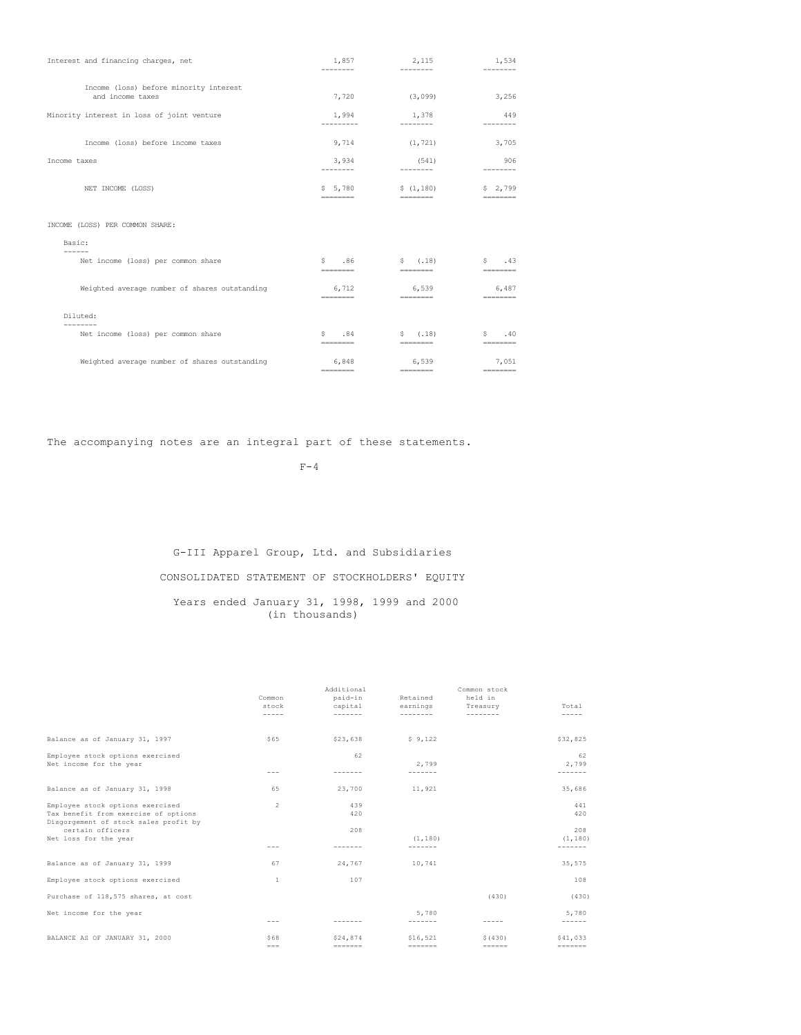| Interest and financing charges, net                        | 1,857<br>--------                                                                                                                                                                                                                                                                                                                                                                                                                                                                                   | 2,115<br>--------                                                                                                                                                                                                                                                                                                                                                                                                                                                                                 | 1,534<br>--------     |
|------------------------------------------------------------|-----------------------------------------------------------------------------------------------------------------------------------------------------------------------------------------------------------------------------------------------------------------------------------------------------------------------------------------------------------------------------------------------------------------------------------------------------------------------------------------------------|---------------------------------------------------------------------------------------------------------------------------------------------------------------------------------------------------------------------------------------------------------------------------------------------------------------------------------------------------------------------------------------------------------------------------------------------------------------------------------------------------|-----------------------|
| Income (loss) before minority interest<br>and income taxes | 7,720                                                                                                                                                                                                                                                                                                                                                                                                                                                                                               | (3,099)                                                                                                                                                                                                                                                                                                                                                                                                                                                                                           | 3,256                 |
| Minority interest in loss of joint venture                 | 1,994                                                                                                                                                                                                                                                                                                                                                                                                                                                                                               | 1,378                                                                                                                                                                                                                                                                                                                                                                                                                                                                                             | 449                   |
| Income (loss) before income taxes                          | 9,714                                                                                                                                                                                                                                                                                                                                                                                                                                                                                               | (1, 721)                                                                                                                                                                                                                                                                                                                                                                                                                                                                                          | 3,705                 |
| Income taxes                                               | 3,934<br>--------                                                                                                                                                                                                                                                                                                                                                                                                                                                                                   | (541)<br>---------                                                                                                                                                                                                                                                                                                                                                                                                                                                                                | 906<br>---------      |
| NET INCOME (LOSS)                                          | \$5,780                                                                                                                                                                                                                                                                                                                                                                                                                                                                                             | \$(1,180)<br>$- - - - - - - -$                                                                                                                                                                                                                                                                                                                                                                                                                                                                    | \$2,799<br>========   |
| INCOME (LOSS) PER COMMON SHARE:                            |                                                                                                                                                                                                                                                                                                                                                                                                                                                                                                     |                                                                                                                                                                                                                                                                                                                                                                                                                                                                                                   |                       |
| Basic:                                                     |                                                                                                                                                                                                                                                                                                                                                                                                                                                                                                     |                                                                                                                                                                                                                                                                                                                                                                                                                                                                                                   |                       |
| Net income (loss) per common share                         | \$3, 86<br>--------                                                                                                                                                                                                                                                                                                                                                                                                                                                                                 | \$(.18)<br>========                                                                                                                                                                                                                                                                                                                                                                                                                                                                               | .43<br>S.<br>======== |
| Weighted average number of shares outstanding              | 6.712<br>========                                                                                                                                                                                                                                                                                                                                                                                                                                                                                   | 6,539<br>$\begin{array}{cccccccccc} \multicolumn{3}{c}{} & \multicolumn{3}{c}{} & \multicolumn{3}{c}{} & \multicolumn{3}{c}{} & \multicolumn{3}{c}{} & \multicolumn{3}{c}{} & \multicolumn{3}{c}{} & \multicolumn{3}{c}{} & \multicolumn{3}{c}{} & \multicolumn{3}{c}{} & \multicolumn{3}{c}{} & \multicolumn{3}{c}{} & \multicolumn{3}{c}{} & \multicolumn{3}{c}{} & \multicolumn{3}{c}{} & \multicolumn{3}{c}{} & \multicolumn{3}{c}{} & \multicolumn{3}{c}{} & \multicolumn{3}{c}{} & \mult$   | 6.487<br>$=$          |
| Diluted:                                                   |                                                                                                                                                                                                                                                                                                                                                                                                                                                                                                     |                                                                                                                                                                                                                                                                                                                                                                                                                                                                                                   |                       |
| Net income (loss) per common share                         | .84<br>S.<br>$\begin{array}{cccccccccc} \multicolumn{2}{c}{} & \multicolumn{2}{c}{} & \multicolumn{2}{c}{} & \multicolumn{2}{c}{} & \multicolumn{2}{c}{} & \multicolumn{2}{c}{} & \multicolumn{2}{c}{} & \multicolumn{2}{c}{} & \multicolumn{2}{c}{} & \multicolumn{2}{c}{} & \multicolumn{2}{c}{} & \multicolumn{2}{c}{} & \multicolumn{2}{c}{} & \multicolumn{2}{c}{} & \multicolumn{2}{c}{} & \multicolumn{2}{c}{} & \multicolumn{2}{c}{} & \multicolumn{2}{c}{} & \multicolumn{2}{c}{} & \mult$ | \$(.18)<br>$\begin{array}{cccccccccc} \multicolumn{2}{c}{} & \multicolumn{2}{c}{} & \multicolumn{2}{c}{} & \multicolumn{2}{c}{} & \multicolumn{2}{c}{} & \multicolumn{2}{c}{} & \multicolumn{2}{c}{} & \multicolumn{2}{c}{} & \multicolumn{2}{c}{} & \multicolumn{2}{c}{} & \multicolumn{2}{c}{} & \multicolumn{2}{c}{} & \multicolumn{2}{c}{} & \multicolumn{2}{c}{} & \multicolumn{2}{c}{} & \multicolumn{2}{c}{} & \multicolumn{2}{c}{} & \multicolumn{2}{c}{} & \multicolumn{2}{c}{} & \mult$ | .40<br>S.<br>======== |
| Weighted average number of shares outstanding              | 6,848<br>========                                                                                                                                                                                                                                                                                                                                                                                                                                                                                   | 6,539<br>$=$ = = = = = = = =                                                                                                                                                                                                                                                                                                                                                                                                                                                                      | 7,051                 |

The accompanying notes are an integral part of these statements.

 $F-4$ 

# G-III Apparel Group, Ltd. and Subsidiaries CONSOLIDATED STATEMENT OF STOCKHOLDERS' EQUITY Years ended January 31, 1998, 1999 and 2000

(in thousands)

|                                                           | Common<br>stock<br>$- - - - -$ | Additional<br>paid-in<br>capital<br>------- | Retained<br>earnings<br>-------- | Common stock<br>held in<br>Treasury | Total            |
|-----------------------------------------------------------|--------------------------------|---------------------------------------------|----------------------------------|-------------------------------------|------------------|
|                                                           |                                |                                             |                                  |                                     |                  |
| Balance as of January 31, 1997                            | \$65                           | \$23,638                                    | \$9,122                          |                                     | \$32,825         |
| Employee stock options exercised                          |                                | 62                                          |                                  |                                     | 62               |
| Net income for the year                                   | $- - -$                        |                                             | 2.799<br>-------                 |                                     | 2.799<br>------- |
|                                                           |                                |                                             |                                  |                                     |                  |
| Balance as of January 31, 1998                            | 65                             | 23,700                                      | 11,921                           |                                     | 35,686           |
| Employee stock options exercised                          | $\overline{2}$                 | 439                                         |                                  |                                     | 441              |
| Tax benefit from exercise of options                      |                                | 420                                         |                                  |                                     | 420              |
| Disgorgement of stock sales profit by<br>certain officers |                                | 208                                         |                                  |                                     | 208              |
| Net loss for the year                                     |                                |                                             | (1.180)                          |                                     | (1, 180)         |
|                                                           | ---                            |                                             | -------                          |                                     | -------          |
| Balance as of January 31, 1999                            | 67                             | 24.767                                      | 10.741                           |                                     | 35,575           |
| Employee stock options exercised                          | -1                             | 107                                         |                                  |                                     | 108              |
| Purchase of 118,575 shares, at cost                       |                                |                                             |                                  | (430)                               | (430)            |
| Net income for the year                                   |                                |                                             | 5.780                            |                                     | 5,780            |
|                                                           | $- - -$                        |                                             | -------                          |                                     | $- - - - - -$    |
| BALANCE AS OF JANUARY 31, 2000                            | \$68                           | \$24,874                                    | \$16,521                         | \$(430)                             | \$41,033         |
|                                                           | $=$ $=$ $=$                    |                                             |                                  |                                     |                  |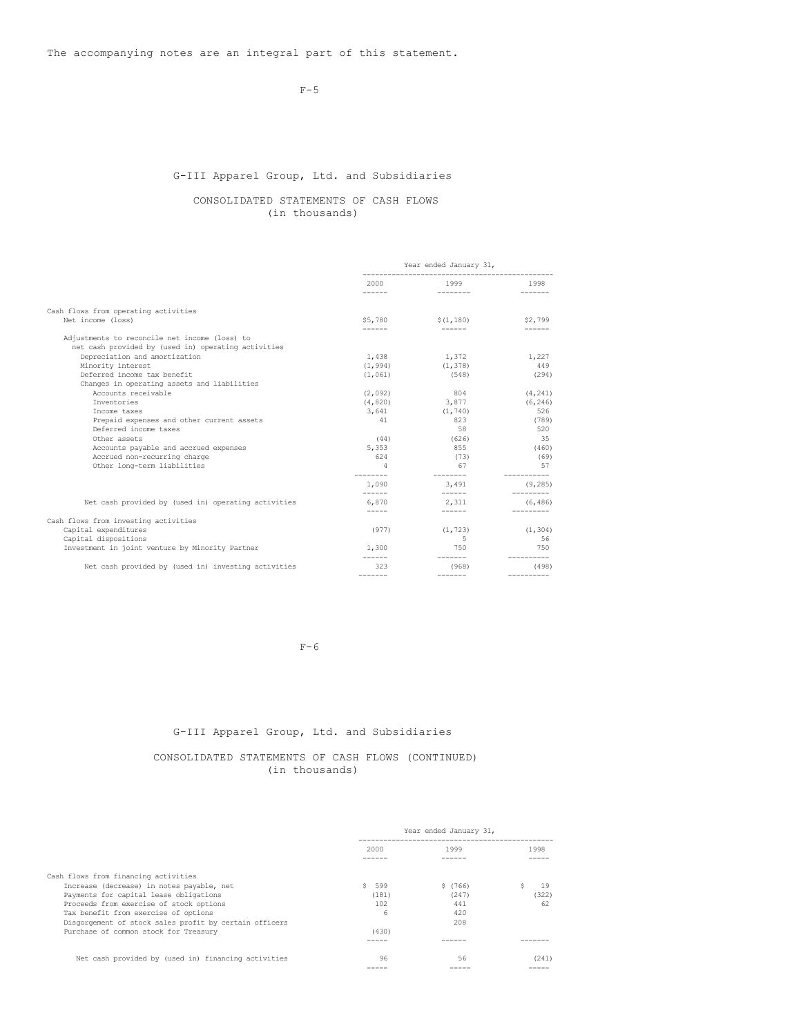The accompanying notes are an integral part of this statement.

 $F-5$ 

# G-III Apparel Group, Ltd. and Subsidiaries

# CONSOLIDATED STATEMENTS OF CASH FLOWS (in thousands)

|                                                     | Year ended January 31, |                                           |             |
|-----------------------------------------------------|------------------------|-------------------------------------------|-------------|
|                                                     |                        | 2000 1999<br><u>and a second property</u> | 1998        |
|                                                     | -------                |                                           | -------     |
| Cash flows from operating activities                |                        |                                           |             |
| Net income (loss)                                   |                        | $$1,180$ $$1,180$                         | \$2,799     |
| Adjustments to reconcile net income (loss) to       |                        |                                           |             |
| net cash provided by (used in) operating activities |                        |                                           |             |
| Depreciation and amortization                       | 1,438                  | 1,372                                     | 1,227       |
| Minority interest                                   | (1, 994)               | (1, 378)                                  | 449         |
| Deferred income tax benefit                         | (1, 061)               | (548)                                     | (294)       |
| Changes in operating assets and liabilities         |                        |                                           |             |
| Accounts receivable                                 | (2, 092)               | 804                                       | (4, 241)    |
| Inventories                                         |                        | $(4,820)$ 3,877                           | (6, 246)    |
| Income taxes                                        | 3,641                  | (1, 740)                                  | 526         |
| Prepaid expenses and other current assets           | 41                     | 823                                       | (789)       |
| Deferred income taxes                               |                        | 58                                        | 520         |
| Other assets                                        | (44)                   | (626)                                     | 35          |
| Accounts payable and accrued expenses               | 5,353                  | 855                                       | (460)       |
| Accrued non-recurring charge                        | 624                    | (73)                                      | (69)        |
| Other long-term liabilities                         | $\overline{a}$         | 67                                        | - 57        |
|                                                     | ---------<br>1,090     | ________<br>3,491                         | (9, 285)    |
|                                                     | -------                |                                           | ___________ |
| Net cash provided by (used in) operating activities | 6,870<br>$\frac{1}{2}$ | 2.311<br>------- <b>11</b>                | (6, 486)    |
| Cash flows from investing activities                |                        |                                           |             |
| Capital expenditures                                | (977)                  | (1, 723)                                  | (1, 304)    |
| Capital dispositions                                |                        | $5 - 5$                                   | 56          |
| Investment in joint venture by Minority Partner     | 1,300                  | 750                                       | 750         |
| Net cash provided by (used in) investing activities | -------<br>323         | (968)                                     | (498)       |
|                                                     | -------                | -------                                   |             |

 $F-6$ 

# G-III Apparel Group, Ltd. and Subsidiaries

# CONSOLIDATED STATEMENTS OF CASH FLOWS (CONTINUED) (in thousands)

|                                                        | Year ended January 31, |         |       |
|--------------------------------------------------------|------------------------|---------|-------|
|                                                        | 2000                   | 1999    | 1998  |
|                                                        |                        |         |       |
| Cash flows from financing activities                   |                        |         |       |
| Increase (decrease) in notes payable, net              | S.<br>599              | \$(766) | 19    |
| Payments for capital lease obligations                 | (181)                  | (247)   | (322) |
| Proceeds from exercise of stock options                | 102                    | 441     | 62    |
| Tax benefit from exercise of options                   | 6                      | 420     |       |
| Disgorgement of stock sales profit by certain officers |                        | 208     |       |
| Purchase of common stock for Treasury                  | (430)                  |         |       |
|                                                        |                        |         |       |
| Net cash provided by (used in) financing activities    | 96                     | 56      | (241) |
|                                                        |                        |         |       |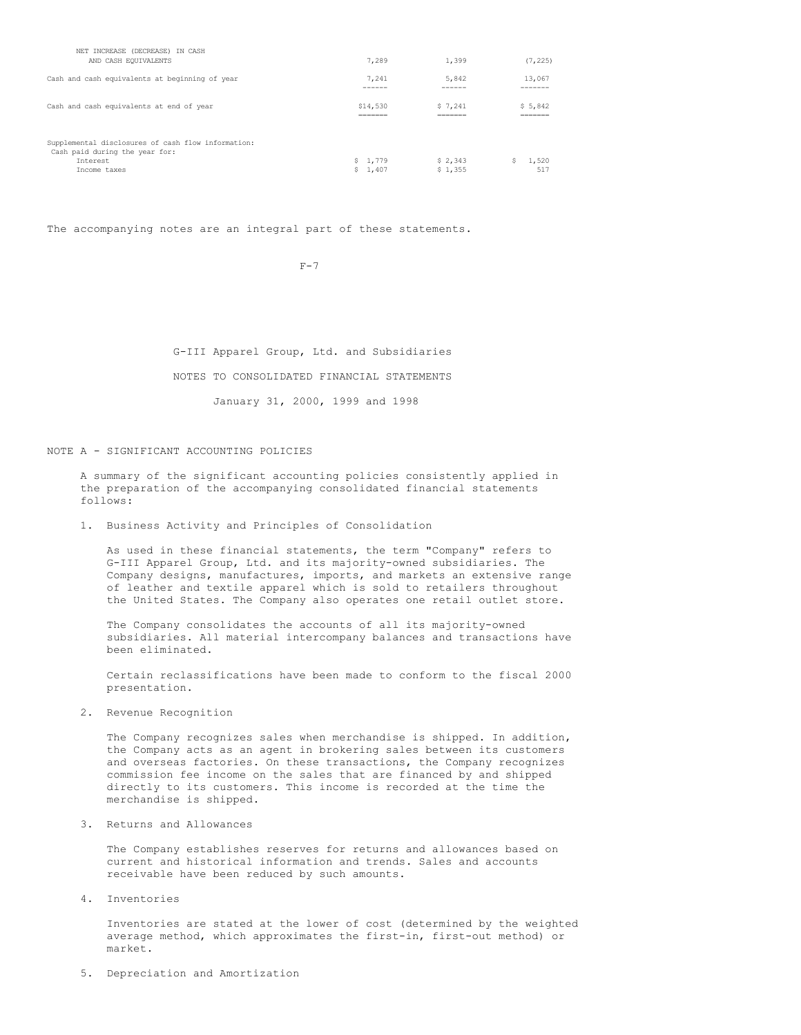| NET INCREASE (DECREASE) IN CASH<br>AND CASH EQUIVALENTS                                                          | 7.289              | 1,399              | (7, 225)           |
|------------------------------------------------------------------------------------------------------------------|--------------------|--------------------|--------------------|
| Cash and cash equivalents at beginning of year                                                                   | 7.241              | 5,842              | 13,067             |
|                                                                                                                  | ------             | ------             | ------             |
| Cash and cash equivalents at end of year                                                                         | \$14,530           | \$7.241            | \$5,842            |
|                                                                                                                  | _______            | _______            | _______            |
|                                                                                                                  | =======            | ======             | ------             |
| Supplemental disclosures of cash flow information:<br>Cash paid during the year for:<br>Tnterest<br>Income taxes | \$1.779<br>\$1.407 | \$2.343<br>\$1,355 | Ŝ.<br>1,520<br>517 |

The accompanying notes are an integral part of these statements.

 $F-7$ 

G-III Apparel Group, Ltd. and Subsidiaries NOTES TO CONSOLIDATED FINANCIAL STATEMENTS January 31, 2000, 1999 and 1998

NOTE A - SIGNIFICANT ACCOUNTING POLICIES

A summary of the significant accounting policies consistently applied in the preparation of the accompanying consolidated financial statements follows:

1. Business Activity and Principles of Consolidation

As used in these financial statements, the term "Company" refers to G-III Apparel Group, Ltd. and its majority-owned subsidiaries. The Company designs, manufactures, imports, and markets an extensive range of leather and textile apparel which is sold to retailers throughout the United States. The Company also operates one retail outlet store.

The Company consolidates the accounts of all its majority-owned subsidiaries. All material intercompany balances and transactions have been eliminated.

Certain reclassifications have been made to conform to the fiscal 2000 presentation.

2. Revenue Recognition

The Company recognizes sales when merchandise is shipped. In addition, the Company acts as an agent in brokering sales between its customers and overseas factories. On these transactions, the Company recognizes commission fee income on the sales that are financed by and shipped directly to its customers. This income is recorded at the time the merchandise is shipped.

3. Returns and Allowances

The Company establishes reserves for returns and allowances based on current and historical information and trends. Sales and accounts receivable have been reduced by such amounts.

4. Inventories

Inventories are stated at the lower of cost (determined by the weighted average method, which approximates the first-in, first-out method) or market.

5. Depreciation and Amortization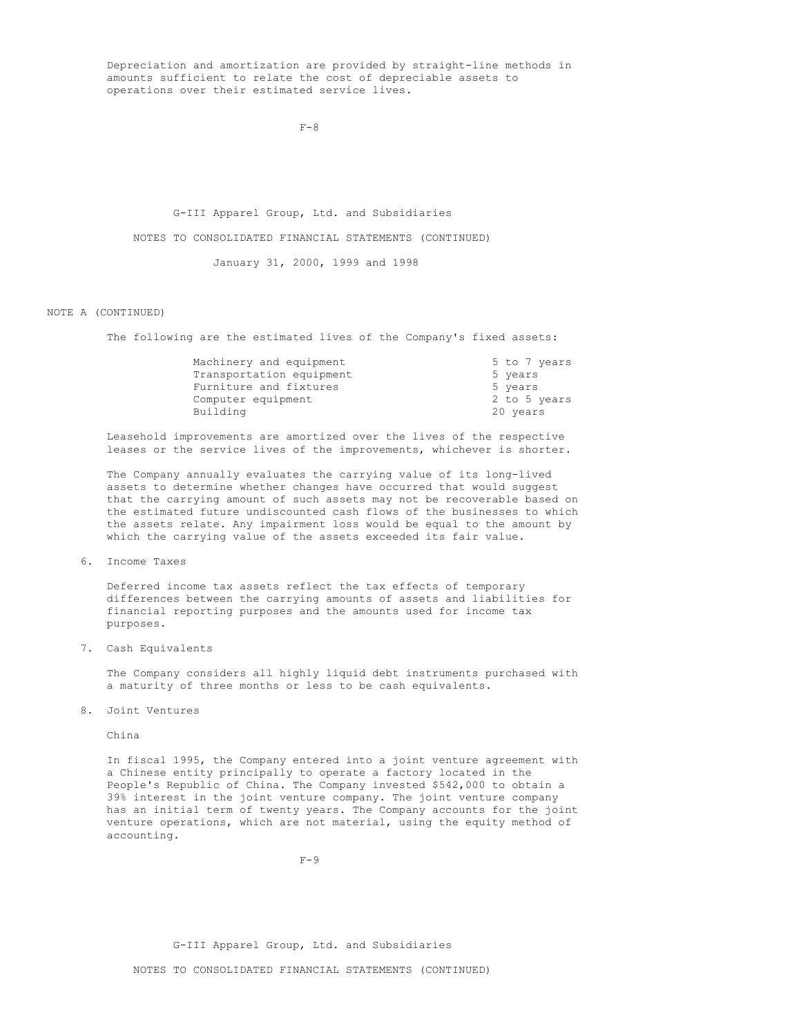Depreciation and amortization are provided by straight-line methods in amounts sufficient to relate the cost of depreciable assets to operations over their estimated service lives.

 $F - 8$ 

G-III Apparel Group, Ltd. and Subsidiaries

NOTES TO CONSOLIDATED FINANCIAL STATEMENTS (CONTINUED)

January 31, 2000, 1999 and 1998

### NOTE A (CONTINUED)

The following are the estimated lives of the Company's fixed assets:

| Machinery and equipment  | 5 to 7 years |
|--------------------------|--------------|
| Transportation equipment | 5 years      |
| Furniture and fixtures   | 5 years      |
| Computer equipment       | 2 to 5 years |
| Building                 | 20 years     |

Leasehold improvements are amortized over the lives of the respective leases or the service lives of the improvements, whichever is shorter.

The Company annually evaluates the carrying value of its long-lived assets to determine whether changes have occurred that would suggest that the carrying amount of such assets may not be recoverable based on the estimated future undiscounted cash flows of the businesses to which the assets relate. Any impairment loss would be equal to the amount by which the carrying value of the assets exceeded its fair value.

6. Income Taxes

Deferred income tax assets reflect the tax effects of temporary differences between the carrying amounts of assets and liabilities for financial reporting purposes and the amounts used for income tax purposes.

7. Cash Equivalents

The Company considers all highly liquid debt instruments purchased with a maturity of three months or less to be cash equivalents.

8. Joint Ventures

China

In fiscal 1995, the Company entered into a joint venture agreement with a Chinese entity principally to operate a factory located in the People's Republic of China. The Company invested \$542,000 to obtain a 39% interest in the joint venture company. The joint venture company has an initial term of twenty years. The Company accounts for the joint venture operations, which are not material, using the equity method of accounting.

 $F-9$ 

NOTES TO CONSOLIDATED FINANCIAL STATEMENTS (CONTINUED)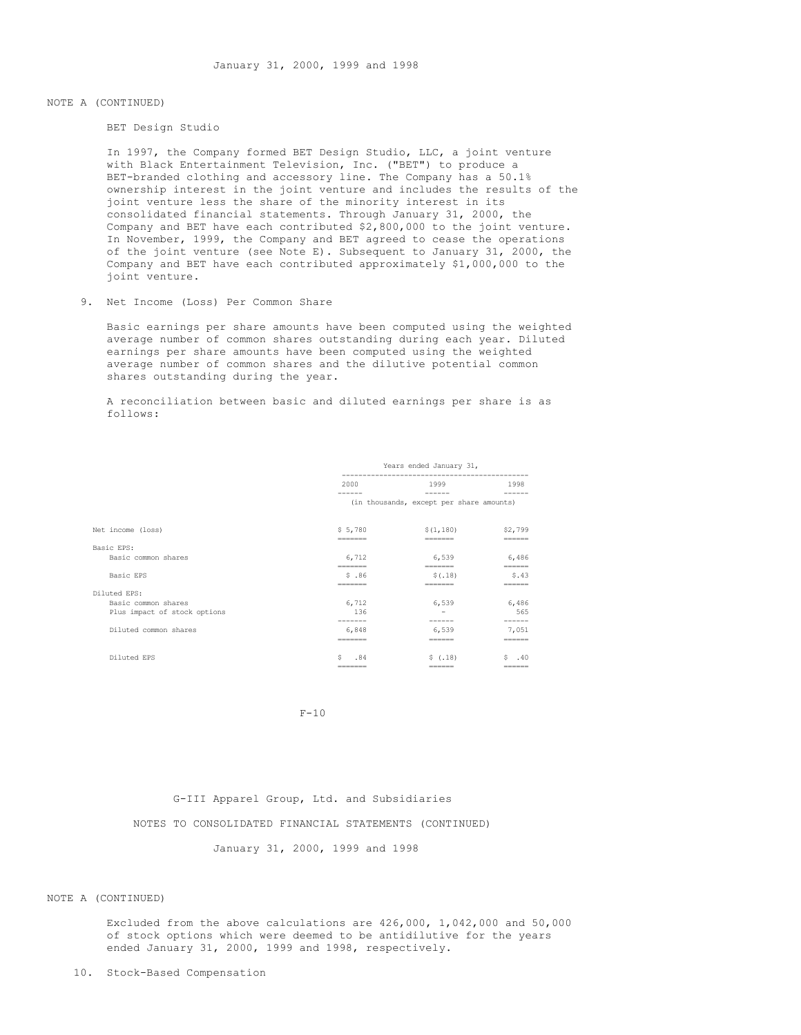# NOTE A (CONTINUED)

BET Design Studio

In 1997, the Company formed BET Design Studio, LLC, a joint venture with Black Entertainment Television, Inc. ("BET") to produce a BET-branded clothing and accessory line. The Company has a 50.1% ownership interest in the joint venture and includes the results of the joint venture less the share of the minority interest in its consolidated financial statements. Through January 31, 2000, the Company and BET have each contributed \$2,800,000 to the joint venture. In November, 1999, the Company and BET agreed to cease the operations of the joint venture (see Note E). Subsequent to January 31, 2000, the Company and BET have each contributed approximately \$1,000,000 to the joint venture.

# 9. Net Income (Loss) Per Common Share

Basic earnings per share amounts have been computed using the weighted average number of common shares outstanding during each year. Diluted earnings per share amounts have been computed using the weighted average number of common shares and the dilutive potential common shares outstanding during the year.

A reconciliation between basic and diluted earnings per share is as follows:

|                              | Years ended January 31, |                                                                         |           |
|------------------------------|-------------------------|-------------------------------------------------------------------------|-----------|
|                              | 2000                    | 1999                                                                    | 1998      |
|                              |                         | (in thousands, except per share amounts)                                |           |
| Net income (loss)            | \$5,780                 | \$(1,180)                                                               | \$2,799   |
| Basic EPS:                   | -------                 | -------                                                                 | ------    |
| Basic common shares          | 6,712                   | 6,539                                                                   | 6,486     |
|                              | =======                 | $\qquad \qquad \equiv \equiv \equiv \equiv \equiv \equiv \equiv \equiv$ | ======    |
| Basic EPS                    | \$.86                   | \$(.18)                                                                 | \$.43     |
| Diluted EPS:                 | ______                  | -------                                                                 | ------    |
| Basic common shares          | 6,712                   | 6,539                                                                   | 6,486     |
| Plus impact of stock options | 136                     |                                                                         | 565       |
|                              |                         |                                                                         |           |
| Diluted common shares        | 6,848                   | 6,539                                                                   | 7,051     |
|                              | =======                 | $=$ $=$ $=$ $=$ $=$ $=$                                                 | ======    |
| Diluted EPS                  | s<br>.84                | \$(.18)                                                                 | $S = .40$ |
|                              | -------                 | ------                                                                  | ------    |

 $F-10$ 

# G-III Apparel Group, Ltd. and Subsidiaries

NOTES TO CONSOLIDATED FINANCIAL STATEMENTS (CONTINUED)

January 31, 2000, 1999 and 1998

### NOTE A (CONTINUED)

Excluded from the above calculations are 426,000, 1,042,000 and 50,000 of stock options which were deemed to be antidilutive for the years ended January 31, 2000, 1999 and 1998, respectively.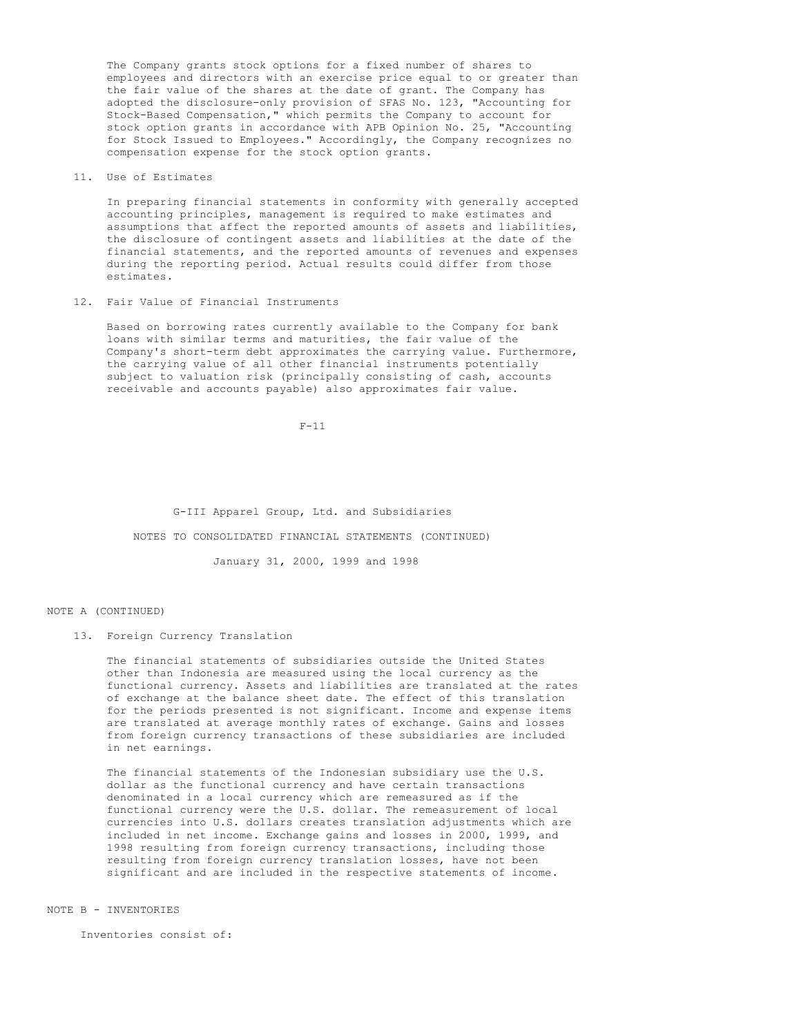The Company grants stock options for a fixed number of shares to employees and directors with an exercise price equal to or greater than the fair value of the shares at the date of grant. The Company has adopted the disclosure-only provision of SFAS No. 123, "Accounting for Stock-Based Compensation," which permits the Company to account for stock option grants in accordance with APB Opinion No. 25, "Accounting for Stock Issued to Employees." Accordingly, the Company recognizes no compensation expense for the stock option grants.

11. Use of Estimates

In preparing financial statements in conformity with generally accepted accounting principles, management is required to make estimates and assumptions that affect the reported amounts of assets and liabilities, the disclosure of contingent assets and liabilities at the date of the financial statements, and the reported amounts of revenues and expenses during the reporting period. Actual results could differ from those estimates.

12. Fair Value of Financial Instruments

Based on borrowing rates currently available to the Company for bank loans with similar terms and maturities, the fair value of the Company's short-term debt approximates the carrying value. Furthermore, the carrying value of all other financial instruments potentially subject to valuation risk (principally consisting of cash, accounts receivable and accounts payable) also approximates fair value.

 $F-11$ 

G-III Apparel Group, Ltd. and Subsidiaries

NOTES TO CONSOLIDATED FINANCIAL STATEMENTS (CONTINUED)

January 31, 2000, 1999 and 1998

### NOTE A (CONTINUED)

13. Foreign Currency Translation

The financial statements of subsidiaries outside the United States other than Indonesia are measured using the local currency as the functional currency. Assets and liabilities are translated at the rates of exchange at the balance sheet date. The effect of this translation for the periods presented is not significant. Income and expense items are translated at average monthly rates of exchange. Gains and losses from foreign currency transactions of these subsidiaries are included in net earnings.

The financial statements of the Indonesian subsidiary use the U.S. dollar as the functional currency and have certain transactions denominated in a local currency which are remeasured as if the functional currency were the U.S. dollar. The remeasurement of local currencies into U.S. dollars creates translation adjustments which are included in net income. Exchange gains and losses in 2000, 1999, and 1998 resulting from foreign currency transactions, including those resulting from foreign currency translation losses, have not been significant and are included in the respective statements of income.

NOTE B - INVENTORIES

Inventories consist of: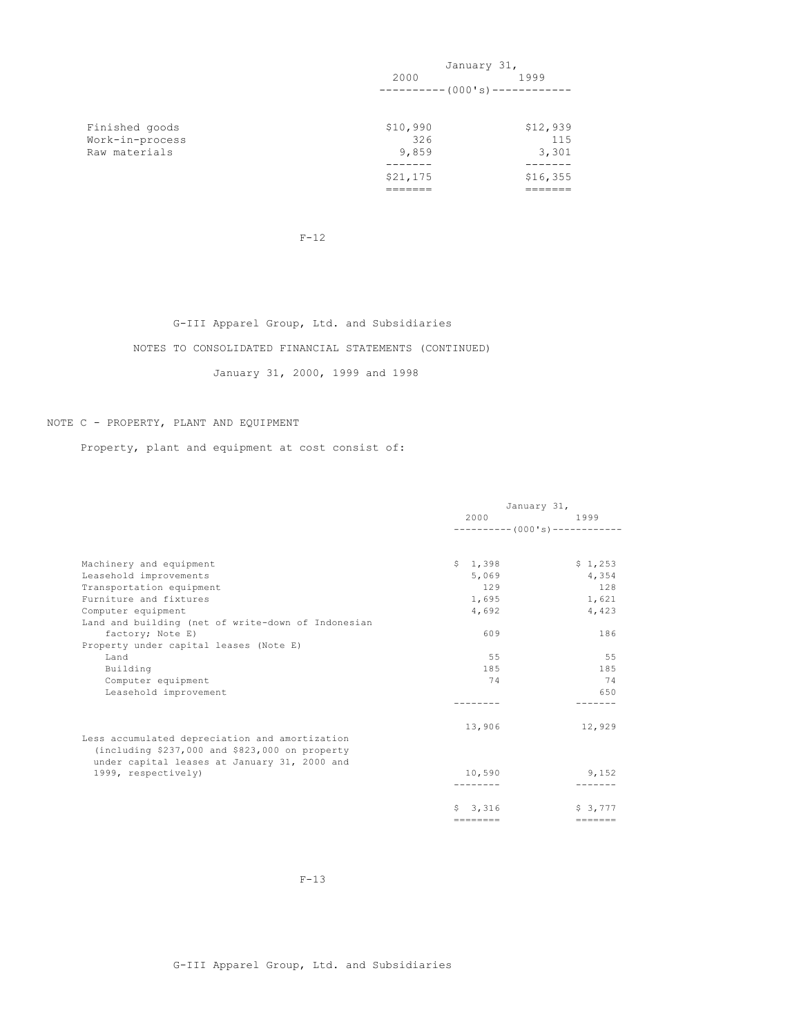|                                   |                 | January 31,            |
|-----------------------------------|-----------------|------------------------|
|                                   | 2000            | 1999                   |
|                                   |                 | $-------(000's)------$ |
|                                   |                 | \$12,939               |
| Finished goods<br>Work-in-process | \$10,990<br>326 | 115                    |
| Raw materials                     | 9,859           | 3,301                  |
|                                   | \$21,175        | \$16,355               |
|                                   |                 |                        |

F-12

# G-III Apparel Group, Ltd. and Subsidiaries

# NOTES TO CONSOLIDATED FINANCIAL STATEMENTS (CONTINUED)

January 31, 2000, 1999 and 1998

# NOTE C - PROPERTY, PLANT AND EQUIPMENT

Property, plant and equipment at cost consist of:

|                                                    | January 31,       |                                |
|----------------------------------------------------|-------------------|--------------------------------|
|                                                    | 2000              | 1999                           |
|                                                    |                   | $---------(000's)------------$ |
| Machinery and equipment                            | \$1,398           | \$1,253                        |
| Leasehold improvements                             | 5,069             | 4,354                          |
| Transportation equipment                           | 129               | 128                            |
| Furniture and fixtures                             | 1,695             | 1,621                          |
| Computer equipment                                 | 4,692             | 4,423                          |
| Land and building (net of write-down of Indonesian |                   |                                |
| factory; Note E)                                   | 609               | 186                            |
| Property under capital leases (Note E)             |                   |                                |
| Land                                               | 55                | 55                             |
| Building                                           | 185               | 185                            |
| Computer equipment                                 | 74                | 74                             |
| Leasehold improvement                              |                   | 650                            |
|                                                    |                   |                                |
|                                                    | 13,906            | 12,929                         |
| Less accumulated depreciation and amortization     |                   |                                |
| (including \$237,000 and \$823,000 on property     |                   |                                |
| under capital leases at January 31, 2000 and       |                   |                                |
| 1999, respectively)                                | 10,590            | 9,152                          |
|                                                    |                   |                                |
|                                                    | \$3,316           | \$3,777                        |
|                                                    | $=$ = = = = = = = | $=$ = = = = = =                |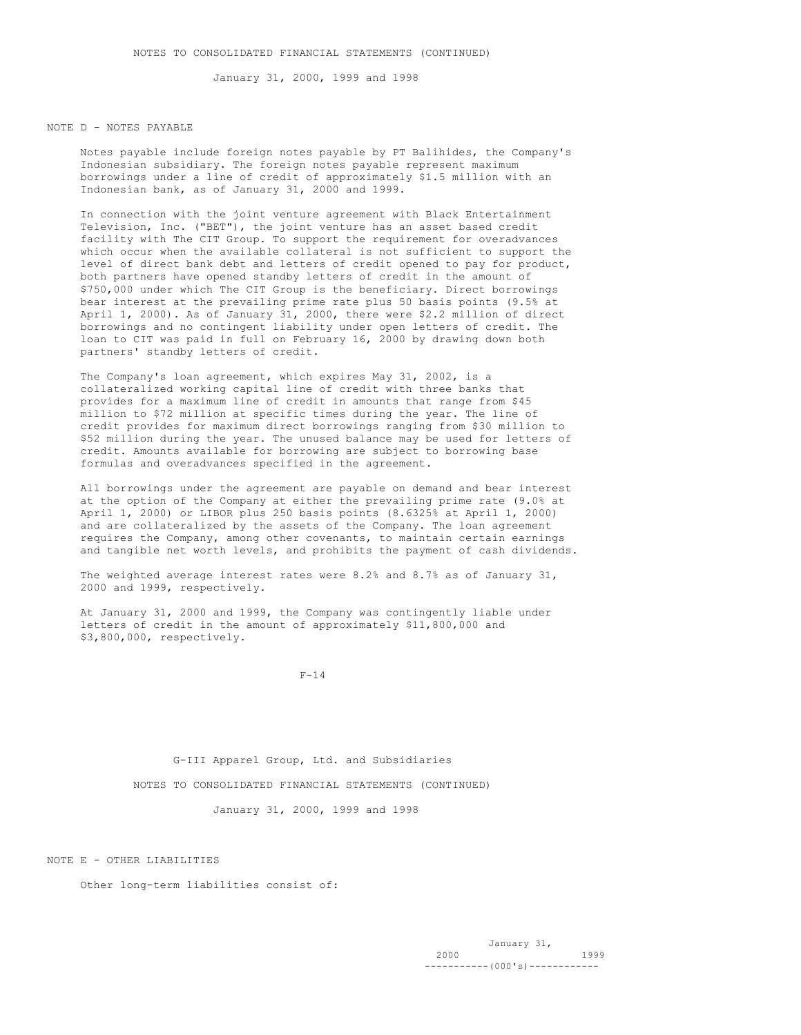January 31, 2000, 1999 and 1998

### NOTE D - NOTES PAYABLE

Notes payable include foreign notes payable by PT Balihides, the Company's Indonesian subsidiary. The foreign notes payable represent maximum borrowings under a line of credit of approximately \$1.5 million with an Indonesian bank, as of January 31, 2000 and 1999.

In connection with the joint venture agreement with Black Entertainment Television, Inc. ("BET"), the joint venture has an asset based credit facility with The CIT Group. To support the requirement for overadvances which occur when the available collateral is not sufficient to support the level of direct bank debt and letters of credit opened to pay for product, both partners have opened standby letters of credit in the amount of \$750,000 under which The CIT Group is the beneficiary. Direct borrowings bear interest at the prevailing prime rate plus 50 basis points (9.5% at April 1, 2000). As of January 31, 2000, there were \$2.2 million of direct borrowings and no contingent liability under open letters of credit. The loan to CIT was paid in full on February 16, 2000 by drawing down both partners' standby letters of credit.

The Company's loan agreement, which expires May 31, 2002, is a collateralized working capital line of credit with three banks that provides for a maximum line of credit in amounts that range from \$45 million to \$72 million at specific times during the year. The line of credit provides for maximum direct borrowings ranging from \$30 million to \$52 million during the year. The unused balance may be used for letters of credit. Amounts available for borrowing are subject to borrowing base formulas and overadvances specified in the agreement.

All borrowings under the agreement are payable on demand and bear interest at the option of the Company at either the prevailing prime rate (9.0% at April 1, 2000) or LIBOR plus 250 basis points (8.6325% at April 1, 2000) and are collateralized by the assets of the Company. The loan agreement requires the Company, among other covenants, to maintain certain earnings and tangible net worth levels, and prohibits the payment of cash dividends.

The weighted average interest rates were 8.2% and 8.7% as of January 31, 2000 and 1999, respectively.

At January 31, 2000 and 1999, the Company was contingently liable under letters of credit in the amount of approximately \$11,800,000 and \$3,800,000, respectively.

 $F-14$ 

G-III Apparel Group, Ltd. and Subsidiaries NOTES TO CONSOLIDATED FINANCIAL STATEMENTS (CONTINUED)

January 31, 2000, 1999 and 1998

NOTE E - OTHER LIABILITIES

Other long-term liabilities consist of: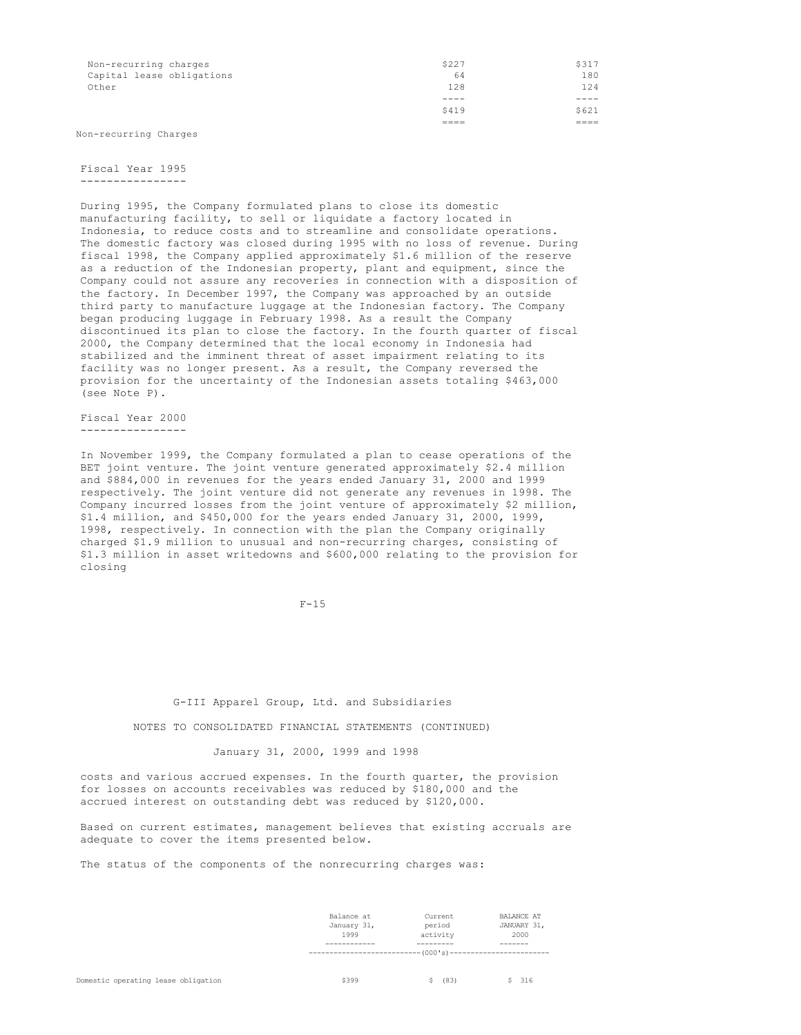| Non-recurring charges<br>Capital lease obligations<br>Other | \$227<br>64<br>128 | \$317<br>180<br>124 |
|-------------------------------------------------------------|--------------------|---------------------|
|                                                             | ----               | ----                |
|                                                             | \$419              | \$621               |
|                                                             |                    | ----                |

Non-recurring Charges

### Fiscal Year 1995 ----------------

During 1995, the Company formulated plans to close its domestic manufacturing facility, to sell or liquidate a factory located in Indonesia, to reduce costs and to streamline and consolidate operations. The domestic factory was closed during 1995 with no loss of revenue. During fiscal 1998, the Company applied approximately \$1.6 million of the reserve as a reduction of the Indonesian property, plant and equipment, since the Company could not assure any recoveries in connection with a disposition of the factory. In December 1997, the Company was approached by an outside third party to manufacture luggage at the Indonesian factory. The Company began producing luggage in February 1998. As a result the Company discontinued its plan to close the factory. In the fourth quarter of fiscal 2000, the Company determined that the local economy in Indonesia had stabilized and the imminent threat of asset impairment relating to its facility was no longer present. As a result, the Company reversed the provision for the uncertainty of the Indonesian assets totaling \$463,000 (see Note P).

Fiscal Year 2000 ----------------

In November 1999, the Company formulated a plan to cease operations of the BET joint venture. The joint venture generated approximately \$2.4 million and \$884,000 in revenues for the years ended January 31, 2000 and 1999 respectively. The joint venture did not generate any revenues in 1998. The Company incurred losses from the joint venture of approximately \$2 million, \$1.4 million, and \$450,000 for the years ended January 31, 2000, 1999, 1998, respectively. In connection with the plan the Company originally charged \$1.9 million to unusual and non-recurring charges, consisting of \$1.3 million in asset writedowns and \$600,000 relating to the provision for closing

 $F-15$ 

G-III Apparel Group, Ltd. and Subsidiaries

NOTES TO CONSOLIDATED FINANCIAL STATEMENTS (CONTINUED)

January 31, 2000, 1999 and 1998

costs and various accrued expenses. In the fourth quarter, the provision for losses on accounts receivables was reduced by \$180,000 and the accrued interest on outstanding debt was reduced by \$120,000.

Based on current estimates, management believes that existing accruals are adequate to cover the items presented below.

The status of the components of the nonrecurring charges was:

|             | $-$ (000's) ------------ |                   |  |
|-------------|--------------------------|-------------------|--|
|             |                          |                   |  |
| 1999        | activity                 | 2000              |  |
| January 31, | period                   | JANUARY 31,       |  |
| Balance at  | Current                  | <b>BALANCE AT</b> |  |
|             |                          |                   |  |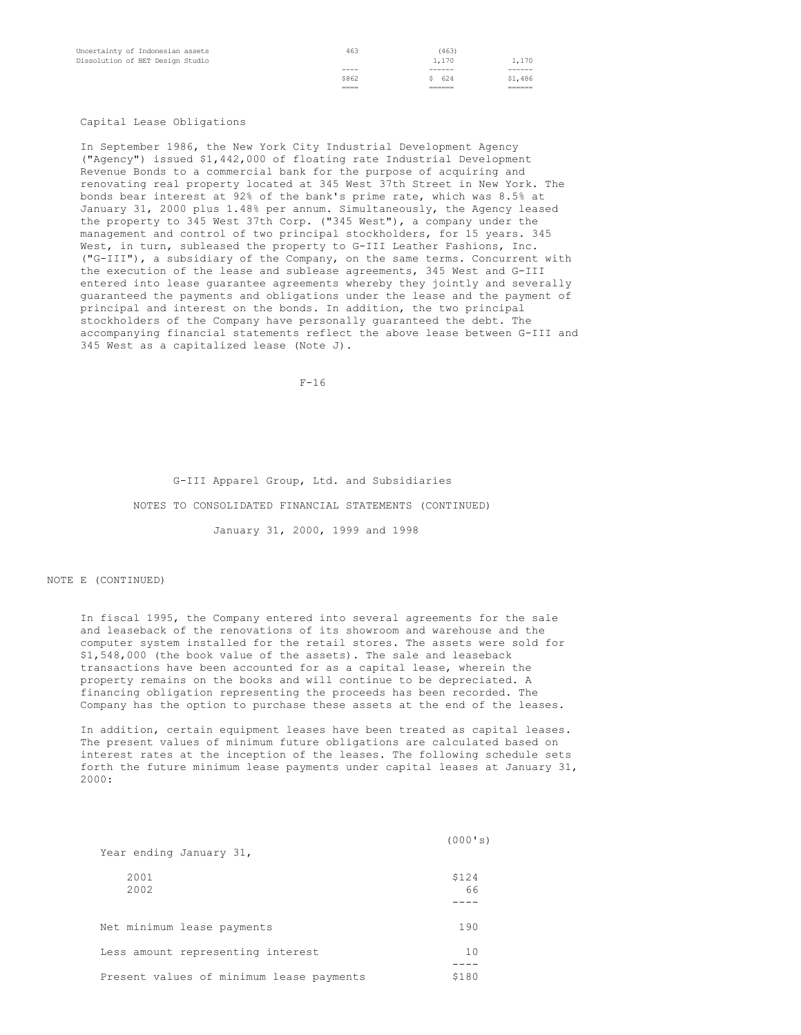| Uncertainty of Indonesian assets<br>Dissolution of BET Design Studio | 463          | (463)<br>1,170 | 1,170   |
|----------------------------------------------------------------------|--------------|----------------|---------|
|                                                                      | ----         | ------         | ------  |
|                                                                      | \$862        | \$624          | \$1,486 |
|                                                                      | ____<br>____ |                | ______  |

### Capital Lease Obligations

In September 1986, the New York City Industrial Development Agency ("Agency") issued \$1,442,000 of floating rate Industrial Development Revenue Bonds to a commercial bank for the purpose of acquiring and renovating real property located at 345 West 37th Street in New York. The bonds bear interest at 92% of the bank's prime rate, which was 8.5% at January 31, 2000 plus 1.48% per annum. Simultaneously, the Agency leased the property to 345 West 37th Corp. ("345 West"), a company under the management and control of two principal stockholders, for 15 years. 345 West, in turn, subleased the property to G-III Leather Fashions, Inc. ("G-III"), a subsidiary of the Company, on the same terms. Concurrent with the execution of the lease and sublease agreements, 345 West and G-III entered into lease guarantee agreements whereby they jointly and severally guaranteed the payments and obligations under the lease and the payment of principal and interest on the bonds. In addition, the two principal stockholders of the Company have personally guaranteed the debt. The accompanying financial statements reflect the above lease between G-III and 345 West as a capitalized lease (Note J).

F-16

# G-III Apparel Group, Ltd. and Subsidiaries

### NOTES TO CONSOLIDATED FINANCIAL STATEMENTS (CONTINUED)

January 31, 2000, 1999 and 1998

# NOTE E (CONTINUED)

In fiscal 1995, the Company entered into several agreements for the sale and leaseback of the renovations of its showroom and warehouse and the computer system installed for the retail stores. The assets were sold for \$1,548,000 (the book value of the assets). The sale and leaseback transactions have been accounted for as a capital lease, wherein the property remains on the books and will continue to be depreciated. A financing obligation representing the proceeds has been recorded. The Company has the option to purchase these assets at the end of the leases.

In addition, certain equipment leases have been treated as capital leases. The present values of minimum future obligations are calculated based on interest rates at the inception of the leases. The following schedule sets forth the future minimum lease payments under capital leases at January 31, 2000:

| Year ending January 31,                  | (000's)     |
|------------------------------------------|-------------|
| 2001<br>2002                             | \$124<br>66 |
|                                          |             |
| Net minimum lease payments               | 190         |
| Less amount representing interest        | 10          |
| Present values of minimum lease payments | \$180       |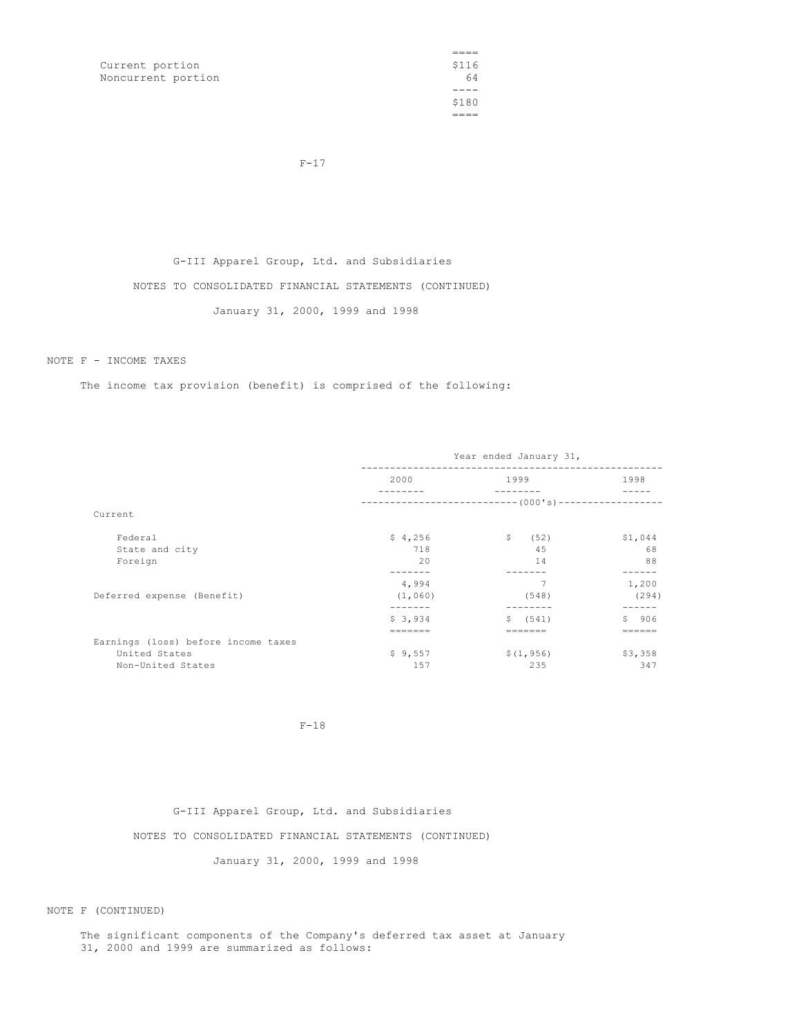Current portion Noncurrent portion

 $===$ <br>\$116  $-64$ \$180  $=$ 

 $F-17$ 

G-III Apparel Group, Ltd. and Subsidiaries NOTES TO CONSOLIDATED FINANCIAL STATEMENTS (CONTINUED)

January 31, 2000, 1999 and 1998

NOTE F - INCOME TAXES

The income tax provision (benefit) is comprised of the following:

|                                     | Year ended January 31, |                      |         |  |  |
|-------------------------------------|------------------------|----------------------|---------|--|--|
|                                     | 2000                   | 1999                 | 1998    |  |  |
|                                     |                        |                      |         |  |  |
| Current                             |                        |                      |         |  |  |
| Federal                             | \$4,256                | $\mathsf{S}$<br>(52) | \$1,044 |  |  |
| State and city                      | 718                    | 45                   | 68      |  |  |
| Foreign                             | 20                     | 14                   | 88      |  |  |
|                                     |                        |                      |         |  |  |
|                                     | 4,994                  | 7                    | 1,200   |  |  |
| Deferred expense (Benefit)          | (1,060)                | (548)                | (294)   |  |  |
|                                     |                        |                      |         |  |  |
|                                     | \$3,934                | \$ (541)             | \$906   |  |  |
|                                     |                        |                      |         |  |  |
| Earnings (loss) before income taxes |                        |                      |         |  |  |
| United States                       | \$9,557                | \$(1, 956)           | \$3,358 |  |  |
| Non-United States                   | 157                    | 235                  | 347     |  |  |

F-18

G-III Apparel Group, Ltd. and Subsidiaries

NOTES TO CONSOLIDATED FINANCIAL STATEMENTS (CONTINUED)

January 31, 2000, 1999 and 1998

NOTE F (CONTINUED)

The significant components of the Company's deferred tax asset at January 31, 2000 and 1999 are summarized as follows: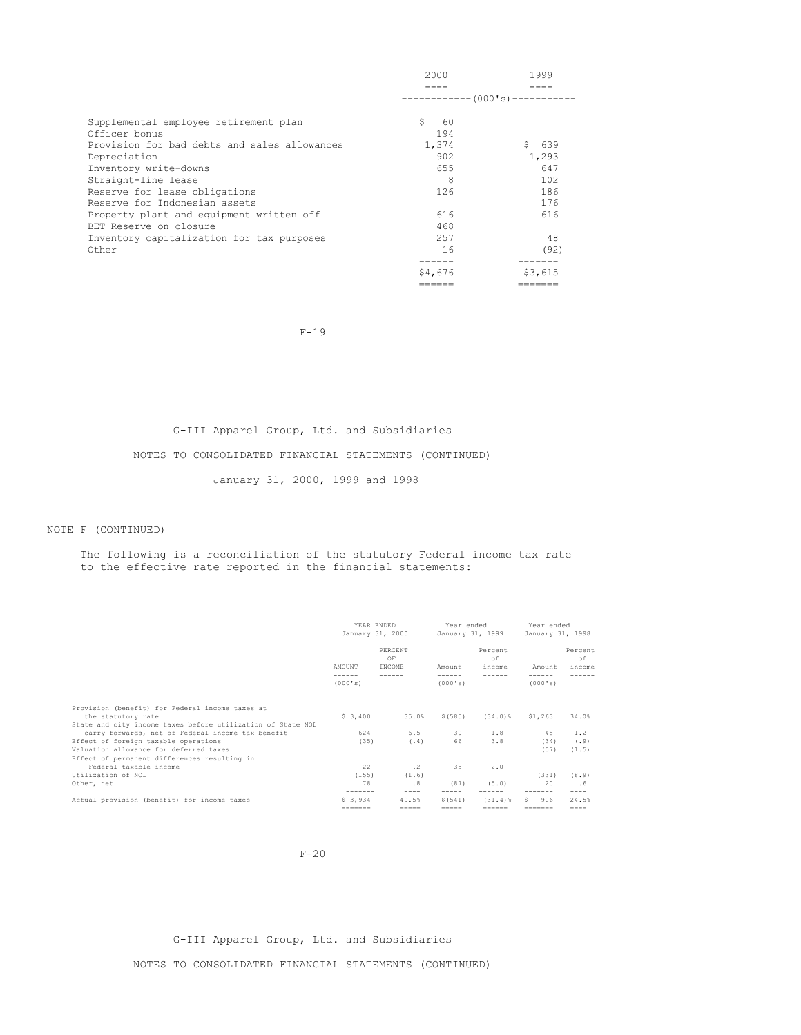|                                              | 2000                          | 1999      |
|----------------------------------------------|-------------------------------|-----------|
|                                              |                               |           |
|                                              | ------------ (000's)--------- |           |
| Supplemental employee retirement plan        | S<br>60                       |           |
| Officer bonus                                | 194                           |           |
| Provision for bad debts and sales allowances | 1,374                         | S.<br>639 |
| Depreciation                                 | 902                           | 1,293     |
| Inventory write-downs                        | 655                           | 647       |
| Straight-line lease                          | 8                             | 102       |
| Reserve for lease obligations                | 126                           | 186       |
| Reserve for Indonesian assets                |                               | 176       |
| Property plant and equipment written off     | 616                           | 616       |
| BET Reserve on closure                       | 468                           |           |
| Inventory capitalization for tax purposes    | 2.57                          | 48        |
| Other                                        | 16                            | (92)      |
|                                              |                               |           |
|                                              | \$4,676                       | \$3,615   |
|                                              | ------                        | ======    |

F-19

# G-III Apparel Group, Ltd. and Subsidiaries

# NOTES TO CONSOLIDATED FINANCIAL STATEMENTS (CONTINUED)

January 31, 2000, 1999 and 1998

# NOTE F (CONTINUED)

# The following is a reconciliation of the statutory Federal income tax rate to the effective rate reported in the financial statements:

|                                                             | YEAR ENDED |                  | Year ended          |                  | Year ended       |           |
|-------------------------------------------------------------|------------|------------------|---------------------|------------------|------------------|-----------|
|                                                             |            | January 31, 2000 |                     | January 31, 1999 | January 31, 1998 |           |
|                                                             | .          |                  | ------------------- |                  | ----------       |           |
|                                                             |            | PERCENT          |                     | Percent          |                  | Percent   |
|                                                             |            | OF               |                     | оf               |                  | оf        |
|                                                             | AMOUNT     | INCOME           | Amount              | income           | Amount           | income    |
|                                                             |            | ------           | ------              |                  |                  |           |
|                                                             | (000's)    |                  | (000's)             |                  | (000's)          |           |
|                                                             |            |                  |                     |                  |                  |           |
| Provision (benefit) for Federal income taxes at             |            |                  |                     |                  |                  |           |
| the statutory rate                                          | \$3,400    | 35.0%            | \$ (585)            | $(34.0)$ %       | \$1,263          | 34.0%     |
| State and city income taxes before utilization of State NOL |            |                  |                     |                  |                  |           |
| carry forwards, net of Federal income tax benefit           | 624        | 6.5              |                     | 30 1.8           | 45               | 1.2       |
| Effect of foreign taxable operations                        | (35)       | (.4)             | 66                  | 3.8              | (34)             | (.9)      |
| Valuation allowance for deferred taxes                      |            |                  |                     |                  | (57)             | (1.5)     |
| Effect of permanent differences resulting in                |            |                  |                     |                  |                  |           |
| Federal taxable income                                      | 22         | $\cdot$ 2        | 35                  | 2.0              |                  |           |
| Utilization of NOL                                          | (155)      | (1.6)            |                     |                  | (331)            | (8.9)     |
| Other, net                                                  | 78         | .8               | (87)                | (5.0)            | 20               | . 6       |
|                                                             | -------    | $- - - -$        | $- - - - -$         |                  | -------          | $- - - -$ |
| Actual provision (benefit) for income taxes                 | \$3.934    | 40.5%            | \$(541)             | $(31.4)$ $%$     | 906<br>S.        | 24.5%     |
|                                                             | --------   | $=$              | $=$                 | ======           | -------          | $=====$   |

# F-20

# G-III Apparel Group, Ltd. and Subsidiaries

NOTES TO CONSOLIDATED FINANCIAL STATEMENTS (CONTINUED)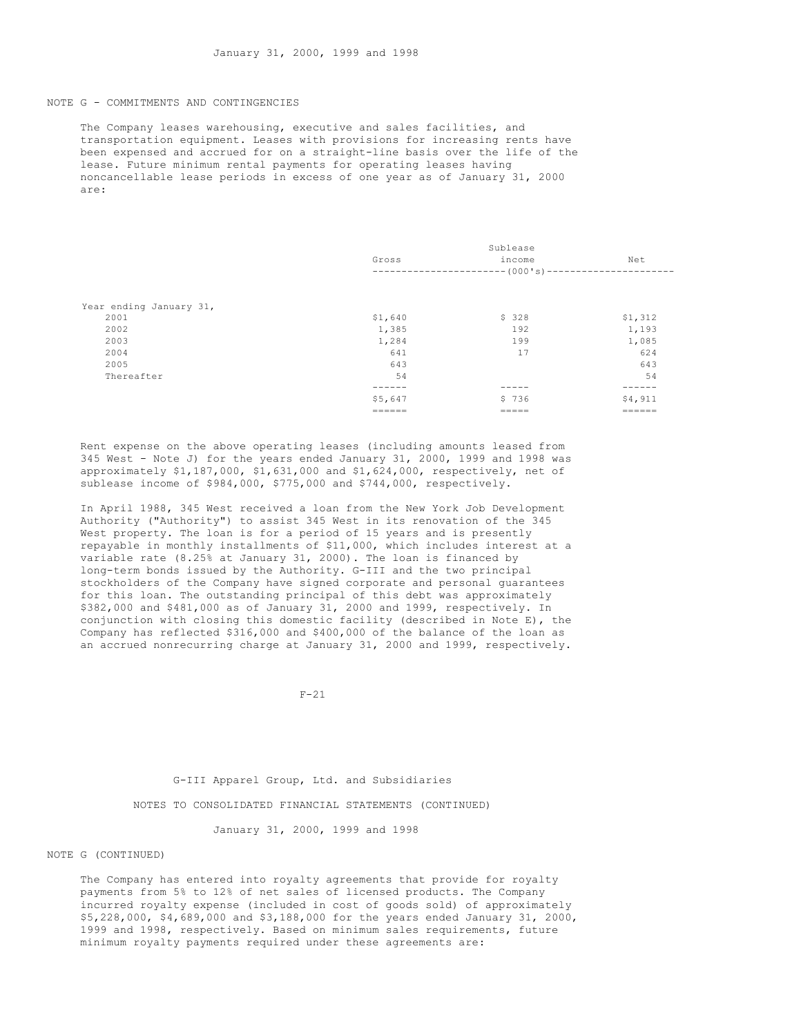### NOTE G - COMMITMENTS AND CONTINGENCIES

The Company leases warehousing, executive and sales facilities, and transportation equipment. Leases with provisions for increasing rents have been expensed and accrued for on a straight-line basis over the life of the lease. Future minimum rental payments for operating leases having noncancellable lease periods in excess of one year as of January 31, 2000 are:

|                         | Sublease |                             |         |  |  |
|-------------------------|----------|-----------------------------|---------|--|--|
|                         | Gross    | income                      | Net     |  |  |
|                         |          | $------(000's)------------$ |         |  |  |
|                         |          |                             |         |  |  |
| Year ending January 31, |          |                             |         |  |  |
| 2001                    | \$1,640  | \$328                       | \$1,312 |  |  |
| 2002                    | 1,385    | 192                         | 1,193   |  |  |
| 2003                    | 1,284    | 199                         | 1,085   |  |  |
| 2004                    | 641      | 17                          | 624     |  |  |
| 2005                    | 643      |                             | 643     |  |  |
| Thereafter              | 54       |                             | 54      |  |  |
|                         |          |                             |         |  |  |
|                         | \$5,647  | \$736                       | \$4,911 |  |  |
|                         | ======   | =====                       | ======  |  |  |

Rent expense on the above operating leases (including amounts leased from 345 West - Note J) for the years ended January 31, 2000, 1999 and 1998 was approximately \$1,187,000, \$1,631,000 and \$1,624,000, respectively, net of sublease income of \$984,000, \$775,000 and \$744,000, respectively.

In April 1988, 345 West received a loan from the New York Job Development Authority ("Authority") to assist 345 West in its renovation of the 345 West property. The loan is for a period of 15 years and is presently repayable in monthly installments of \$11,000, which includes interest at a variable rate (8.25% at January 31, 2000). The loan is financed by long-term bonds issued by the Authority. G-III and the two principal stockholders of the Company have signed corporate and personal guarantees for this loan. The outstanding principal of this debt was approximately \$382,000 and \$481,000 as of January 31, 2000 and 1999, respectively. In conjunction with closing this domestic facility (described in Note E), the Company has reflected \$316,000 and \$400,000 of the balance of the loan as an accrued nonrecurring charge at January 31, 2000 and 1999, respectively.

 $F - 21$ 

# G-III Apparel Group, Ltd. and Subsidiaries

NOTES TO CONSOLIDATED FINANCIAL STATEMENTS (CONTINUED)

January 31, 2000, 1999 and 1998

### NOTE G (CONTINUED)

The Company has entered into royalty agreements that provide for royalty payments from 5% to 12% of net sales of licensed products. The Company incurred royalty expense (included in cost of goods sold) of approximately \$5,228,000, \$4,689,000 and \$3,188,000 for the years ended January 31, 2000, 1999 and 1998, respectively. Based on minimum sales requirements, future minimum royalty payments required under these agreements are: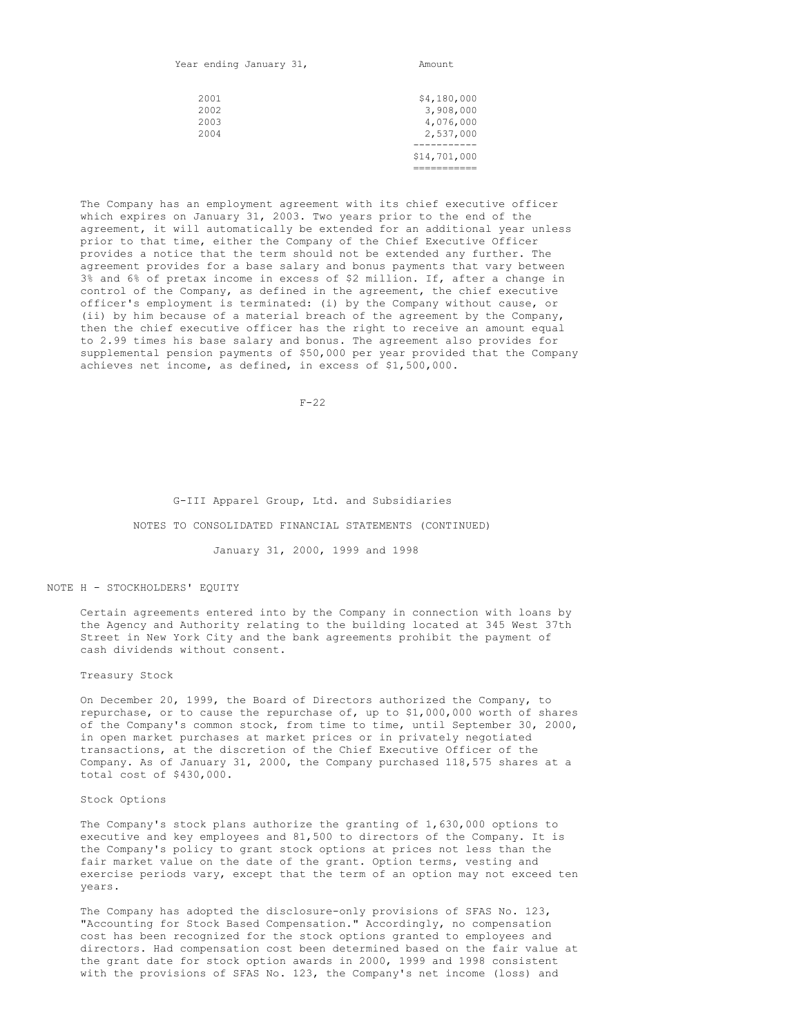|  |  | Year ending January 31, |  | Amount |
|--|--|-------------------------|--|--------|
|--|--|-------------------------|--|--------|

| 2001<br>2002<br>2003<br>2004 | \$4,180,000<br>3,908,000<br>4,076,000<br>2,537,000 |
|------------------------------|----------------------------------------------------|
|                              |                                                    |
|                              | \$14,701,000                                       |
|                              |                                                    |

The Company has an employment agreement with its chief executive officer which expires on January 31, 2003. Two years prior to the end of the agreement, it will automatically be extended for an additional year unless prior to that time, either the Company of the Chief Executive Officer provides a notice that the term should not be extended any further. The agreement provides for a base salary and bonus payments that vary between 3% and 6% of pretax income in excess of \$2 million. If, after a change in control of the Company, as defined in the agreement, the chief executive officer's employment is terminated: (i) by the Company without cause, or (ii) by him because of a material breach of the agreement by the Company, then the chief executive officer has the right to receive an amount equal to 2.99 times his base salary and bonus. The agreement also provides for supplemental pension payments of \$50,000 per year provided that the Company achieves net income, as defined, in excess of \$1,500,000.

 $F-22$ 

#### G-III Apparel Group, Ltd. and Subsidiaries

#### NOTES TO CONSOLIDATED FINANCIAL STATEMENTS (CONTINUED)

#### January 31, 2000, 1999 and 1998

### NOTE H - STOCKHOLDERS' EQUITY

Certain agreements entered into by the Company in connection with loans by the Agency and Authority relating to the building located at 345 West 37th Street in New York City and the bank agreements prohibit the payment of cash dividends without consent.

### Treasury Stock

On December 20, 1999, the Board of Directors authorized the Company, to repurchase, or to cause the repurchase of, up to \$1,000,000 worth of shares of the Company's common stock, from time to time, until September 30, 2000, in open market purchases at market prices or in privately negotiated transactions, at the discretion of the Chief Executive Officer of the Company. As of January 31, 2000, the Company purchased 118,575 shares at a total cost of \$430,000.

### Stock Options

The Company's stock plans authorize the granting of 1,630,000 options to executive and key employees and 81,500 to directors of the Company. It is the Company's policy to grant stock options at prices not less than the fair market value on the date of the grant. Option terms, vesting and exercise periods vary, except that the term of an option may not exceed ten years.

The Company has adopted the disclosure-only provisions of SFAS No. 123, "Accounting for Stock Based Compensation." Accordingly, no compensation cost has been recognized for the stock options granted to employees and directors. Had compensation cost been determined based on the fair value at the grant date for stock option awards in 2000, 1999 and 1998 consistent with the provisions of SFAS No. 123, the Company's net income (loss) and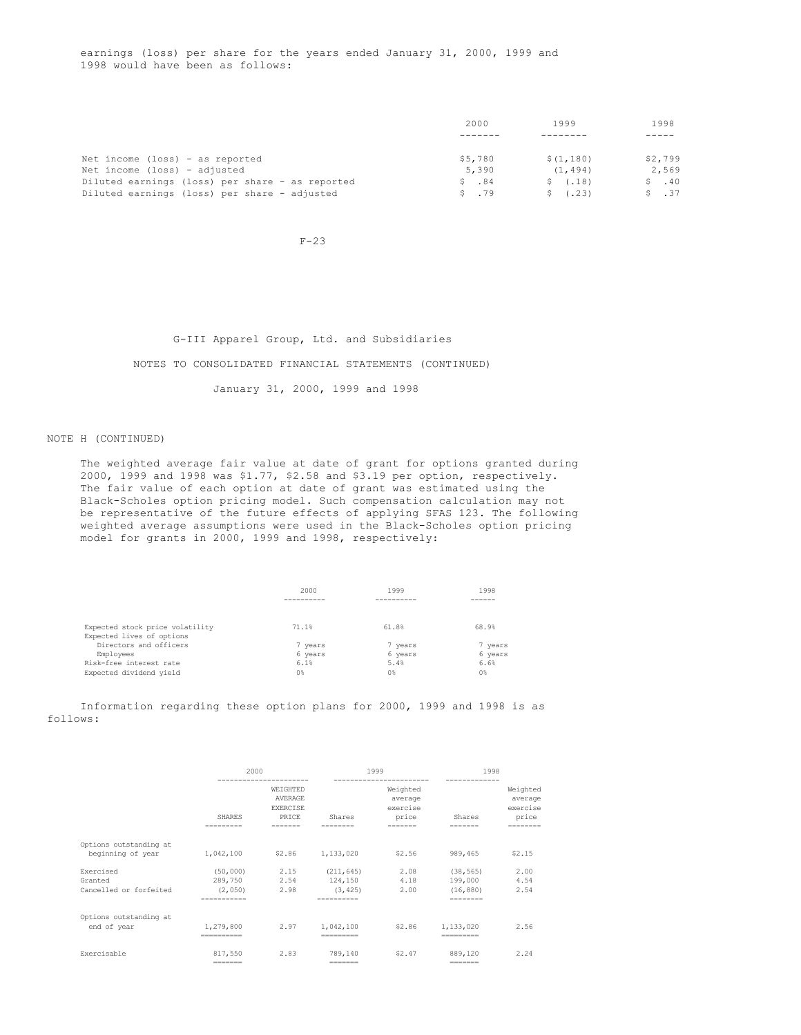earnings (loss) per share for the years ended January 31, 2000, 1999 and 1998 would have been as follows:

|                                                 | 2000    | 1999        | 1998           |
|-------------------------------------------------|---------|-------------|----------------|
|                                                 |         |             |                |
| Net income (loss) - as reported                 | \$5,780 | \$(1, 180)  | \$2,799        |
| Net income (loss) - adjusted                    | 5,390   | (1, 494)    | 2,569          |
| Diluted earnings (loss) per share - as reported | \$3,84  | \$(.18)     | \$.40          |
| Diluted earnings (loss) per share - adjusted    | \$.79   | (.23)<br>S. | $S \qquad .37$ |

 $F-23$ 

G-III Apparel Group, Ltd. and Subsidiaries NOTES TO CONSOLIDATED FINANCIAL STATEMENTS (CONTINUED) January 31, 2000, 1999 and 1998

### NOTE H (CONTINUED)

The weighted average fair value at date of grant for options granted during 2000, 1999 and 1998 was \$1.77, \$2.58 and \$3.19 per option, respectively. The fair value of each option at date of grant was estimated using the Black-Scholes option pricing model. Such compensation calculation may not be representative of the future effects of applying SFAS 123. The following weighted average assumptions were used in the Black-Scholes option pricing model for grants in 2000, 1999 and 1998, respectively:

|                                 | 2000      | 1999           | 1998           |
|---------------------------------|-----------|----------------|----------------|
|                                 | --------- | -------        |                |
|                                 |           |                |                |
| Expected stock price volatility | 71.1%     | 61.8%          | 68.9%          |
| Expected lives of options       |           |                |                |
| Directors and officers          | 7 years   | 7 years        | 7 years        |
| Employees                       | 6 years   | 6 years        | 6 years        |
| Risk-free interest rate         | 6.1%      | 5.4%           | 6.6%           |
| Expected dividend yield         | 0%        | 0 <sup>8</sup> | 0 <sup>8</sup> |

Information regarding these option plans for 2000, 1999 and 1998 is as follows:

|                                                | 2000               | --------------------                                   |                                   | 1999<br>----------------------           | 1998                                           |                                          |
|------------------------------------------------|--------------------|--------------------------------------------------------|-----------------------------------|------------------------------------------|------------------------------------------------|------------------------------------------|
|                                                | SHARES             | WEIGHTED<br><b>AVERAGE</b><br><b>EXERCISE</b><br>PRICE | Shares                            | Weighted<br>average<br>exercise<br>price | Shares                                         | Weighted<br>average<br>exercise<br>price |
| Options outstanding at<br>beginning of year    | 1,042,100          | \$2.86 1,133,020                                       |                                   | \$2.56                                   | 989,465                                        | \$2.15                                   |
| Exercised<br>Granted<br>Cancelled or forfeited | (2, 050)           | $(50,000)$ 2.15<br>289,750 2.54<br>2.98                | (211, 645)<br>124,150<br>(3, 425) | 2.08<br>4.18<br>2.00                     | (38, 565)<br>199,000<br>(16, 880)<br>--------- | 2.00<br>4.54<br>2.54                     |
| Options outstanding at<br>end of year          | 1,279,800          | 2.97                                                   | 1,042,100<br>=========            | \$2.86                                   | 1,133,020                                      | 2.56                                     |
| Exercisable                                    | 817,550<br>------- | 2.83                                                   | 789,140<br>=======                | \$2.47                                   | 889,120<br>-------                             | 2.24                                     |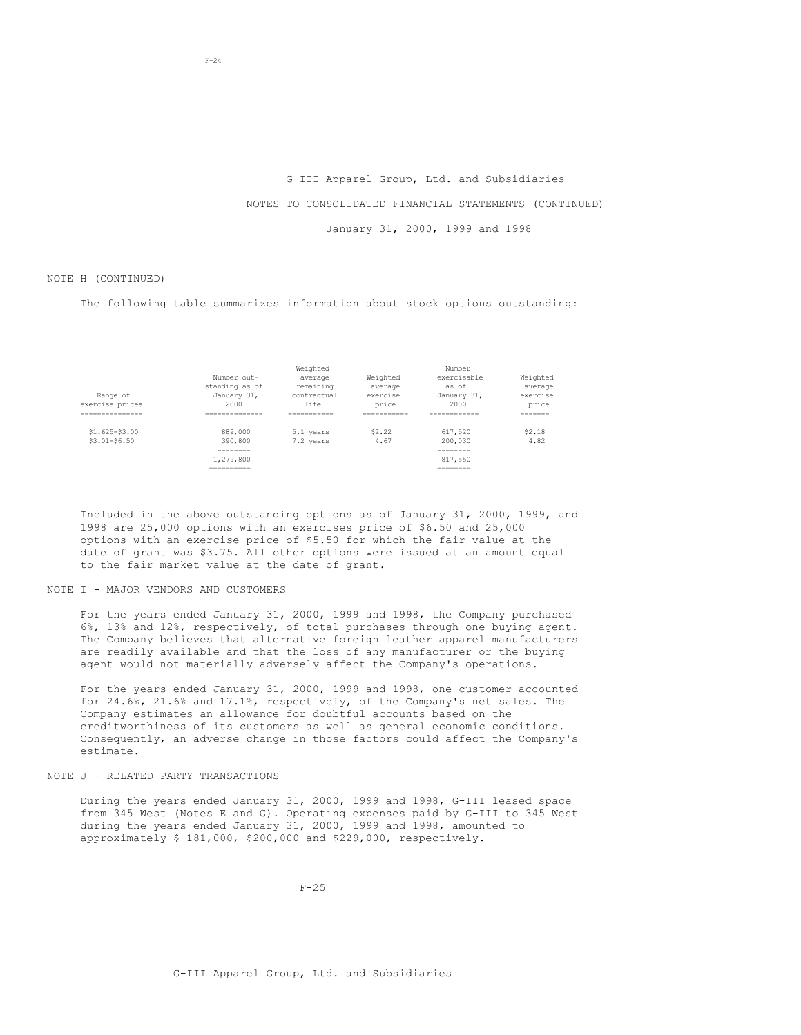### G-III Apparel Group, Ltd. and Subsidiaries

### NOTES TO CONSOLIDATED FINANCIAL STATEMENTS (CONTINUED)

January 31, 2000, 1999 and 1998

### NOTE H (CONTINUED)

The following table summarizes information about stock options outstanding:

|                  |                          | Weighted    |          | Number                |          |
|------------------|--------------------------|-------------|----------|-----------------------|----------|
|                  | Number out-              | average     | Weighted | exercisable           | Weighted |
|                  | standing as of           | remaining   | average  | as of                 | average  |
| Range of         | January 31,              | contractual | exercise | January 31,           | exercise |
| exercise prices  | 2000                     | life        | price    | 2000                  | price    |
| --------------   |                          |             |          |                       |          |
| $$1.625 - $3.00$ | 889,000                  | 5.1 years   | \$2.22   | 617,520               | \$2.18   |
| $$3.01 - $6.50$  | 390,800                  | 7.2 years   | 4.67     | 200,030               | 4.82     |
|                  |                          |             |          | -------               |          |
|                  | 1,279,800                |             |          | 817,550               |          |
|                  | __________<br>---------- |             |          | ---------<br>________ |          |
|                  |                          |             |          |                       |          |

Included in the above outstanding options as of January 31, 2000, 1999, and 1998 are 25,000 options with an exercises price of \$6.50 and 25,000 options with an exercise price of \$5.50 for which the fair value at the date of grant was \$3.75. All other options were issued at an amount equal to the fair market value at the date of grant.

### NOTE I - MAJOR VENDORS AND CUSTOMERS

For the years ended January 31, 2000, 1999 and 1998, the Company purchased 6%, 13% and 12%, respectively, of total purchases through one buying agent. The Company believes that alternative foreign leather apparel manufacturers are readily available and that the loss of any manufacturer or the buying agent would not materially adversely affect the Company's operations.

For the years ended January 31, 2000, 1999 and 1998, one customer accounted for 24.6%, 21.6% and 17.1%, respectively, of the Company's net sales. The Company estimates an allowance for doubtful accounts based on the creditworthiness of its customers as well as general economic conditions. Consequently, an adverse change in those factors could affect the Company's estimate.

### NOTE J - RELATED PARTY TRANSACTIONS

During the years ended January 31, 2000, 1999 and 1998, G-III leased space from 345 West (Notes E and G). Operating expenses paid by G-III to 345 West during the years ended January 31, 2000, 1999 and 1998, amounted to approximately \$ 181,000, \$200,000 and \$229,000, respectively.

 $F-25$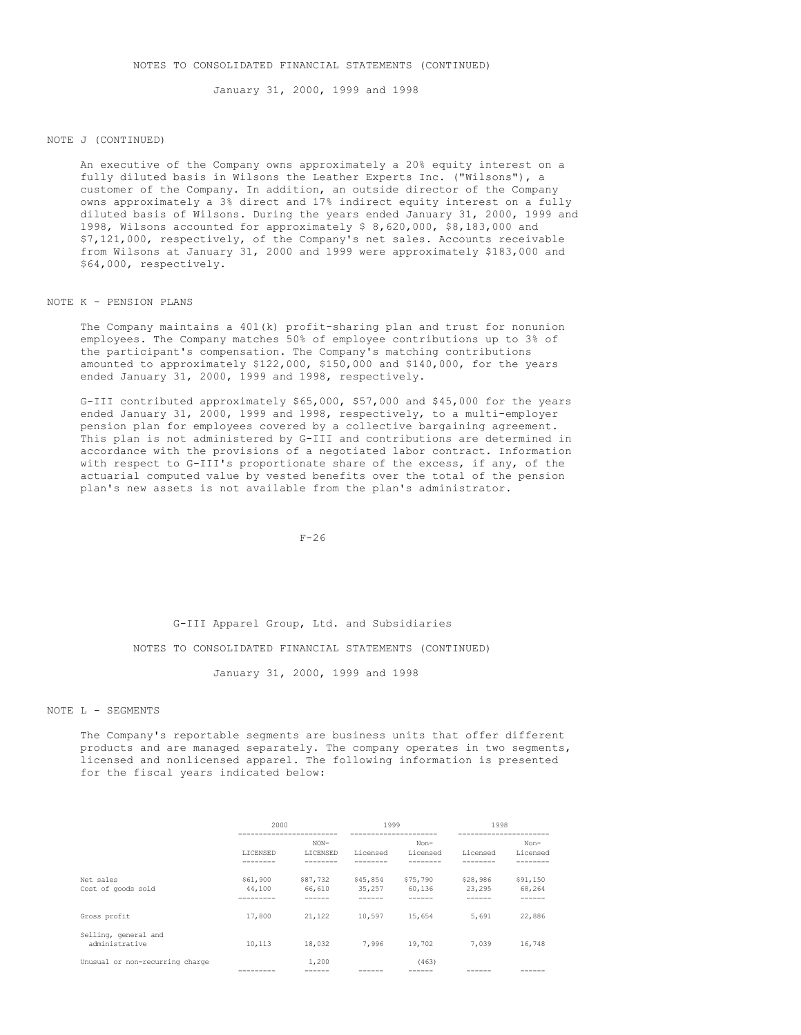January 31, 2000, 1999 and 1998

### NOTE J (CONTINUED)

An executive of the Company owns approximately a 20% equity interest on a fully diluted basis in Wilsons the Leather Experts Inc. ("Wilsons"), a customer of the Company. In addition, an outside director of the Company owns approximately a 3% direct and 17% indirect equity interest on a fully diluted basis of Wilsons. During the years ended January 31, 2000, 1999 and 1998, Wilsons accounted for approximately \$ 8,620,000, \$8,183,000 and \$7,121,000, respectively, of the Company's net sales. Accounts receivable from Wilsons at January 31, 2000 and 1999 were approximately \$183,000 and \$64,000, respectively.

# NOTE K - PENSION PLANS

The Company maintains a 401(k) profit-sharing plan and trust for nonunion employees. The Company matches 50% of employee contributions up to 3% of the participant's compensation. The Company's matching contributions amounted to approximately \$122,000, \$150,000 and \$140,000, for the years ended January 31, 2000, 1999 and 1998, respectively.

G-III contributed approximately \$65,000, \$57,000 and \$45,000 for the years ended January 31, 2000, 1999 and 1998, respectively, to a multi-employer pension plan for employees covered by a collective bargaining agreement. This plan is not administered by G-III and contributions are determined in accordance with the provisions of a negotiated labor contract. Information with respect to G-III's proportionate share of the excess, if any, of the actuarial computed value by vested benefits over the total of the pension plan's new assets is not available from the plan's administrator.

### $F-26$

### G-III Apparel Group, Ltd. and Subsidiaries

### NOTES TO CONSOLIDATED FINANCIAL STATEMENTS (CONTINUED)

### January 31, 2000, 1999 and 1998

# NOTE L - SEGMENTS

The Company's reportable segments are business units that offer different products and are managed separately. The company operates in two segments, licensed and nonlicensed apparel. The following information is presented for the fiscal years indicated below:

|                                        | 2000               |                    | 1999               |                    | 1998               |                    |
|----------------------------------------|--------------------|--------------------|--------------------|--------------------|--------------------|--------------------|
|                                        | LICENSED           | $NON-$<br>LICENSED | Licensed           | Non-<br>Licensed   | Licensed           | Non-<br>Licensed   |
| Net sales<br>Cost of goods sold        | \$61,900<br>44,100 | \$87,732<br>66,610 | \$45,854<br>35,257 | \$75,790<br>60,136 | \$28,986<br>23,295 | \$91,150<br>68,264 |
| Gross profit                           | 17,800             | 21,122             | 10,597             | 15,654             | 5,691              | 22,886             |
| Selling, general and<br>administrative | 10,113             | 18,032             | 7,996              | 19,702             | 7,039              | 16,748             |
| Unusual or non-recurring charge        |                    | 1,200              |                    | (463)              |                    |                    |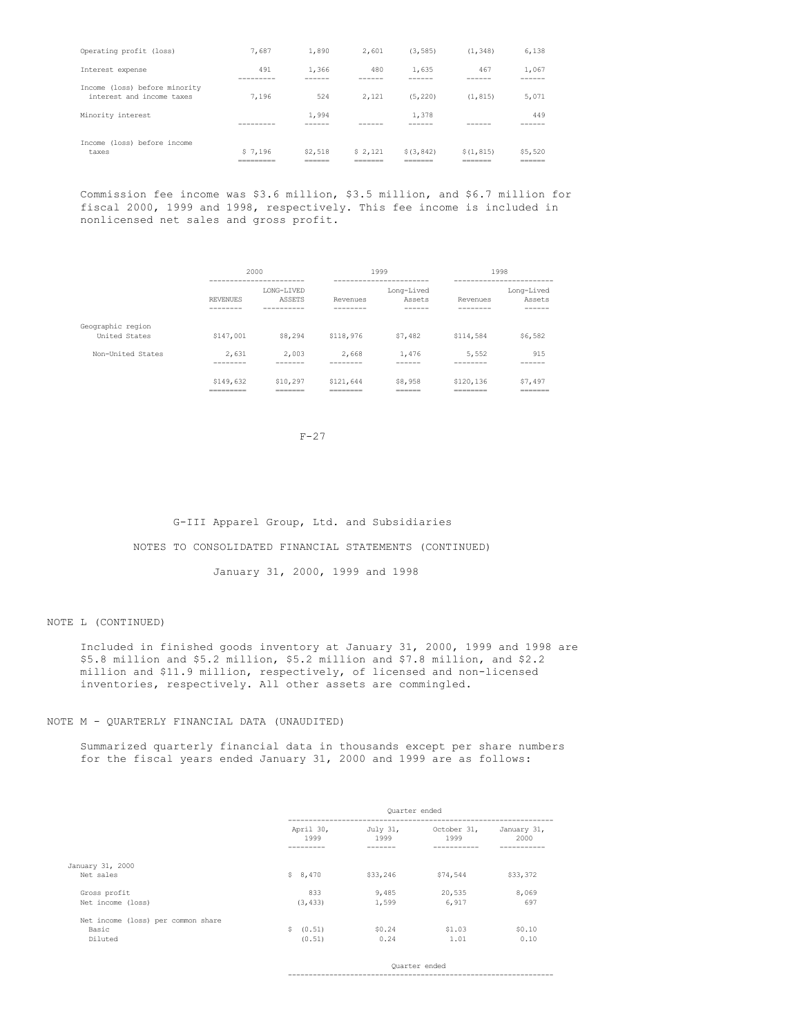| Operating profit (loss)                                    | 7,687                              | 1,890                       | 2.601                          | (3, 585)                         | (1.348)                          | 6,138                        |
|------------------------------------------------------------|------------------------------------|-----------------------------|--------------------------------|----------------------------------|----------------------------------|------------------------------|
| Interest expense                                           | 491<br>-------                     | 1,366<br>------             | 480                            | 1,635                            | 467<br>----                      | 1,067<br>------              |
| Income (loss) before minority<br>interest and income taxes | 7.196                              | 524                         | 2.121                          | (5.220)                          | (1.815)                          | 5,071                        |
| Minority interest                                          | ---------                          | 1.994<br>------             |                                | 1.378                            |                                  | 449<br>-----                 |
| Income (loss) before income<br>taxes                       | \$7.196<br>__________<br>========= | \$2,518<br>______<br>______ | \$2.121<br>________<br>_______ | \$(3, 842)<br>_______<br>======= | \$(1.815)<br>--------<br>_______ | \$5,520<br>_______<br>______ |

Commission fee income was \$3.6 million, \$3.5 million, and \$6.7 million for fiscal 2000, 1999 and 1998, respectively. This fee income is included in nonlicensed net sales and gross profit.

|                                    | 2000<br>------------------------    |                                    | 1999                              | ------------------------       |                                   | 1998<br>------------------------ |
|------------------------------------|-------------------------------------|------------------------------------|-----------------------------------|--------------------------------|-----------------------------------|----------------------------------|
|                                    | <b>REVENUES</b><br>--------         | LONG-LIVED<br>ASSETS<br>---------- | Revenues<br>--------              | Long-Lived<br>Assets<br>------ | Revenues<br>--------              | Long-Lived<br>Assets<br>------   |
| Geographic region<br>United States | \$147,001                           | \$8,294                            | \$118,976                         | \$7,482                        | \$114,584                         | \$6,582                          |
| Non-United States                  | 2.631<br>--------                   | 2,003<br>-------                   | 2.668<br>--------                 | 1,476<br>------                | 5,552<br>--------                 | 915<br>------                    |
|                                    | \$149,632<br>_________<br>--------- | \$10,297<br>_______<br>=======     | \$121,644<br>________<br>________ | \$8,958<br>______<br>______    | \$120,136<br>________<br>________ | \$7,497<br>_______<br>=======    |

 $F-27$ 

G-III Apparel Group, Ltd. and Subsidiaries

NOTES TO CONSOLIDATED FINANCIAL STATEMENTS (CONTINUED)

January 31, 2000, 1999 and 1998

### NOTE L (CONTINUED)

Included in finished goods inventory at January 31, 2000, 1999 and 1998 are \$5.8 million and \$5.2 million, \$5.2 million and \$7.8 million, and \$2.2 million and \$11.9 million, respectively, of licensed and non-licensed inventories, respectively. All other assets are commingled.

# NOTE M - QUARTERLY FINANCIAL DATA (UNAUDITED)

Summarized quarterly financial data in thousands except per share numbers for the fiscal years ended January 31, 2000 and 1999 are as follows:

|                                                        | Ouarter ended          |                  |                     |                     |
|--------------------------------------------------------|------------------------|------------------|---------------------|---------------------|
|                                                        | April 30,<br>1999      | July 31,<br>1999 | October 31,<br>1999 | January 31,<br>2000 |
| January 31, 2000<br>Net sales                          | \$8,470                | \$33,246         | \$74,544            | \$33,372            |
| Gross profit<br>Net income (loss)                      | 833<br>(3, 433)        | 9,485<br>1,599   | 20,535<br>6.917     | 8,069<br>697        |
| Net income (loss) per common share<br>Basic<br>Diluted | S.<br>(0.51)<br>(0.51) | \$0.24<br>0.24   | \$1.03<br>1.01      | \$0.10<br>0.10      |

Quarter ended

----------------------------------------------------------------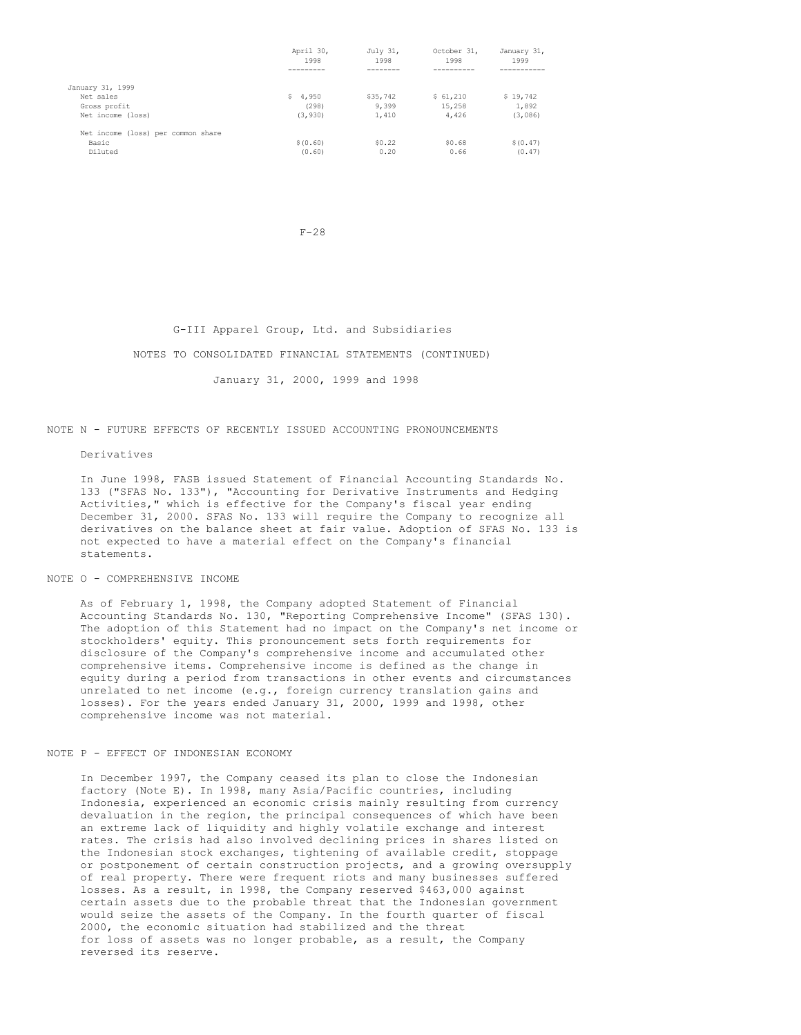|                                    | April 30,<br>1998 | July 31,<br>1998 | October 31,<br>1998 | January 31,<br>1999 |
|------------------------------------|-------------------|------------------|---------------------|---------------------|
|                                    |                   |                  |                     |                     |
| January 31, 1999                   |                   |                  |                     |                     |
| Net sales                          | \$4,950           | \$35,742         | \$61,210            | \$19,742            |
| Gross profit                       | (298)             | 9,399            | 15,258              | 1,892               |
| Net income (loss)                  | (3, 930)          | 1,410            | 4.426               | (3,086)             |
| Net income (loss) per common share |                   |                  |                     |                     |
| Basic                              | \$(0.60)          | \$0.22           | \$0.68              | \$ (0.47)           |
| Diluted                            | (0.60)            | 0.20             | 0.66                | (0.47)              |

F-28

### G-III Apparel Group, Ltd. and Subsidiaries

#### NOTES TO CONSOLIDATED FINANCIAL STATEMENTS (CONTINUED)

January 31, 2000, 1999 and 1998

# NOTE N - FUTURE EFFECTS OF RECENTLY ISSUED ACCOUNTING PRONOUNCEMENTS

Derivatives

In June 1998, FASB issued Statement of Financial Accounting Standards No. 133 ("SFAS No. 133"), "Accounting for Derivative Instruments and Hedging Activities," which is effective for the Company's fiscal year ending December 31, 2000. SFAS No. 133 will require the Company to recognize all derivatives on the balance sheet at fair value. Adoption of SFAS No. 133 is not expected to have a material effect on the Company's financial statements.

### NOTE O - COMPREHENSIVE INCOME

As of February 1, 1998, the Company adopted Statement of Financial Accounting Standards No. 130, "Reporting Comprehensive Income" (SFAS 130). The adoption of this Statement had no impact on the Company's net income or stockholders' equity. This pronouncement sets forth requirements for disclosure of the Company's comprehensive income and accumulated other comprehensive items. Comprehensive income is defined as the change in equity during a period from transactions in other events and circumstances unrelated to net income (e.g., foreign currency translation gains and losses). For the years ended January 31, 2000, 1999 and 1998, other comprehensive income was not material.

### NOTE P - EFFECT OF INDONESIAN ECONOMY

In December 1997, the Company ceased its plan to close the Indonesian factory (Note E). In 1998, many Asia/Pacific countries, including Indonesia, experienced an economic crisis mainly resulting from currency devaluation in the region, the principal consequences of which have been an extreme lack of liquidity and highly volatile exchange and interest rates. The crisis had also involved declining prices in shares listed on the Indonesian stock exchanges, tightening of available credit, stoppage or postponement of certain construction projects, and a growing oversupply of real property. There were frequent riots and many businesses suffered losses. As a result, in 1998, the Company reserved \$463,000 against certain assets due to the probable threat that the Indonesian government would seize the assets of the Company. In the fourth quarter of fiscal 2000, the economic situation had stabilized and the threat for loss of assets was no longer probable, as a result, the Company reversed its reserve.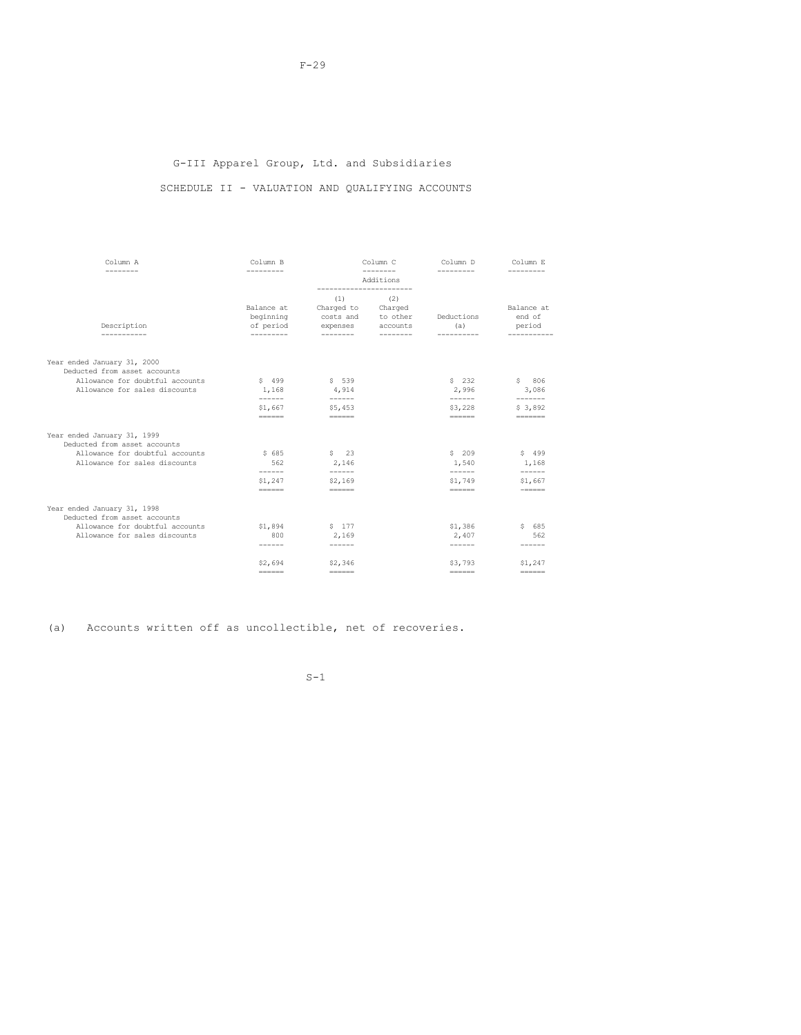# G-III Apparel Group, Ltd. and Subsidiaries

# SCHEDULE II - VALUATION AND QUALIFYING ACCOUNTS

| ---------<br>Additions<br>(2)<br>(1)<br>Balance at<br>Balance at<br>Charged to Charged<br>end of<br>beginning<br>costs and to other<br>Deductions<br>Description<br>of period<br>expenses<br>accounts<br>(a)<br>period<br>---------<br>---------<br>---------<br>----------<br>Year ended January 31, 2000<br>Deducted from asset accounts<br>Allowance for doubtful accounts<br>\$232<br>\$806<br>$S$ 499<br>$S$ 539<br>Allowance for sales discounts<br>2,996<br>1,168<br>4,914<br>3,086<br>------<br>------<br>$- - - - - - -$<br>\$1,667<br>\$3,228<br>\$3,892<br>\$5,453<br>$=$<br>$= = = = = = =$<br>$=$<br>=======<br>Year ended January 31, 1999<br>Deducted from asset accounts<br>Allowance for doubtful accounts<br>\$685<br>$S = 23$<br>\$209<br>\$499<br>Allowance for sales discounts<br>562<br>2,146<br>1,540<br>1,168<br>------<br>------<br>$- - - - - -$<br>------<br>\$1,247<br>\$2,169<br>\$1,749<br>\$1,667<br>$=$<br>$\qquad \qquad \equiv \equiv \equiv \equiv \equiv \equiv \equiv$<br>$-222222$<br>Year ended January 31, 1998<br>Deducted from asset accounts<br>Allowance for doubtful accounts<br>\$177<br>\$1,386<br>\$685<br>\$1,894<br>Allowance for sales discounts<br>800<br>2,407<br>562<br>2,169<br>$- - - - - -$<br>------<br>------<br>-------<br>\$2,694<br>\$3,793<br>\$2,346<br>\$1,247<br>$\qquad \qquad = \qquad \qquad = \qquad \qquad = \qquad \qquad$<br>$\qquad \qquad \overline{\qquad \qquad }=$<br>$\qquad \qquad \dfrac{1}{1} \left( \frac{1}{1} + \frac{1}{1} + \frac{1}{1} + \frac{1}{1} + \frac{1}{1} + \frac{1}{1} + \frac{1}{1} + \frac{1}{1} + \frac{1}{1} + \frac{1}{1} + \frac{1}{1} + \frac{1}{1} + \frac{1}{1} + \frac{1}{1} + \frac{1}{1} + \frac{1}{1} + \frac{1}{1} + \frac{1}{1} + \frac{1}{1} + \frac{1}{1} + \frac{1}{1} + \frac{1}{1} + \frac{1}{1} + \frac{1}{1} + \frac{1}{1} + \frac{$<br>$\qquad \qquad \doteq \qquad \qquad \doteq \qquad \qquad \doteq \qquad \qquad \doteq \qquad \qquad \doteq \qquad \qquad \doteq \qquad \qquad \doteq \qquad \qquad \doteq \qquad \qquad \doteq \qquad \qquad \doteq \qquad \qquad \doteq \qquad \qquad \doteq \qquad \qquad \doteq \qquad \qquad \doteq \qquad \qquad \doteq \qquad \qquad \doteq \qquad \qquad \doteq \qquad \qquad \doteq \qquad \qquad \doteq \qquad \qquad \doteq \qquad \qquad \doteq \qquad \qquad \doteq$ | Column A | Column <sub>B</sub> | Column C | Column D   | Column <sub>R</sub> |
|-------------------------------------------------------------------------------------------------------------------------------------------------------------------------------------------------------------------------------------------------------------------------------------------------------------------------------------------------------------------------------------------------------------------------------------------------------------------------------------------------------------------------------------------------------------------------------------------------------------------------------------------------------------------------------------------------------------------------------------------------------------------------------------------------------------------------------------------------------------------------------------------------------------------------------------------------------------------------------------------------------------------------------------------------------------------------------------------------------------------------------------------------------------------------------------------------------------------------------------------------------------------------------------------------------------------------------------------------------------------------------------------------------------------------------------------------------------------------------------------------------------------------------------------------------------------------------------------------------------------------------------------------------------------------------------------------------------------------------------------------------------------------------------------------------------------------------------------------------------------------------------------------------------------------------------------------------------------------------------------------------------------------------------------------------------------------------------------------------------------------------------------------------------------------------------------------------------------------------------------------------------------------------------------------------------------------------------------------|----------|---------------------|----------|------------|---------------------|
|                                                                                                                                                                                                                                                                                                                                                                                                                                                                                                                                                                                                                                                                                                                                                                                                                                                                                                                                                                                                                                                                                                                                                                                                                                                                                                                                                                                                                                                                                                                                                                                                                                                                                                                                                                                                                                                                                                                                                                                                                                                                                                                                                                                                                                                                                                                                                 | -------- | ---------           |          | ---------- |                     |
|                                                                                                                                                                                                                                                                                                                                                                                                                                                                                                                                                                                                                                                                                                                                                                                                                                                                                                                                                                                                                                                                                                                                                                                                                                                                                                                                                                                                                                                                                                                                                                                                                                                                                                                                                                                                                                                                                                                                                                                                                                                                                                                                                                                                                                                                                                                                                 |          |                     |          |            |                     |
|                                                                                                                                                                                                                                                                                                                                                                                                                                                                                                                                                                                                                                                                                                                                                                                                                                                                                                                                                                                                                                                                                                                                                                                                                                                                                                                                                                                                                                                                                                                                                                                                                                                                                                                                                                                                                                                                                                                                                                                                                                                                                                                                                                                                                                                                                                                                                 |          |                     |          |            |                     |
|                                                                                                                                                                                                                                                                                                                                                                                                                                                                                                                                                                                                                                                                                                                                                                                                                                                                                                                                                                                                                                                                                                                                                                                                                                                                                                                                                                                                                                                                                                                                                                                                                                                                                                                                                                                                                                                                                                                                                                                                                                                                                                                                                                                                                                                                                                                                                 |          |                     |          |            |                     |
|                                                                                                                                                                                                                                                                                                                                                                                                                                                                                                                                                                                                                                                                                                                                                                                                                                                                                                                                                                                                                                                                                                                                                                                                                                                                                                                                                                                                                                                                                                                                                                                                                                                                                                                                                                                                                                                                                                                                                                                                                                                                                                                                                                                                                                                                                                                                                 |          |                     |          |            |                     |
|                                                                                                                                                                                                                                                                                                                                                                                                                                                                                                                                                                                                                                                                                                                                                                                                                                                                                                                                                                                                                                                                                                                                                                                                                                                                                                                                                                                                                                                                                                                                                                                                                                                                                                                                                                                                                                                                                                                                                                                                                                                                                                                                                                                                                                                                                                                                                 |          |                     |          |            |                     |
|                                                                                                                                                                                                                                                                                                                                                                                                                                                                                                                                                                                                                                                                                                                                                                                                                                                                                                                                                                                                                                                                                                                                                                                                                                                                                                                                                                                                                                                                                                                                                                                                                                                                                                                                                                                                                                                                                                                                                                                                                                                                                                                                                                                                                                                                                                                                                 |          |                     |          |            |                     |
|                                                                                                                                                                                                                                                                                                                                                                                                                                                                                                                                                                                                                                                                                                                                                                                                                                                                                                                                                                                                                                                                                                                                                                                                                                                                                                                                                                                                                                                                                                                                                                                                                                                                                                                                                                                                                                                                                                                                                                                                                                                                                                                                                                                                                                                                                                                                                 |          |                     |          |            |                     |
|                                                                                                                                                                                                                                                                                                                                                                                                                                                                                                                                                                                                                                                                                                                                                                                                                                                                                                                                                                                                                                                                                                                                                                                                                                                                                                                                                                                                                                                                                                                                                                                                                                                                                                                                                                                                                                                                                                                                                                                                                                                                                                                                                                                                                                                                                                                                                 |          |                     |          |            |                     |
|                                                                                                                                                                                                                                                                                                                                                                                                                                                                                                                                                                                                                                                                                                                                                                                                                                                                                                                                                                                                                                                                                                                                                                                                                                                                                                                                                                                                                                                                                                                                                                                                                                                                                                                                                                                                                                                                                                                                                                                                                                                                                                                                                                                                                                                                                                                                                 |          |                     |          |            |                     |
|                                                                                                                                                                                                                                                                                                                                                                                                                                                                                                                                                                                                                                                                                                                                                                                                                                                                                                                                                                                                                                                                                                                                                                                                                                                                                                                                                                                                                                                                                                                                                                                                                                                                                                                                                                                                                                                                                                                                                                                                                                                                                                                                                                                                                                                                                                                                                 |          |                     |          |            |                     |
|                                                                                                                                                                                                                                                                                                                                                                                                                                                                                                                                                                                                                                                                                                                                                                                                                                                                                                                                                                                                                                                                                                                                                                                                                                                                                                                                                                                                                                                                                                                                                                                                                                                                                                                                                                                                                                                                                                                                                                                                                                                                                                                                                                                                                                                                                                                                                 |          |                     |          |            |                     |
|                                                                                                                                                                                                                                                                                                                                                                                                                                                                                                                                                                                                                                                                                                                                                                                                                                                                                                                                                                                                                                                                                                                                                                                                                                                                                                                                                                                                                                                                                                                                                                                                                                                                                                                                                                                                                                                                                                                                                                                                                                                                                                                                                                                                                                                                                                                                                 |          |                     |          |            |                     |
|                                                                                                                                                                                                                                                                                                                                                                                                                                                                                                                                                                                                                                                                                                                                                                                                                                                                                                                                                                                                                                                                                                                                                                                                                                                                                                                                                                                                                                                                                                                                                                                                                                                                                                                                                                                                                                                                                                                                                                                                                                                                                                                                                                                                                                                                                                                                                 |          |                     |          |            |                     |
|                                                                                                                                                                                                                                                                                                                                                                                                                                                                                                                                                                                                                                                                                                                                                                                                                                                                                                                                                                                                                                                                                                                                                                                                                                                                                                                                                                                                                                                                                                                                                                                                                                                                                                                                                                                                                                                                                                                                                                                                                                                                                                                                                                                                                                                                                                                                                 |          |                     |          |            |                     |
|                                                                                                                                                                                                                                                                                                                                                                                                                                                                                                                                                                                                                                                                                                                                                                                                                                                                                                                                                                                                                                                                                                                                                                                                                                                                                                                                                                                                                                                                                                                                                                                                                                                                                                                                                                                                                                                                                                                                                                                                                                                                                                                                                                                                                                                                                                                                                 |          |                     |          |            |                     |
|                                                                                                                                                                                                                                                                                                                                                                                                                                                                                                                                                                                                                                                                                                                                                                                                                                                                                                                                                                                                                                                                                                                                                                                                                                                                                                                                                                                                                                                                                                                                                                                                                                                                                                                                                                                                                                                                                                                                                                                                                                                                                                                                                                                                                                                                                                                                                 |          |                     |          |            |                     |
|                                                                                                                                                                                                                                                                                                                                                                                                                                                                                                                                                                                                                                                                                                                                                                                                                                                                                                                                                                                                                                                                                                                                                                                                                                                                                                                                                                                                                                                                                                                                                                                                                                                                                                                                                                                                                                                                                                                                                                                                                                                                                                                                                                                                                                                                                                                                                 |          |                     |          |            |                     |

(a) Accounts written off as uncollectible, net of recoveries.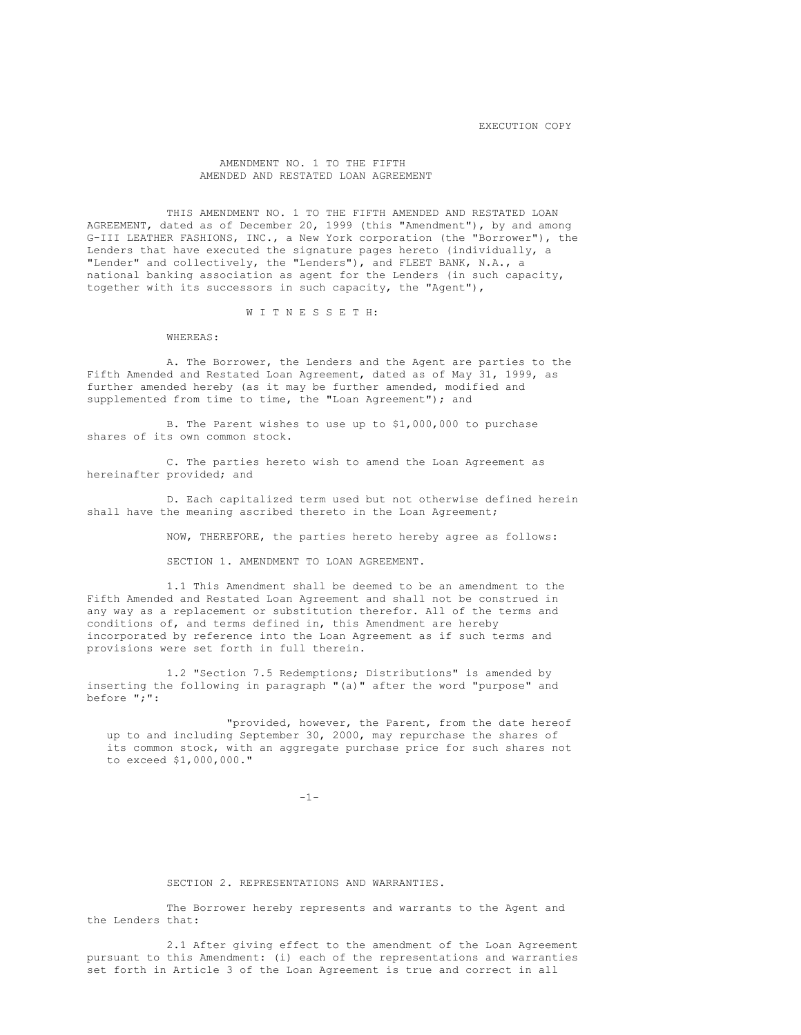# AMENDMENT NO. 1 TO THE FIFTH AMENDED AND RESTATED LOAN AGREEMENT

THIS AMENDMENT NO. 1 TO THE FIFTH AMENDED AND RESTATED LOAN AGREEMENT, dated as of December 20, 1999 (this "Amendment"), by and among G-III LEATHER FASHIONS, INC., a New York corporation (the "Borrower"), the Lenders that have executed the signature pages hereto (individually, a "Lender" and collectively, the "Lenders"), and FLEET BANK, N.A., a national banking association as agent for the Lenders (in such capacity, together with its successors in such capacity, the "Agent"),

#### W I T N E S S E T H:

WHEREAS:

A. The Borrower, the Lenders and the Agent are parties to the Fifth Amended and Restated Loan Agreement, dated as of May 31, 1999, as further amended hereby (as it may be further amended, modified and supplemented from time to time, the "Loan Agreement"); and

B. The Parent wishes to use up to \$1,000,000 to purchase shares of its own common stock.

C. The parties hereto wish to amend the Loan Agreement as hereinafter provided; and

D. Each capitalized term used but not otherwise defined herein shall have the meaning ascribed thereto in the Loan Agreement;

NOW, THEREFORE, the parties hereto hereby agree as follows:

SECTION 1. AMENDMENT TO LOAN AGREEMENT.

1.1 This Amendment shall be deemed to be an amendment to the Fifth Amended and Restated Loan Agreement and shall not be construed in any way as a replacement or substitution therefor. All of the terms and conditions of, and terms defined in, this Amendment are hereby incorporated by reference into the Loan Agreement as if such terms and provisions were set forth in full therein.

1.2 "Section 7.5 Redemptions; Distributions" is amended by inserting the following in paragraph "(a)" after the word "purpose" and before ";":

"provided, however, the Parent, from the date hereof up to and including September 30, 2000, may repurchase the shares of its common stock, with an aggregate purchase price for such shares not to exceed \$1,000,000."

 $-1-$ 

SECTION 2. REPRESENTATIONS AND WARRANTIES.

The Borrower hereby represents and warrants to the Agent and the Lenders that:

2.1 After giving effect to the amendment of the Loan Agreement pursuant to this Amendment: (i) each of the representations and warranties set forth in Article 3 of the Loan Agreement is true and correct in all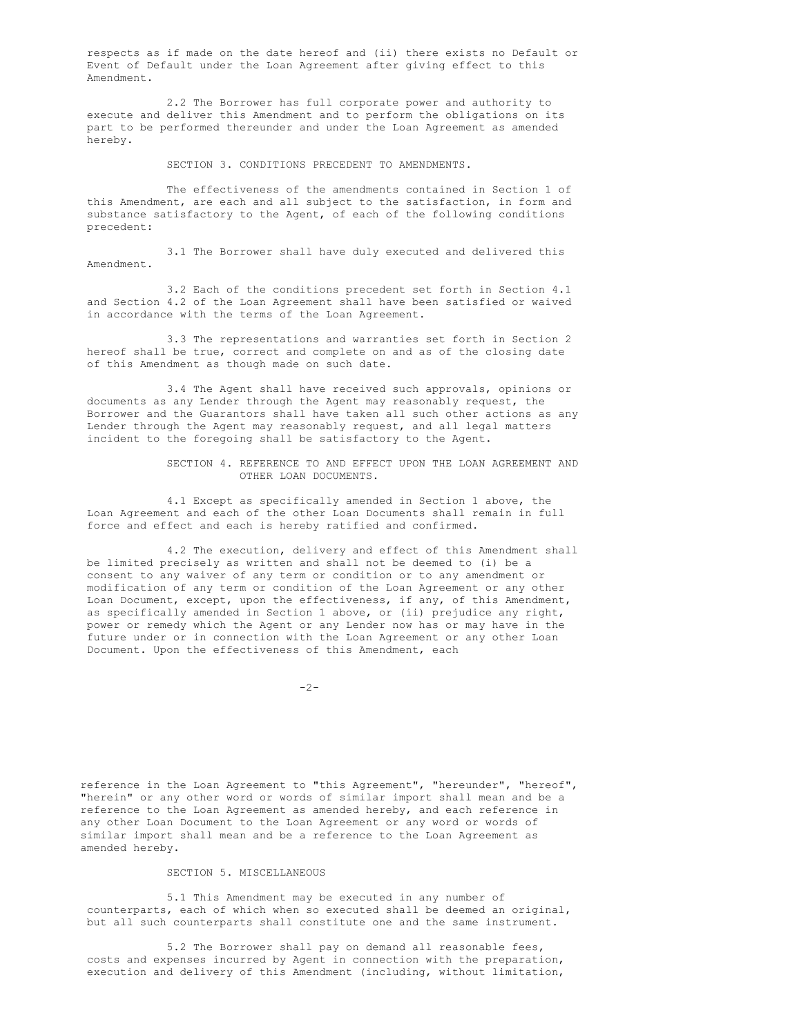respects as if made on the date hereof and (ii) there exists no Default or Event of Default under the Loan Agreement after giving effect to this Amendment.

2.2 The Borrower has full corporate power and authority to execute and deliver this Amendment and to perform the obligations on its part to be performed thereunder and under the Loan Agreement as amended hereby.

SECTION 3. CONDITIONS PRECEDENT TO AMENDMENTS.

The effectiveness of the amendments contained in Section 1 of this Amendment, are each and all subject to the satisfaction, in form and substance satisfactory to the Agent, of each of the following conditions precedent:

3.1 The Borrower shall have duly executed and delivered this Amendment.

3.2 Each of the conditions precedent set forth in Section 4.1 and Section 4.2 of the Loan Agreement shall have been satisfied or waived in accordance with the terms of the Loan Agreement.

3.3 The representations and warranties set forth in Section 2 hereof shall be true, correct and complete on and as of the closing date of this Amendment as though made on such date.

3.4 The Agent shall have received such approvals, opinions or documents as any Lender through the Agent may reasonably request, the Borrower and the Guarantors shall have taken all such other actions as any Lender through the Agent may reasonably request, and all legal matters incident to the foregoing shall be satisfactory to the Agent.

> SECTION 4. REFERENCE TO AND EFFECT UPON THE LOAN AGREEMENT AND OTHER LOAN DOCUMENTS.

4.1 Except as specifically amended in Section 1 above, the Loan Agreement and each of the other Loan Documents shall remain in full force and effect and each is hereby ratified and confirmed.

4.2 The execution, delivery and effect of this Amendment shall be limited precisely as written and shall not be deemed to (i) be a consent to any waiver of any term or condition or to any amendment or modification of any term or condition of the Loan Agreement or any other Loan Document, except, upon the effectiveness, if any, of this Amendment, as specifically amended in Section 1 above, or (ii) prejudice any right, power or remedy which the Agent or any Lender now has or may have in the future under or in connection with the Loan Agreement or any other Loan Document. Upon the effectiveness of this Amendment, each

 $-2-$ 

reference in the Loan Agreement to "this Agreement", "hereunder", "hereof", "herein" or any other word or words of similar import shall mean and be a reference to the Loan Agreement as amended hereby, and each reference in any other Loan Document to the Loan Agreement or any word or words of similar import shall mean and be a reference to the Loan Agreement as amended hereby.

### SECTION 5. MISCELLANEOUS

5.1 This Amendment may be executed in any number of counterparts, each of which when so executed shall be deemed an original, but all such counterparts shall constitute one and the same instrument.

5.2 The Borrower shall pay on demand all reasonable fees, costs and expenses incurred by Agent in connection with the preparation, execution and delivery of this Amendment (including, without limitation,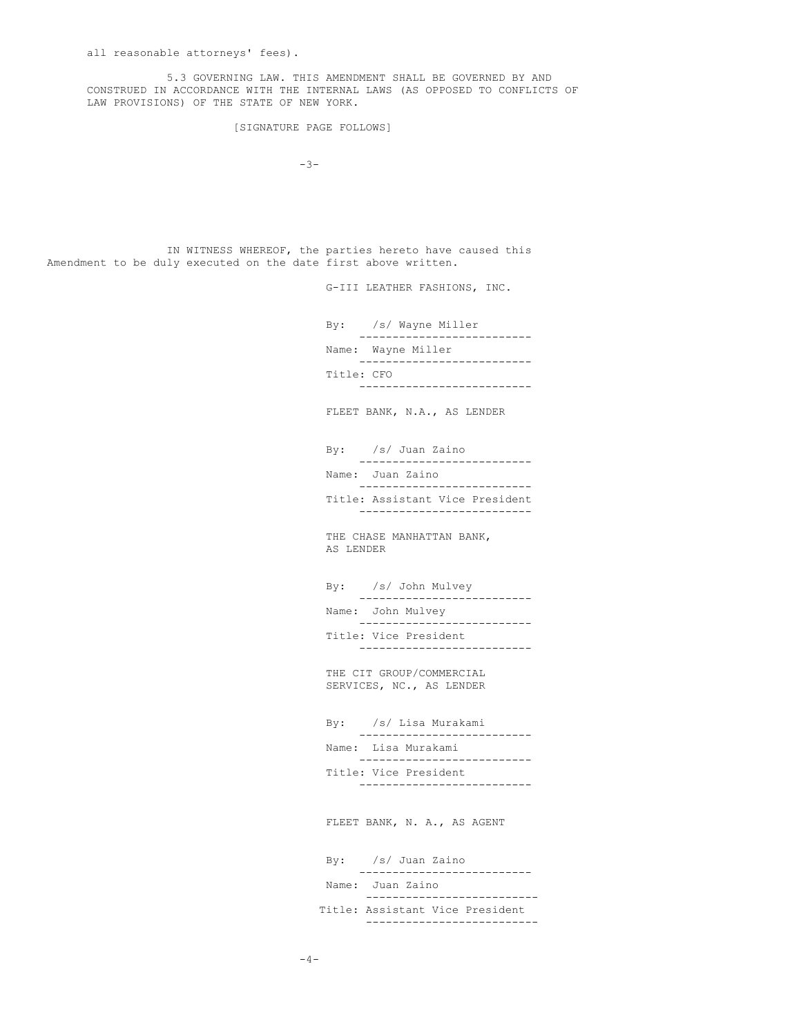5.3 GOVERNING LAW. THIS AMENDMENT SHALL BE GOVERNED BY AND CONSTRUED IN ACCORDANCE WITH THE INTERNAL LAWS (AS OPPOSED TO CONFLICTS OF LAW PROVISIONS) OF THE STATE OF NEW YORK.

[SIGNATURE PAGE FOLLOWS]

 $-3-$ 

IN WITNESS WHEREOF, the parties hereto have caused this Amendment to be duly executed on the date first above written.

G-III LEATHER FASHIONS, INC.

By: /s/ Wayne Miller -------------------------- Name: Wayne Miller -------------------------- Title: CFO --------------------------

FLEET BANK, N.A., AS LENDER

By: /s/ Juan Zaino -------------------------- Name: Juan Zaino --------------------------

Title: Assistant Vice President --------------------------

THE CHASE MANHATTAN BANK, AS LENDER

By: /s/ John Mulvey -------------------------- Name: John Mulvey -------------------------- Title: Vice President --------------------------

THE CIT GROUP/COMMERCIAL SERVICES, NC., AS LENDER

By: /s/ Lisa Murakami -------------------------- Name: Lisa Murakami -------------------------- Title: Vice President --------------------------

FLEET BANK, N. A., AS AGENT

By: /s/ Juan Zaino -------------------------- Name: Juan Zaino -------------------------- Title: Assistant Vice President --------------------------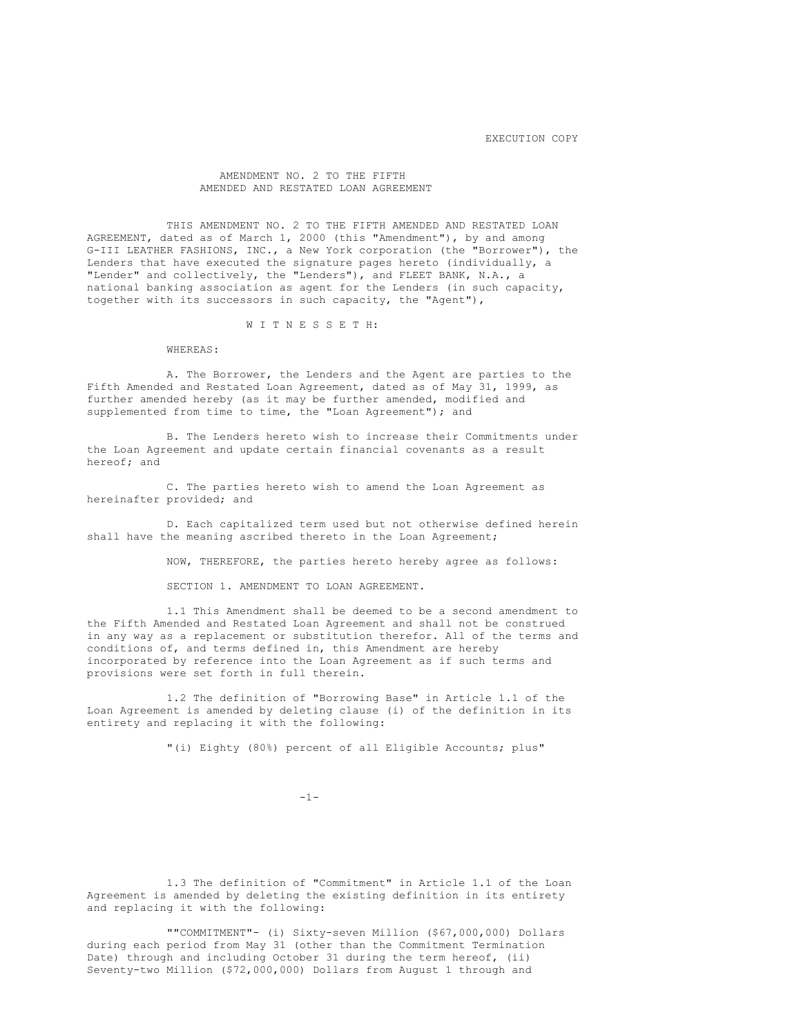EXECUTION COPY

### AMENDMENT NO. 2 TO THE FIFTH AMENDED AND RESTATED LOAN AGREEMENT

THIS AMENDMENT NO. 2 TO THE FIFTH AMENDED AND RESTATED LOAN AGREEMENT, dated as of March 1, 2000 (this "Amendment"), by and among G-III LEATHER FASHIONS, INC., a New York corporation (the "Borrower"), the Lenders that have executed the signature pages hereto (individually, a "Lender" and collectively, the "Lenders"), and FLEET BANK, N.A., a national banking association as agent for the Lenders (in such capacity, together with its successors in such capacity, the "Agent"),

W I T N E S S E T H:

WHEREAS:

A. The Borrower, the Lenders and the Agent are parties to the Fifth Amended and Restated Loan Agreement, dated as of May 31, 1999, as further amended hereby (as it may be further amended, modified and supplemented from time to time, the "Loan Agreement"); and

B. The Lenders hereto wish to increase their Commitments under the Loan Agreement and update certain financial covenants as a result hereof; and

C. The parties hereto wish to amend the Loan Agreement as hereinafter provided; and

D. Each capitalized term used but not otherwise defined herein shall have the meaning ascribed thereto in the Loan Agreement;

NOW, THEREFORE, the parties hereto hereby agree as follows:

SECTION 1. AMENDMENT TO LOAN AGREEMENT.

1.1 This Amendment shall be deemed to be a second amendment to the Fifth Amended and Restated Loan Agreement and shall not be construed in any way as a replacement or substitution therefor. All of the terms and conditions of, and terms defined in, this Amendment are hereby incorporated by reference into the Loan Agreement as if such terms and provisions were set forth in full therein.

1.2 The definition of "Borrowing Base" in Article 1.1 of the Loan Agreement is amended by deleting clause (i) of the definition in its entirety and replacing it with the following:

"(i) Eighty (80%) percent of all Eligible Accounts; plus"

 $-1-$ 

1.3 The definition of "Commitment" in Article 1.1 of the Loan Agreement is amended by deleting the existing definition in its entirety and replacing it with the following:

""COMMITMENT"- (i) Sixty-seven Million (\$67,000,000) Dollars during each period from May 31 (other than the Commitment Termination Date) through and including October 31 during the term hereof, (ii) Seventy-two Million (\$72,000,000) Dollars from August 1 through and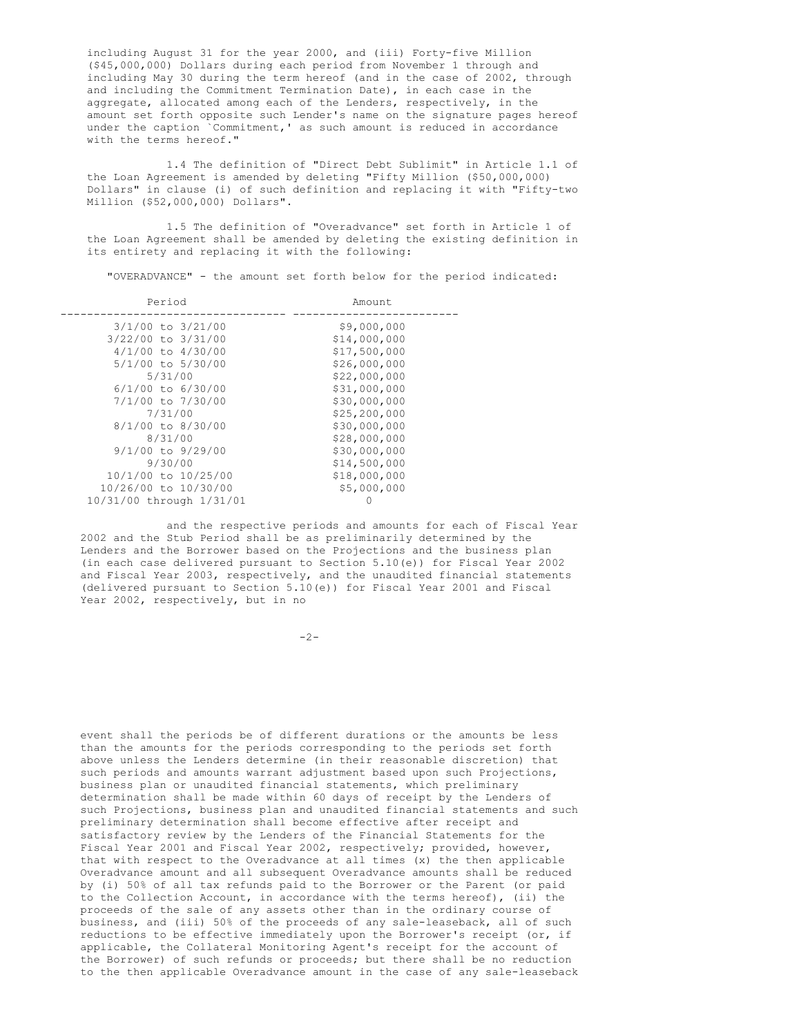including August 31 for the year 2000, and (iii) Forty-five Million (\$45,000,000) Dollars during each period from November 1 through and including May 30 during the term hereof (and in the case of 2002, through and including the Commitment Termination Date), in each case in the aggregate, allocated among each of the Lenders, respectively, in the amount set forth opposite such Lender's name on the signature pages hereof under the caption `Commitment,' as such amount is reduced in accordance with the terms hereof."

1.4 The definition of "Direct Debt Sublimit" in Article 1.1 of the Loan Agreement is amended by deleting "Fifty Million (\$50,000,000) Dollars" in clause (i) of such definition and replacing it with "Fifty-two Million (\$52,000,000) Dollars".

1.5 The definition of "Overadvance" set forth in Article 1 of the Loan Agreement shall be amended by deleting the existing definition in its entirety and replacing it with the following:

"OVERADVANCE" - the amount set forth below for the period indicated:

| Period                   | Amount         |
|--------------------------|----------------|
| $3/1/00$ to $3/21/00$    | \$9,000,000    |
| 3/22/00 to 3/31/00       | \$14,000,000   |
| $4/1/00$ to $4/30/00$    | \$17,500,000   |
| 5/1/00 to 5/30/00        | \$26,000,000   |
| 5/31/00                  | \$22,000,000   |
| $6/1/00$ to $6/30/00$    | \$31,000,000   |
| 7/1/00 to 7/30/00        | \$30,000,000   |
| 7/31/00                  | \$25, 200, 000 |
| $8/1/00$ to $8/30/00$    | \$30,000,000   |
| 8/31/00                  | \$28,000,000   |
| $9/1/00$ to $9/29/00$    | \$30,000,000   |
| 9/30/00                  | \$14,500,000   |
| 10/1/00 to 10/25/00      | \$18,000,000   |
| 10/26/00 to 10/30/00     | \$5,000,000    |
| 10/31/00 through 1/31/01 | Ω              |

and the respective periods and amounts for each of Fiscal Year 2002 and the Stub Period shall be as preliminarily determined by the Lenders and the Borrower based on the Projections and the business plan (in each case delivered pursuant to Section 5.10(e)) for Fiscal Year 2002 and Fiscal Year 2003, respectively, and the unaudited financial statements (delivered pursuant to Section 5.10(e)) for Fiscal Year 2001 and Fiscal Year 2002, respectively, but in no

 $-2-$ 

event shall the periods be of different durations or the amounts be less than the amounts for the periods corresponding to the periods set forth above unless the Lenders determine (in their reasonable discretion) that such periods and amounts warrant adjustment based upon such Projections, business plan or unaudited financial statements, which preliminary determination shall be made within 60 days of receipt by the Lenders of such Projections, business plan and unaudited financial statements and such preliminary determination shall become effective after receipt and satisfactory review by the Lenders of the Financial Statements for the Fiscal Year 2001 and Fiscal Year 2002, respectively; provided, however, that with respect to the Overadvance at all times (x) the then applicable Overadvance amount and all subsequent Overadvance amounts shall be reduced by (i) 50% of all tax refunds paid to the Borrower or the Parent (or paid to the Collection Account, in accordance with the terms hereof), (ii) the proceeds of the sale of any assets other than in the ordinary course of business, and (iii) 50% of the proceeds of any sale-leaseback, all of such reductions to be effective immediately upon the Borrower's receipt (or, if applicable, the Collateral Monitoring Agent's receipt for the account of the Borrower) of such refunds or proceeds; but there shall be no reduction to the then applicable Overadvance amount in the case of any sale-leaseback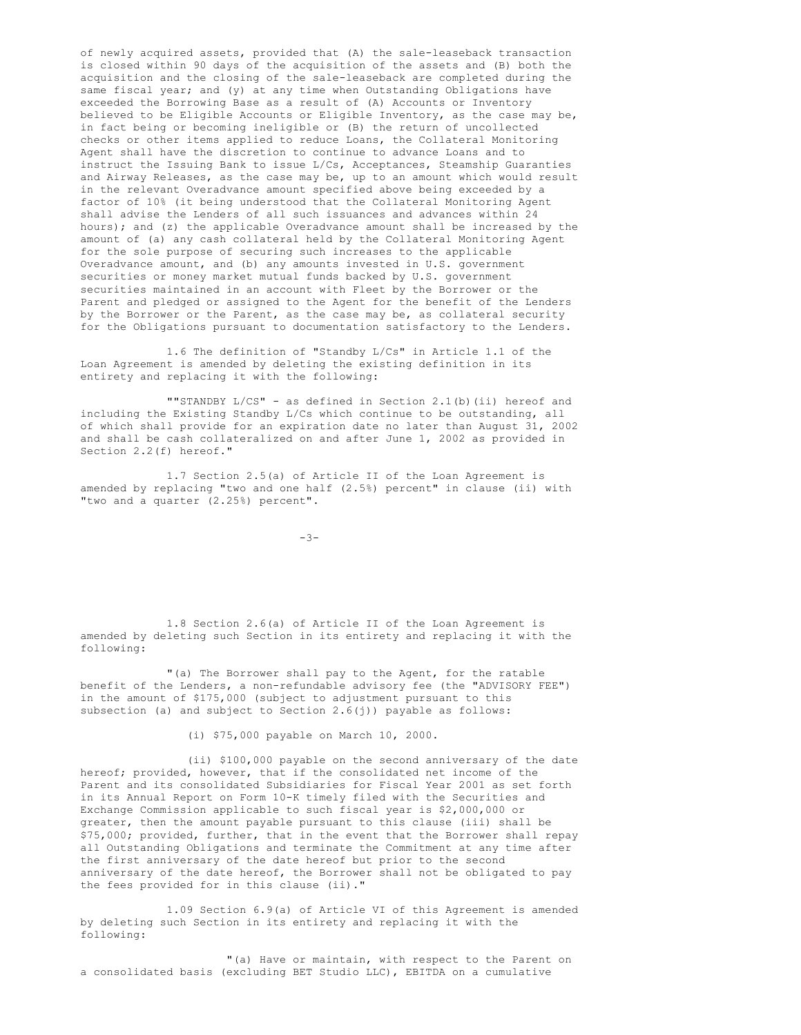of newly acquired assets, provided that (A) the sale-leaseback transaction is closed within 90 days of the acquisition of the assets and (B) both the acquisition and the closing of the sale-leaseback are completed during the same fiscal year; and (y) at any time when Outstanding Obligations have exceeded the Borrowing Base as a result of (A) Accounts or Inventory believed to be Eligible Accounts or Eligible Inventory, as the case may be, in fact being or becoming ineligible or (B) the return of uncollected checks or other items applied to reduce Loans, the Collateral Monitoring Agent shall have the discretion to continue to advance Loans and to instruct the Issuing Bank to issue L/Cs, Acceptances, Steamship Guaranties and Airway Releases, as the case may be, up to an amount which would result in the relevant Overadvance amount specified above being exceeded by a factor of 10% (it being understood that the Collateral Monitoring Agent shall advise the Lenders of all such issuances and advances within 24 hours); and (z) the applicable Overadvance amount shall be increased by the amount of (a) any cash collateral held by the Collateral Monitoring Agent for the sole purpose of securing such increases to the applicable Overadvance amount, and (b) any amounts invested in U.S. government securities or money market mutual funds backed by U.S. government securities maintained in an account with Fleet by the Borrower or the Parent and pledged or assigned to the Agent for the benefit of the Lenders by the Borrower or the Parent, as the case may be, as collateral security for the Obligations pursuant to documentation satisfactory to the Lenders.

1.6 The definition of "Standby L/Cs" in Article 1.1 of the Loan Agreement is amended by deleting the existing definition in its entirety and replacing it with the following:

""STANDBY L/CS" - as defined in Section 2.1(b)(ii) hereof and including the Existing Standby L/Cs which continue to be outstanding, all of which shall provide for an expiration date no later than August 31, 2002 and shall be cash collateralized on and after June 1, 2002 as provided in Section 2.2(f) hereof."

1.7 Section 2.5(a) of Article II of the Loan Agreement is amended by replacing "two and one half (2.5%) percent" in clause (ii) with "two and a quarter (2.25%) percent".

 $-3-$ 

1.8 Section 2.6(a) of Article II of the Loan Agreement is amended by deleting such Section in its entirety and replacing it with the following:

"(a) The Borrower shall pay to the Agent, for the ratable benefit of the Lenders, a non-refundable advisory fee (the "ADVISORY FEE") in the amount of \$175,000 (subject to adjustment pursuant to this subsection (a) and subject to Section 2.6(j)) payable as follows:

(i) \$75,000 payable on March 10, 2000.

(ii) \$100,000 payable on the second anniversary of the date hereof; provided, however, that if the consolidated net income of the Parent and its consolidated Subsidiaries for Fiscal Year 2001 as set forth in its Annual Report on Form 10-K timely filed with the Securities and Exchange Commission applicable to such fiscal year is \$2,000,000 or greater, then the amount payable pursuant to this clause (iii) shall be \$75,000; provided, further, that in the event that the Borrower shall repay all Outstanding Obligations and terminate the Commitment at any time after the first anniversary of the date hereof but prior to the second anniversary of the date hereof, the Borrower shall not be obligated to pay the fees provided for in this clause (ii)."

1.09 Section 6.9(a) of Article VI of this Agreement is amended by deleting such Section in its entirety and replacing it with the following:

"(a) Have or maintain, with respect to the Parent on a consolidated basis (excluding BET Studio LLC), EBITDA on a cumulative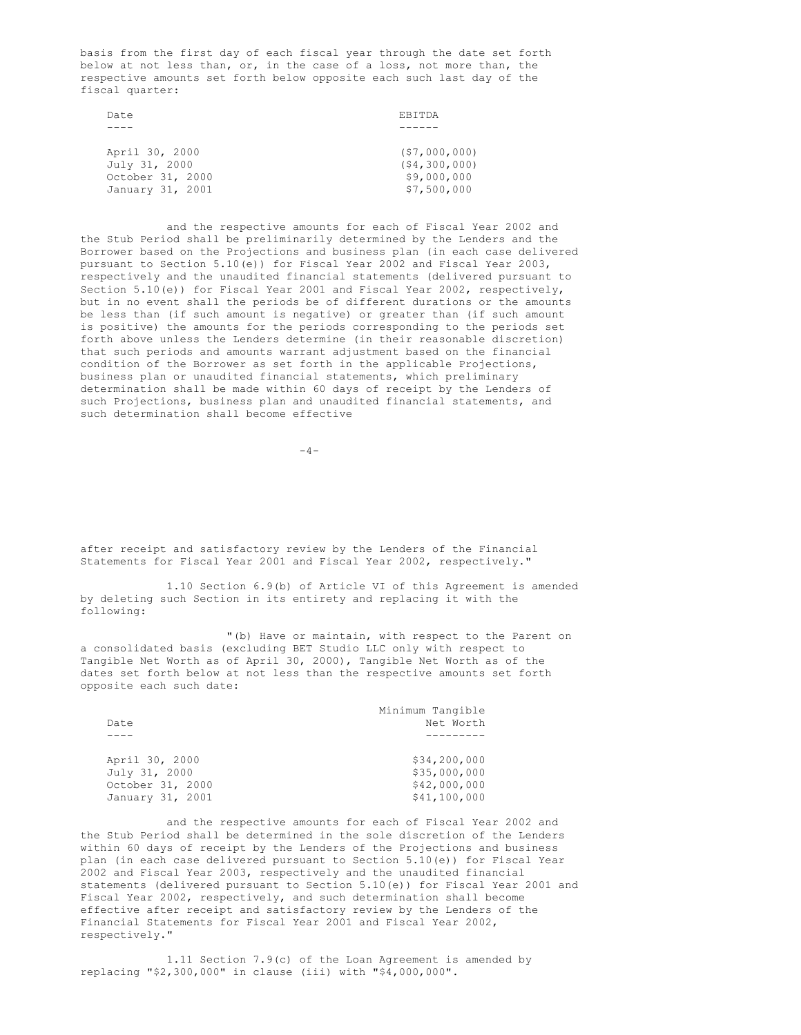basis from the first day of each fiscal year through the date set forth below at not less than, or, in the case of a loss, not more than, the respective amounts set forth below opposite each such last day of the fiscal quarter:

| Date             | <b>EBITDA</b>  |
|------------------|----------------|
|                  |                |
|                  |                |
| April 30, 2000   | (S7,000,000)   |
| July 31, 2000    | (54, 300, 000) |
| October 31, 2000 | \$9,000,000    |
| January 31, 2001 | \$7,500,000    |

and the respective amounts for each of Fiscal Year 2002 and the Stub Period shall be preliminarily determined by the Lenders and the Borrower based on the Projections and business plan (in each case delivered pursuant to Section 5.10(e)) for Fiscal Year 2002 and Fiscal Year 2003, respectively and the unaudited financial statements (delivered pursuant to Section 5.10(e)) for Fiscal Year 2001 and Fiscal Year 2002, respectively, but in no event shall the periods be of different durations or the amounts be less than (if such amount is negative) or greater than (if such amount is positive) the amounts for the periods corresponding to the periods set forth above unless the Lenders determine (in their reasonable discretion) that such periods and amounts warrant adjustment based on the financial condition of the Borrower as set forth in the applicable Projections, business plan or unaudited financial statements, which preliminary determination shall be made within 60 days of receipt by the Lenders of such Projections, business plan and unaudited financial statements, and such determination shall become effective

 $-4-$ 

after receipt and satisfactory review by the Lenders of the Financial Statements for Fiscal Year 2001 and Fiscal Year 2002, respectively."

1.10 Section 6.9(b) of Article VI of this Agreement is amended by deleting such Section in its entirety and replacing it with the following:

"(b) Have or maintain, with respect to the Parent on a consolidated basis (excluding BET Studio LLC only with respect to Tangible Net Worth as of April 30, 2000), Tangible Net Worth as of the dates set forth below at not less than the respective amounts set forth opposite each such date:

|                  | Minimum Tangible |
|------------------|------------------|
| Date             | Net Worth        |
|                  |                  |
|                  |                  |
| April 30, 2000   | \$34,200,000     |
| July 31, 2000    | \$35,000,000     |
| October 31, 2000 | \$42,000,000     |
| January 31, 2001 | \$41,100,000     |

and the respective amounts for each of Fiscal Year 2002 and the Stub Period shall be determined in the sole discretion of the Lenders within 60 days of receipt by the Lenders of the Projections and business plan (in each case delivered pursuant to Section 5.10(e)) for Fiscal Year 2002 and Fiscal Year 2003, respectively and the unaudited financial statements (delivered pursuant to Section 5.10(e)) for Fiscal Year 2001 and Fiscal Year 2002, respectively, and such determination shall become effective after receipt and satisfactory review by the Lenders of the Financial Statements for Fiscal Year 2001 and Fiscal Year 2002, respectively."

1.11 Section 7.9(c) of the Loan Agreement is amended by replacing "\$2,300,000" in clause (iii) with "\$4,000,000".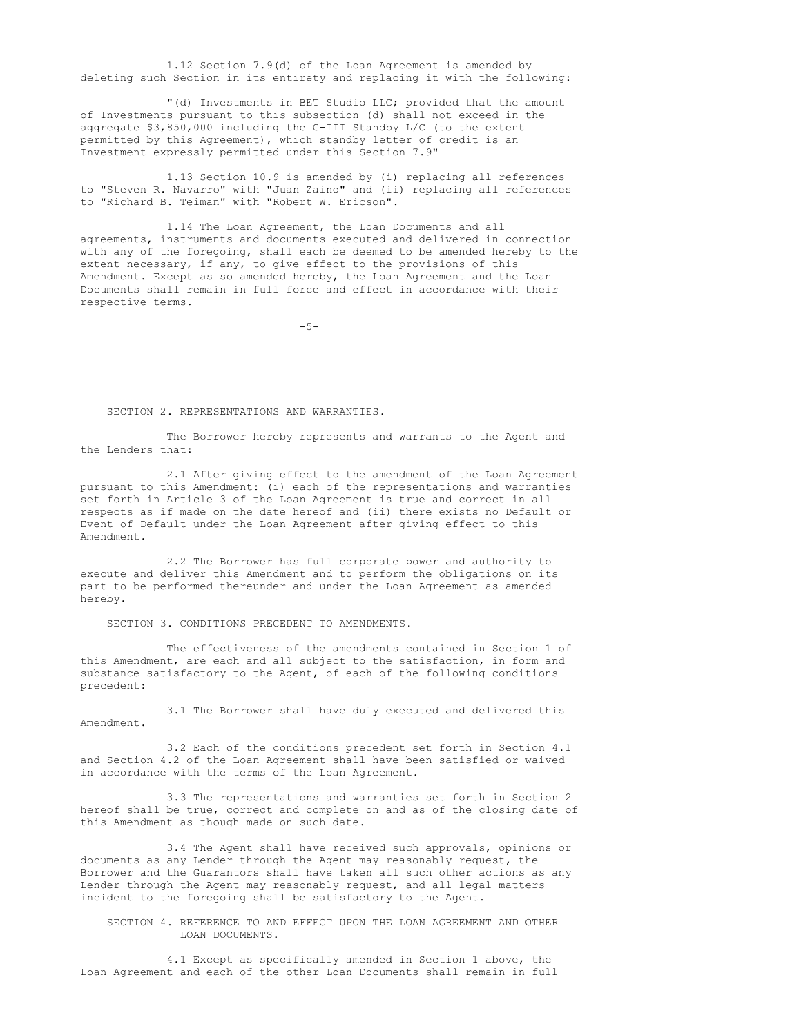1.12 Section 7.9(d) of the Loan Agreement is amended by deleting such Section in its entirety and replacing it with the following:

"(d) Investments in BET Studio LLC; provided that the amount of Investments pursuant to this subsection (d) shall not exceed in the aggregate \$3,850,000 including the G-III Standby L/C (to the extent permitted by this Agreement), which standby letter of credit is an Investment expressly permitted under this Section 7.9"

1.13 Section 10.9 is amended by (i) replacing all references to "Steven R. Navarro" with "Juan Zaino" and (ii) replacing all references to "Richard B. Teiman" with "Robert W. Ericson".

1.14 The Loan Agreement, the Loan Documents and all agreements, instruments and documents executed and delivered in connection with any of the foregoing, shall each be deemed to be amended hereby to the extent necessary, if any, to give effect to the provisions of this Amendment. Except as so amended hereby, the Loan Agreement and the Loan Documents shall remain in full force and effect in accordance with their respective terms.

 $-5-$ 

### SECTION 2. REPRESENTATIONS AND WARRANTIES.

The Borrower hereby represents and warrants to the Agent and the Lenders that:

2.1 After giving effect to the amendment of the Loan Agreement pursuant to this Amendment: (i) each of the representations and warranties set forth in Article 3 of the Loan Agreement is true and correct in all respects as if made on the date hereof and (ii) there exists no Default or Event of Default under the Loan Agreement after giving effect to this Amendment.

2.2 The Borrower has full corporate power and authority to execute and deliver this Amendment and to perform the obligations on its part to be performed thereunder and under the Loan Agreement as amended hereby.

SECTION 3. CONDITIONS PRECEDENT TO AMENDMENTS.

The effectiveness of the amendments contained in Section 1 of this Amendment, are each and all subject to the satisfaction, in form and substance satisfactory to the Agent, of each of the following conditions precedent:

3.1 The Borrower shall have duly executed and delivered this Amendment.

3.2 Each of the conditions precedent set forth in Section 4.1 and Section 4.2 of the Loan Agreement shall have been satisfied or waived in accordance with the terms of the Loan Agreement.

3.3 The representations and warranties set forth in Section 2 hereof shall be true, correct and complete on and as of the closing date of this Amendment as though made on such date.

3.4 The Agent shall have received such approvals, opinions or documents as any Lender through the Agent may reasonably request, the Borrower and the Guarantors shall have taken all such other actions as any Lender through the Agent may reasonably request, and all legal matters incident to the foregoing shall be satisfactory to the Agent.

SECTION 4. REFERENCE TO AND EFFECT UPON THE LOAN AGREEMENT AND OTHER LOAN DOCUMENTS.

4.1 Except as specifically amended in Section 1 above, the Loan Agreement and each of the other Loan Documents shall remain in full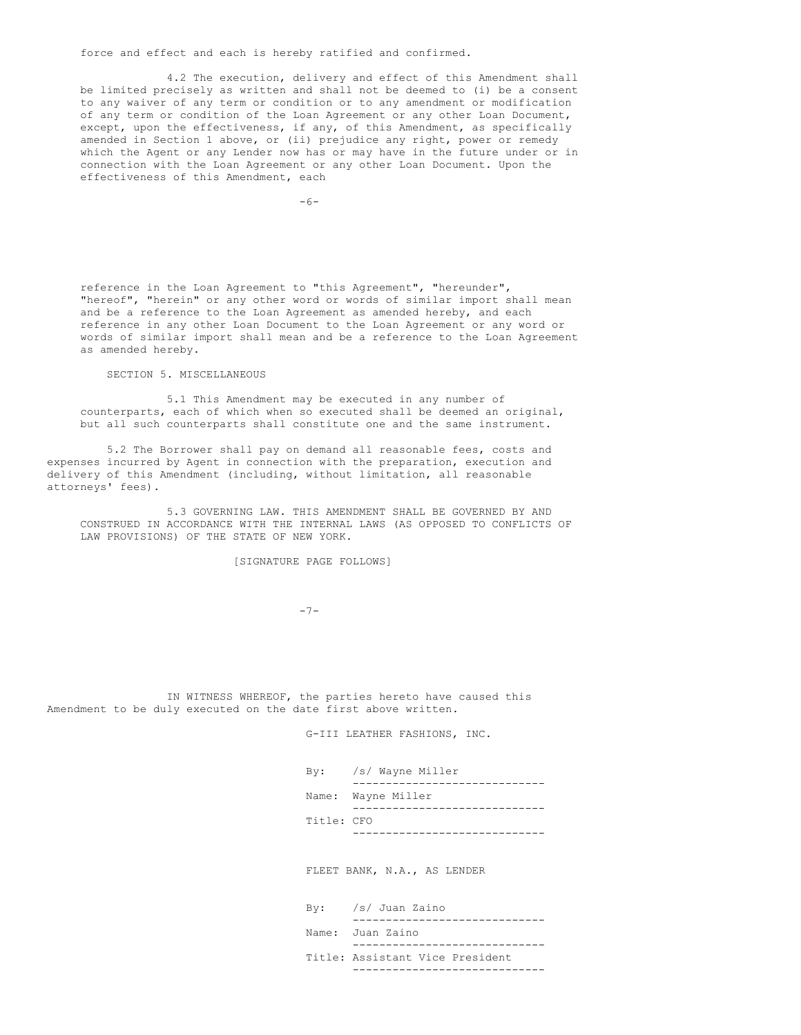force and effect and each is hereby ratified and confirmed.

4.2 The execution, delivery and effect of this Amendment shall be limited precisely as written and shall not be deemed to (i) be a consent to any waiver of any term or condition or to any amendment or modification of any term or condition of the Loan Agreement or any other Loan Document, except, upon the effectiveness, if any, of this Amendment, as specifically amended in Section 1 above, or (ii) prejudice any right, power or remedy which the Agent or any Lender now has or may have in the future under or in connection with the Loan Agreement or any other Loan Document. Upon the effectiveness of this Amendment, each

 $-6-$ 

reference in the Loan Agreement to "this Agreement", "hereunder", "hereof", "herein" or any other word or words of similar import shall mean and be a reference to the Loan Agreement as amended hereby, and each reference in any other Loan Document to the Loan Agreement or any word or words of similar import shall mean and be a reference to the Loan Agreement as amended hereby.

SECTION 5. MISCELLANEOUS

5.1 This Amendment may be executed in any number of counterparts, each of which when so executed shall be deemed an original, but all such counterparts shall constitute one and the same instrument.

5.2 The Borrower shall pay on demand all reasonable fees, costs and expenses incurred by Agent in connection with the preparation, execution and delivery of this Amendment (including, without limitation, all reasonable attorneys' fees).

5.3 GOVERNING LAW. THIS AMENDMENT SHALL BE GOVERNED BY AND CONSTRUED IN ACCORDANCE WITH THE INTERNAL LAWS (AS OPPOSED TO CONFLICTS OF LAW PROVISIONS) OF THE STATE OF NEW YORK.

[SIGNATURE PAGE FOLLOWS]

-7-

IN WITNESS WHEREOF, the parties hereto have caused this Amendment to be duly executed on the date first above written.

G-III LEATHER FASHIONS, INC.

| /s/ Wayne Miller<br>$\mathbf{B}\mathbf{v}$ : |
|----------------------------------------------|
|                                              |
| Name: Wayne Miller                           |
|                                              |
| Title: CFO                                   |
|                                              |
|                                              |

FLEET BANK, N.A., AS LENDER

| $By:$ /s/ Juan Zaino            |
|---------------------------------|
|                                 |
| Name: Juan Zaino                |
|                                 |
| Title: Assistant Vice President |
|                                 |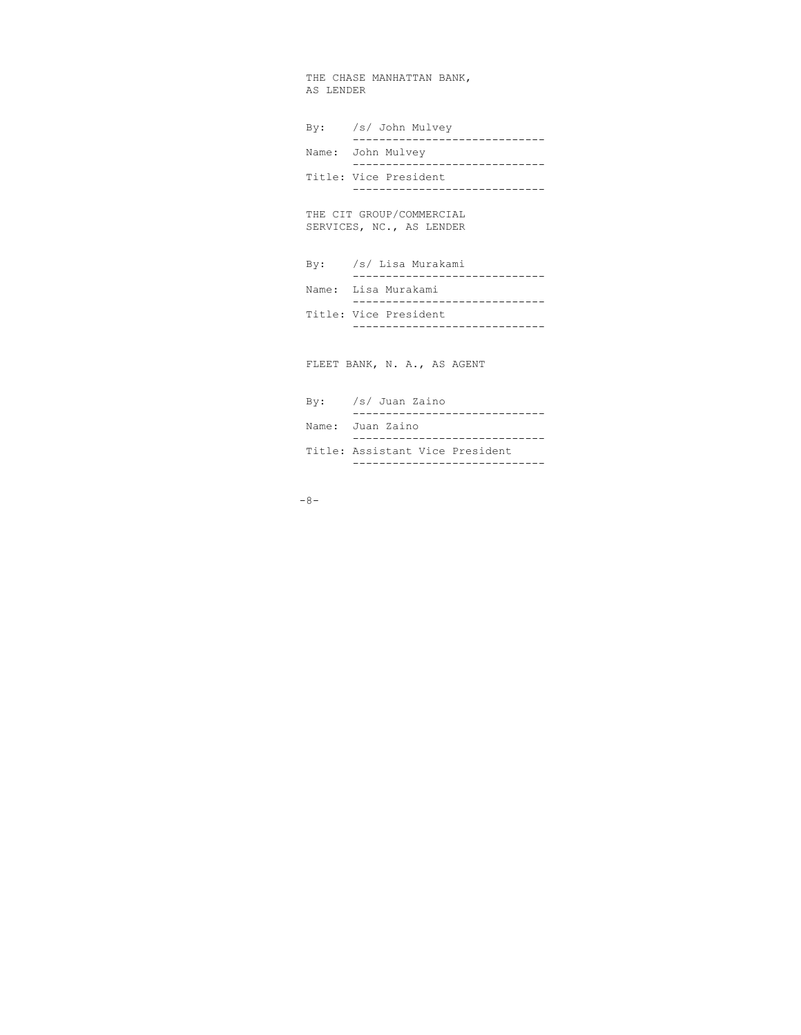THE CHASE MANHATTAN BANK, AS LENDER

| By: /s/ John Mulvey<br>------------------                |
|----------------------------------------------------------|
| Name: John Mulvey                                        |
| Title: Vice President                                    |
| THE CIT GROUP/COMMERCIAL<br>SERVICES, NC., AS LENDER     |
| By: /s/ Lisa Murakami<br>------------------------------- |
| Name: Lisa Murakami<br>------------------                |
| Title: Vice President<br>-----------------               |
| FLEET BANK, N. A., AS AGENT                              |
| By: /s/ Juan Zaino                                       |
| Name: Juan Zaino                                         |

Title: Assistant Vice President

-----------------------------

-8-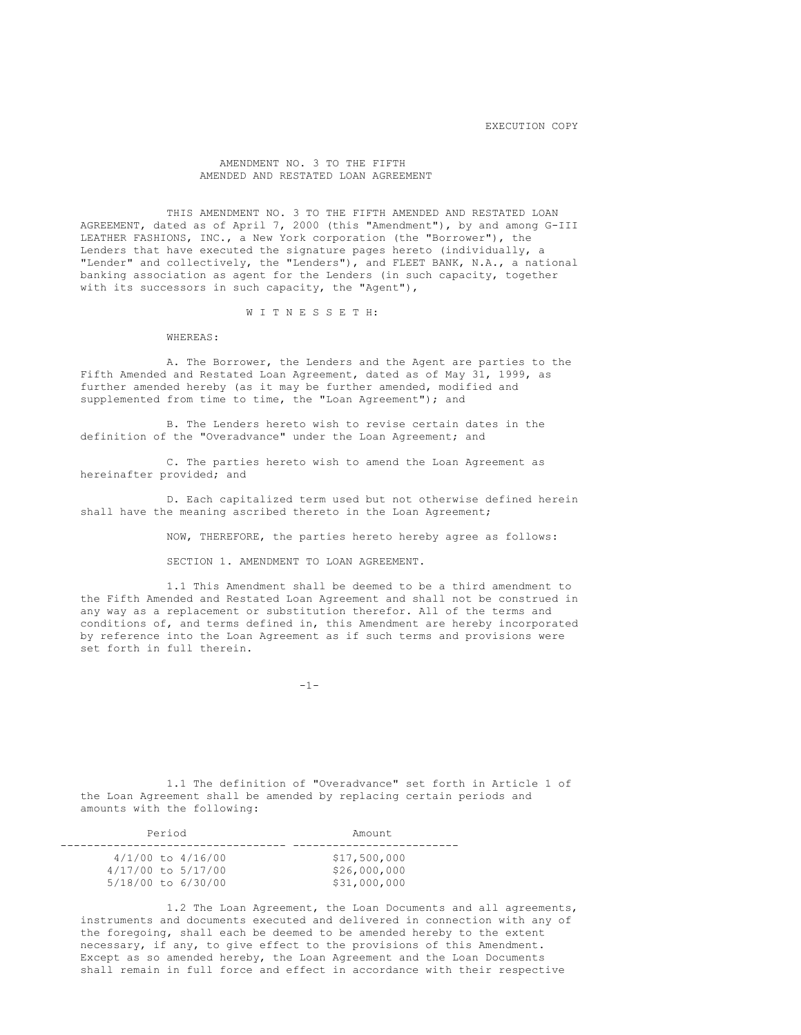EXECUTION COPY

# AMENDMENT NO. 3 TO THE FIFTH AMENDED AND RESTATED LOAN AGREEMENT

THIS AMENDMENT NO. 3 TO THE FIFTH AMENDED AND RESTATED LOAN AGREEMENT, dated as of April 7, 2000 (this "Amendment"), by and among G-III LEATHER FASHIONS, INC., a New York corporation (the "Borrower"), the Lenders that have executed the signature pages hereto (individually, a "Lender" and collectively, the "Lenders"), and FLEET BANK, N.A., a national banking association as agent for the Lenders (in such capacity, together with its successors in such capacity, the "Agent"),

### W I T N E S S E T H:

WHEREAS:

A. The Borrower, the Lenders and the Agent are parties to the Fifth Amended and Restated Loan Agreement, dated as of May 31, 1999, as further amended hereby (as it may be further amended, modified and supplemented from time to time, the "Loan Agreement"); and

B. The Lenders hereto wish to revise certain dates in the definition of the "Overadvance" under the Loan Agreement; and

C. The parties hereto wish to amend the Loan Agreement as hereinafter provided; and

D. Each capitalized term used but not otherwise defined herein shall have the meaning ascribed thereto in the Loan Agreement;

NOW, THEREFORE, the parties hereto hereby agree as follows:

SECTION 1. AMENDMENT TO LOAN AGREEMENT.

1.1 This Amendment shall be deemed to be a third amendment to the Fifth Amended and Restated Loan Agreement and shall not be construed in any way as a replacement or substitution therefor. All of the terms and conditions of, and terms defined in, this Amendment are hereby incorporated by reference into the Loan Agreement as if such terms and provisions were set forth in full therein.

-1-

1.1 The definition of "Overadvance" set forth in Article 1 of the Loan Agreement shall be amended by replacing certain periods and amounts with the following:

| Period                | Amount.      |
|-----------------------|--------------|
| $4/1/00$ to $4/16/00$ | \$17,500,000 |
| 4/17/00 to 5/17/00    | \$26,000,000 |
| 5/18/00 to 6/30/00    | \$31,000,000 |

1.2 The Loan Agreement, the Loan Documents and all agreements, instruments and documents executed and delivered in connection with any of the foregoing, shall each be deemed to be amended hereby to the extent necessary, if any, to give effect to the provisions of this Amendment. Except as so amended hereby, the Loan Agreement and the Loan Documents shall remain in full force and effect in accordance with their respective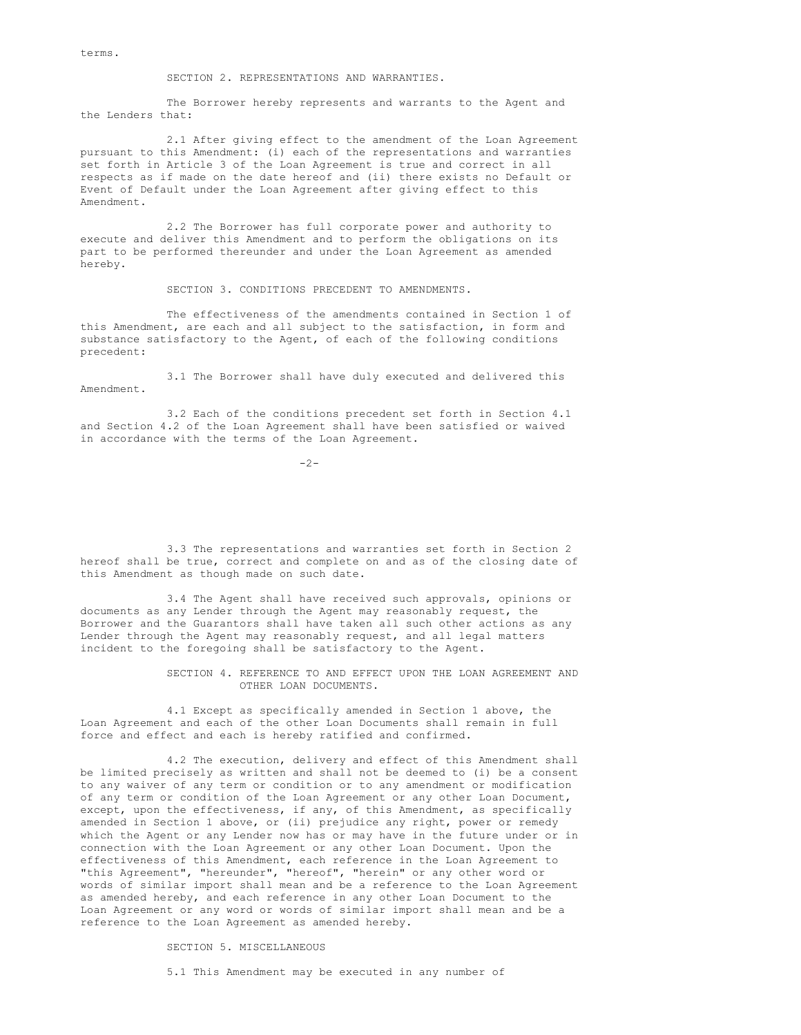terms.

SECTION 2. REPRESENTATIONS AND WARRANTIES.

The Borrower hereby represents and warrants to the Agent and the Lenders that:

2.1 After giving effect to the amendment of the Loan Agreement pursuant to this Amendment: (i) each of the representations and warranties set forth in Article 3 of the Loan Agreement is true and correct in all respects as if made on the date hereof and (ii) there exists no Default or Event of Default under the Loan Agreement after giving effect to this Amendment.

2.2 The Borrower has full corporate power and authority to execute and deliver this Amendment and to perform the obligations on its part to be performed thereunder and under the Loan Agreement as amended hereby.

SECTION 3. CONDITIONS PRECEDENT TO AMENDMENTS.

The effectiveness of the amendments contained in Section 1 of this Amendment, are each and all subject to the satisfaction, in form and substance satisfactory to the Agent, of each of the following conditions precedent:

3.1 The Borrower shall have duly executed and delivered this Amendment.

3.2 Each of the conditions precedent set forth in Section 4.1 and Section 4.2 of the Loan Agreement shall have been satisfied or waived in accordance with the terms of the Loan Agreement.

 $-2-$ 

3.3 The representations and warranties set forth in Section 2 hereof shall be true, correct and complete on and as of the closing date of this Amendment as though made on such date.

3.4 The Agent shall have received such approvals, opinions or documents as any Lender through the Agent may reasonably request, the Borrower and the Guarantors shall have taken all such other actions as any Lender through the Agent may reasonably request, and all legal matters incident to the foregoing shall be satisfactory to the Agent.

> SECTION 4. REFERENCE TO AND EFFECT UPON THE LOAN AGREEMENT AND OTHER LOAN DOCUMENTS.

4.1 Except as specifically amended in Section 1 above, the Loan Agreement and each of the other Loan Documents shall remain in full force and effect and each is hereby ratified and confirmed.

4.2 The execution, delivery and effect of this Amendment shall be limited precisely as written and shall not be deemed to (i) be a consent to any waiver of any term or condition or to any amendment or modification of any term or condition of the Loan Agreement or any other Loan Document, except, upon the effectiveness, if any, of this Amendment, as specifically amended in Section 1 above, or (ii) prejudice any right, power or remedy which the Agent or any Lender now has or may have in the future under or in connection with the Loan Agreement or any other Loan Document. Upon the effectiveness of this Amendment, each reference in the Loan Agreement to "this Agreement", "hereunder", "hereof", "herein" or any other word or words of similar import shall mean and be a reference to the Loan Agreement as amended hereby, and each reference in any other Loan Document to the Loan Agreement or any word or words of similar import shall mean and be a reference to the Loan Agreement as amended hereby.

SECTION 5. MISCELLANEOUS

5.1 This Amendment may be executed in any number of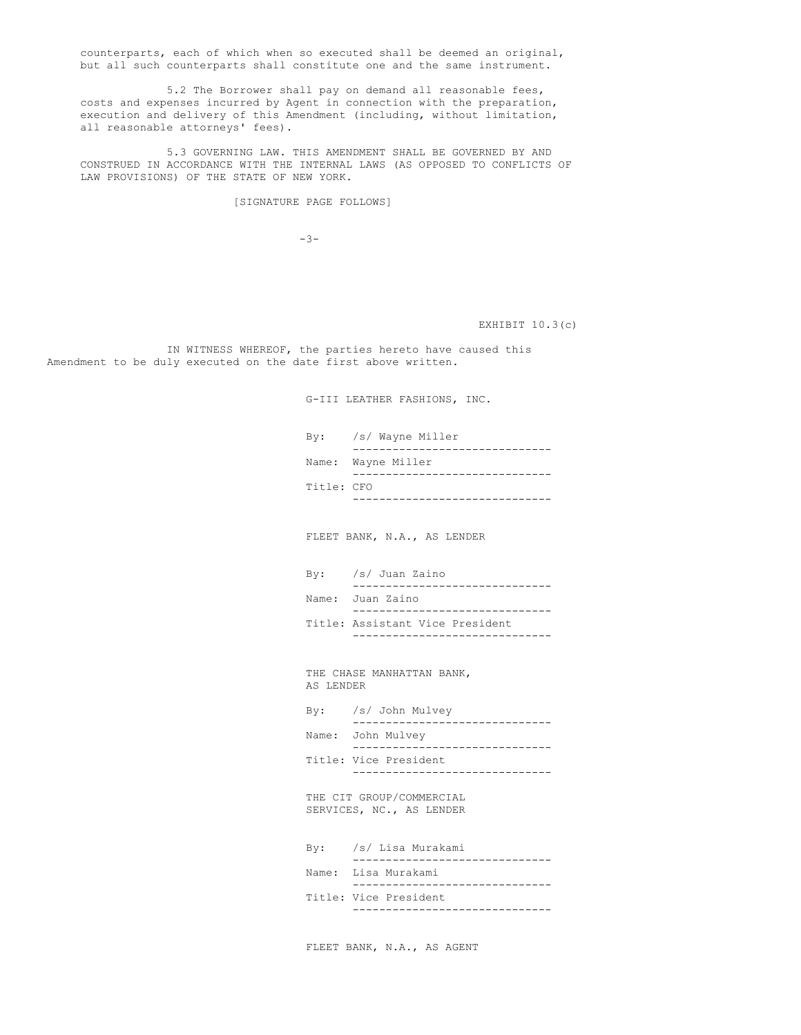counterparts, each of which when so executed shall be deemed an original, but all such counterparts shall constitute one and the same instrument.

5.2 The Borrower shall pay on demand all reasonable fees, costs and expenses incurred by Agent in connection with the preparation, execution and delivery of this Amendment (including, without limitation, all reasonable attorneys' fees).

5.3 GOVERNING LAW. THIS AMENDMENT SHALL BE GOVERNED BY AND CONSTRUED IN ACCORDANCE WITH THE INTERNAL LAWS (AS OPPOSED TO CONFLICTS OF LAW PROVISIONS) OF THE STATE OF NEW YORK.

[SIGNATURE PAGE FOLLOWS]

 $-3-$ 

EXHIBIT 10.3(c)

IN WITNESS WHEREOF, the parties hereto have caused this Amendment to be duly executed on the date first above written.

G-III LEATHER FASHIONS, INC.

|            | By: /s/ Wayne Miller |
|------------|----------------------|
|            |                      |
|            | Name: Wayne Miller   |
|            |                      |
| Title: CFO |                      |
|            |                      |

FLEET BANK, N.A., AS LENDER

| $By:$ /s/ Juan Zaino            |
|---------------------------------|
|                                 |
| Name: Juan Zaino                |
|                                 |
| Title: Assistant Vice President |
|                                 |

THE CHASE MANHATTAN BANK, AS LENDER

| $\mathbf{B}\mathbf{v}$ : | /s/ John Mulvey       |
|--------------------------|-----------------------|
|                          |                       |
|                          | Name: John Mulvey     |
|                          | Title: Vice President |
|                          |                       |

THE CIT GROUP/COMMERCIAL SERVICES, NC., AS LENDER

| By: /s/ Lisa Murakami |
|-----------------------|
|                       |
| Name: Lisa Murakami   |
|                       |
| Title: Vice President |
|                       |

FLEET BANK, N.A., AS AGENT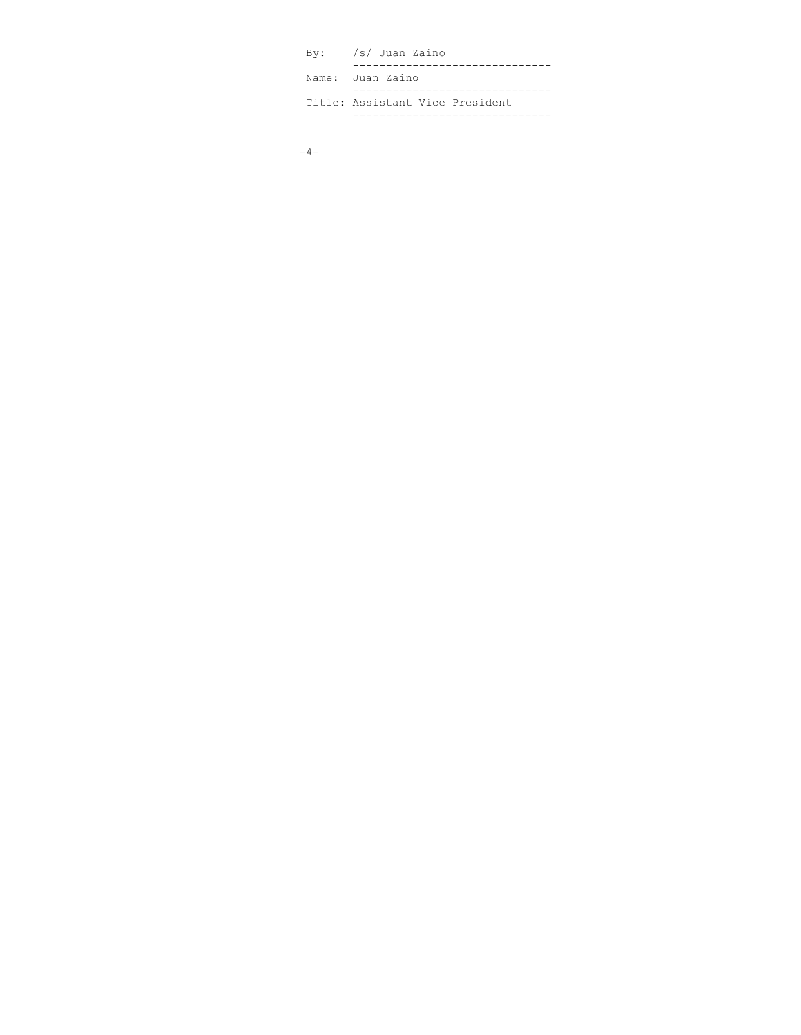| By: /s/ Juan Zaino              |
|---------------------------------|
| Name: Juan Zaino                |
|                                 |
| Title: Assistant Vice President |
|                                 |

```
-4-
```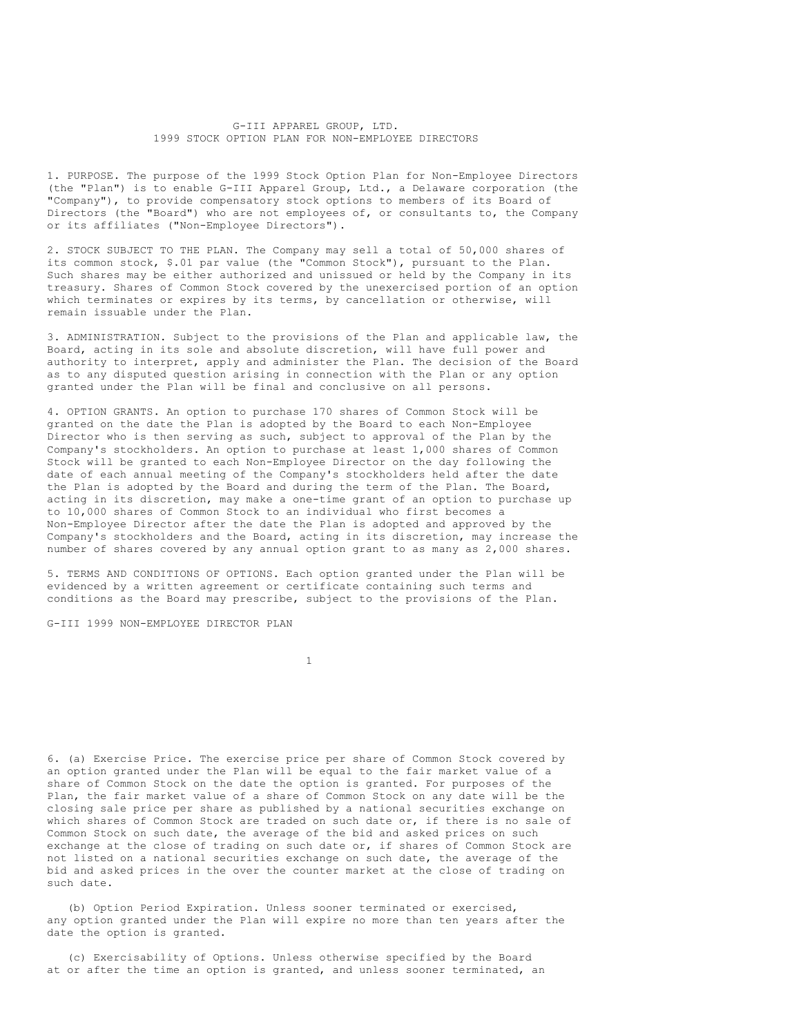G-III APPAREL GROUP, LTD. 1999 STOCK OPTION PLAN FOR NON-EMPLOYEE DIRECTORS

1. PURPOSE. The purpose of the 1999 Stock Option Plan for Non-Employee Directors (the "Plan") is to enable G-III Apparel Group, Ltd., a Delaware corporation (the "Company"), to provide compensatory stock options to members of its Board of Directors (the "Board") who are not employees of, or consultants to, the Company or its affiliates ("Non-Employee Directors").

2. STOCK SUBJECT TO THE PLAN. The Company may sell a total of 50,000 shares of its common stock, \$.01 par value (the "Common Stock"), pursuant to the Plan. Such shares may be either authorized and unissued or held by the Company in its treasury. Shares of Common Stock covered by the unexercised portion of an option which terminates or expires by its terms, by cancellation or otherwise, will remain issuable under the Plan.

3. ADMINISTRATION. Subject to the provisions of the Plan and applicable law, the Board, acting in its sole and absolute discretion, will have full power and authority to interpret, apply and administer the Plan. The decision of the Board as to any disputed question arising in connection with the Plan or any option granted under the Plan will be final and conclusive on all persons.

4. OPTION GRANTS. An option to purchase 170 shares of Common Stock will be granted on the date the Plan is adopted by the Board to each Non-Employee Director who is then serving as such, subject to approval of the Plan by the Company's stockholders. An option to purchase at least 1,000 shares of Common Stock will be granted to each Non-Employee Director on the day following the date of each annual meeting of the Company's stockholders held after the date the Plan is adopted by the Board and during the term of the Plan. The Board, acting in its discretion, may make a one-time grant of an option to purchase up to 10,000 shares of Common Stock to an individual who first becomes a Non-Employee Director after the date the Plan is adopted and approved by the Company's stockholders and the Board, acting in its discretion, may increase the number of shares covered by any annual option grant to as many as 2,000 shares.

5. TERMS AND CONDITIONS OF OPTIONS. Each option granted under the Plan will be evidenced by a written agreement or certificate containing such terms and conditions as the Board may prescribe, subject to the provisions of the Plan.

G-III 1999 NON-EMPLOYEE DIRECTOR PLAN

1

6. (a) Exercise Price. The exercise price per share of Common Stock covered by an option granted under the Plan will be equal to the fair market value of a share of Common Stock on the date the option is granted. For purposes of the Plan, the fair market value of a share of Common Stock on any date will be the closing sale price per share as published by a national securities exchange on which shares of Common Stock are traded on such date or, if there is no sale of Common Stock on such date, the average of the bid and asked prices on such exchange at the close of trading on such date or, if shares of Common Stock are not listed on a national securities exchange on such date, the average of the bid and asked prices in the over the counter market at the close of trading on such date.

(b) Option Period Expiration. Unless sooner terminated or exercised, any option granted under the Plan will expire no more than ten years after the date the option is granted.

(c) Exercisability of Options. Unless otherwise specified by the Board at or after the time an option is granted, and unless sooner terminated, an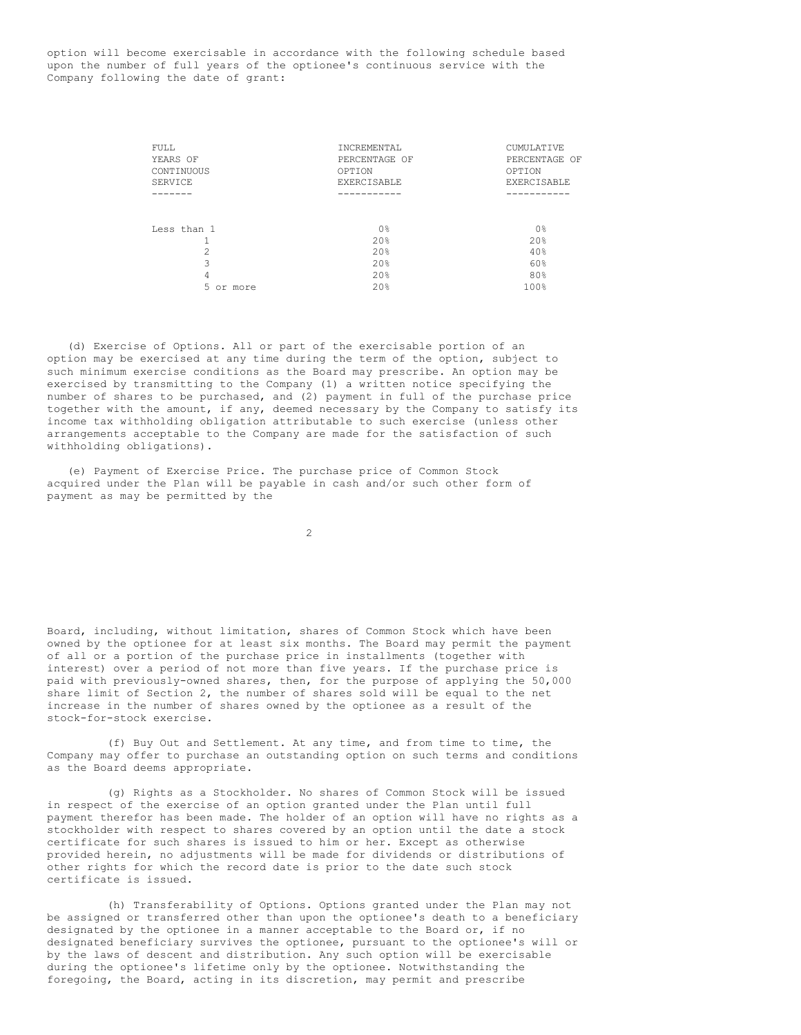option will become exercisable in accordance with the following schedule based upon the number of full years of the optionee's continuous service with the Company following the date of grant:

| FULL<br>YEARS OF<br>CONTINUOUS<br><b>SERVICE</b> | <b>INCREMENTAL</b><br>PERCENTAGE OF<br>OPTION<br><b>EXERCISABLE</b> | CUMULATIVE<br>PERCENTAGE OF<br>OPTION<br><b>EXERCISABLE</b> |
|--------------------------------------------------|---------------------------------------------------------------------|-------------------------------------------------------------|
|                                                  |                                                                     |                                                             |
|                                                  |                                                                     |                                                             |
| Less than 1                                      | 0 <sup>°</sup>                                                      | 0 <sup>°</sup>                                              |
|                                                  | 20%                                                                 | 20%                                                         |
| 2                                                | 20%                                                                 | 40%                                                         |
| 3                                                | 2.0%                                                                | 60%                                                         |
| 4                                                | 2.0%                                                                | 80%                                                         |
| 5.<br>or more                                    | 20%                                                                 | 100%                                                        |
|                                                  |                                                                     |                                                             |

(d) Exercise of Options. All or part of the exercisable portion of an option may be exercised at any time during the term of the option, subject to such minimum exercise conditions as the Board may prescribe. An option may be exercised by transmitting to the Company (1) a written notice specifying the number of shares to be purchased, and (2) payment in full of the purchase price together with the amount, if any, deemed necessary by the Company to satisfy its income tax withholding obligation attributable to such exercise (unless other arrangements acceptable to the Company are made for the satisfaction of such withholding obligations).

(e) Payment of Exercise Price. The purchase price of Common Stock acquired under the Plan will be payable in cash and/or such other form of payment as may be permitted by the

2

Board, including, without limitation, shares of Common Stock which have been owned by the optionee for at least six months. The Board may permit the payment of all or a portion of the purchase price in installments (together with interest) over a period of not more than five years. If the purchase price is paid with previously-owned shares, then, for the purpose of applying the 50,000 share limit of Section 2, the number of shares sold will be equal to the net increase in the number of shares owned by the optionee as a result of the stock-for-stock exercise.

(f) Buy Out and Settlement. At any time, and from time to time, the Company may offer to purchase an outstanding option on such terms and conditions as the Board deems appropriate.

(g) Rights as a Stockholder. No shares of Common Stock will be issued in respect of the exercise of an option granted under the Plan until full payment therefor has been made. The holder of an option will have no rights as a stockholder with respect to shares covered by an option until the date a stock certificate for such shares is issued to him or her. Except as otherwise provided herein, no adjustments will be made for dividends or distributions of other rights for which the record date is prior to the date such stock certificate is issued.

(h) Transferability of Options. Options granted under the Plan may not be assigned or transferred other than upon the optionee's death to a beneficiary designated by the optionee in a manner acceptable to the Board or, if no designated beneficiary survives the optionee, pursuant to the optionee's will or by the laws of descent and distribution. Any such option will be exercisable during the optionee's lifetime only by the optionee. Notwithstanding the foregoing, the Board, acting in its discretion, may permit and prescribe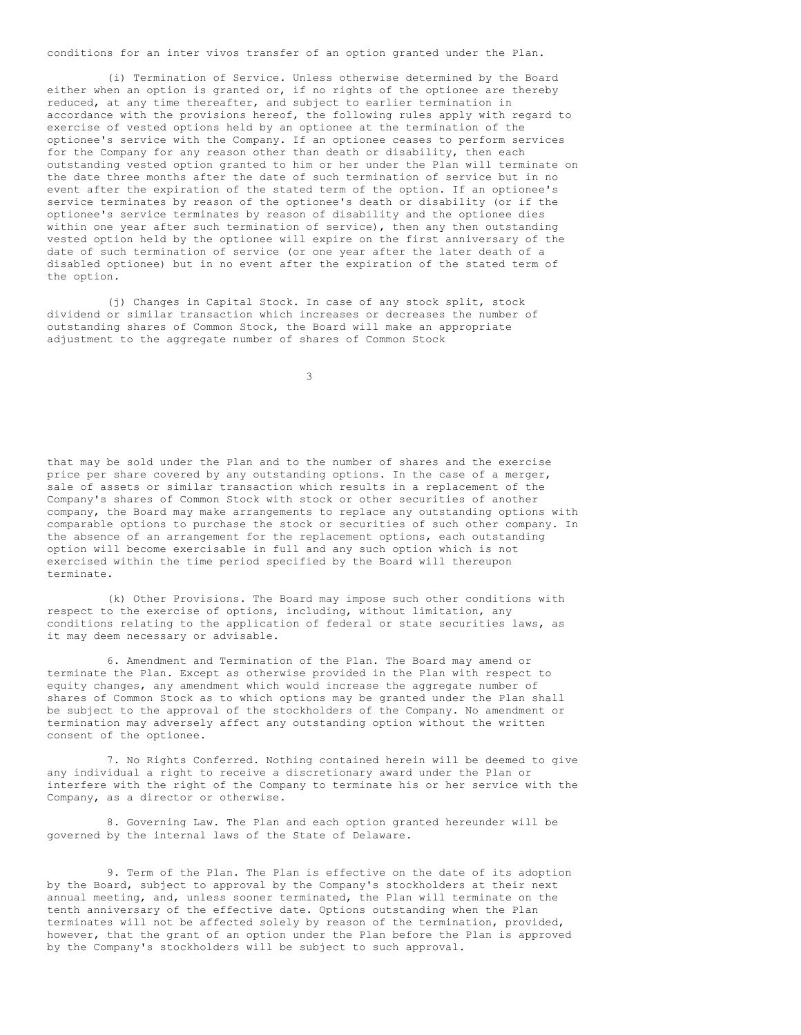conditions for an inter vivos transfer of an option granted under the Plan.

(i) Termination of Service. Unless otherwise determined by the Board either when an option is granted or, if no rights of the optionee are thereby reduced, at any time thereafter, and subject to earlier termination in accordance with the provisions hereof, the following rules apply with regard to exercise of vested options held by an optionee at the termination of the optionee's service with the Company. If an optionee ceases to perform services for the Company for any reason other than death or disability, then each outstanding vested option granted to him or her under the Plan will terminate on the date three months after the date of such termination of service but in no event after the expiration of the stated term of the option. If an optionee's service terminates by reason of the optionee's death or disability (or if the optionee's service terminates by reason of disability and the optionee dies within one year after such termination of service), then any then outstanding vested option held by the optionee will expire on the first anniversary of the date of such termination of service (or one year after the later death of a disabled optionee) but in no event after the expiration of the stated term of the option.

(j) Changes in Capital Stock. In case of any stock split, stock dividend or similar transaction which increases or decreases the number of outstanding shares of Common Stock, the Board will make an appropriate adjustment to the aggregate number of shares of Common Stock

3

that may be sold under the Plan and to the number of shares and the exercise price per share covered by any outstanding options. In the case of a merger, sale of assets or similar transaction which results in a replacement of the Company's shares of Common Stock with stock or other securities of another company, the Board may make arrangements to replace any outstanding options with comparable options to purchase the stock or securities of such other company. In the absence of an arrangement for the replacement options, each outstanding option will become exercisable in full and any such option which is not exercised within the time period specified by the Board will thereupon terminate.

(k) Other Provisions. The Board may impose such other conditions with respect to the exercise of options, including, without limitation, any conditions relating to the application of federal or state securities laws, as it may deem necessary or advisable.

6. Amendment and Termination of the Plan. The Board may amend or terminate the Plan. Except as otherwise provided in the Plan with respect to equity changes, any amendment which would increase the aggregate number of shares of Common Stock as to which options may be granted under the Plan shall be subject to the approval of the stockholders of the Company. No amendment or termination may adversely affect any outstanding option without the written consent of the optionee.

7. No Rights Conferred. Nothing contained herein will be deemed to give any individual a right to receive a discretionary award under the Plan or interfere with the right of the Company to terminate his or her service with the Company, as a director or otherwise.

8. Governing Law. The Plan and each option granted hereunder will be governed by the internal laws of the State of Delaware.

9. Term of the Plan. The Plan is effective on the date of its adoption by the Board, subject to approval by the Company's stockholders at their next annual meeting, and, unless sooner terminated, the Plan will terminate on the tenth anniversary of the effective date. Options outstanding when the Plan terminates will not be affected solely by reason of the termination, provided, however, that the grant of an option under the Plan before the Plan is approved by the Company's stockholders will be subject to such approval.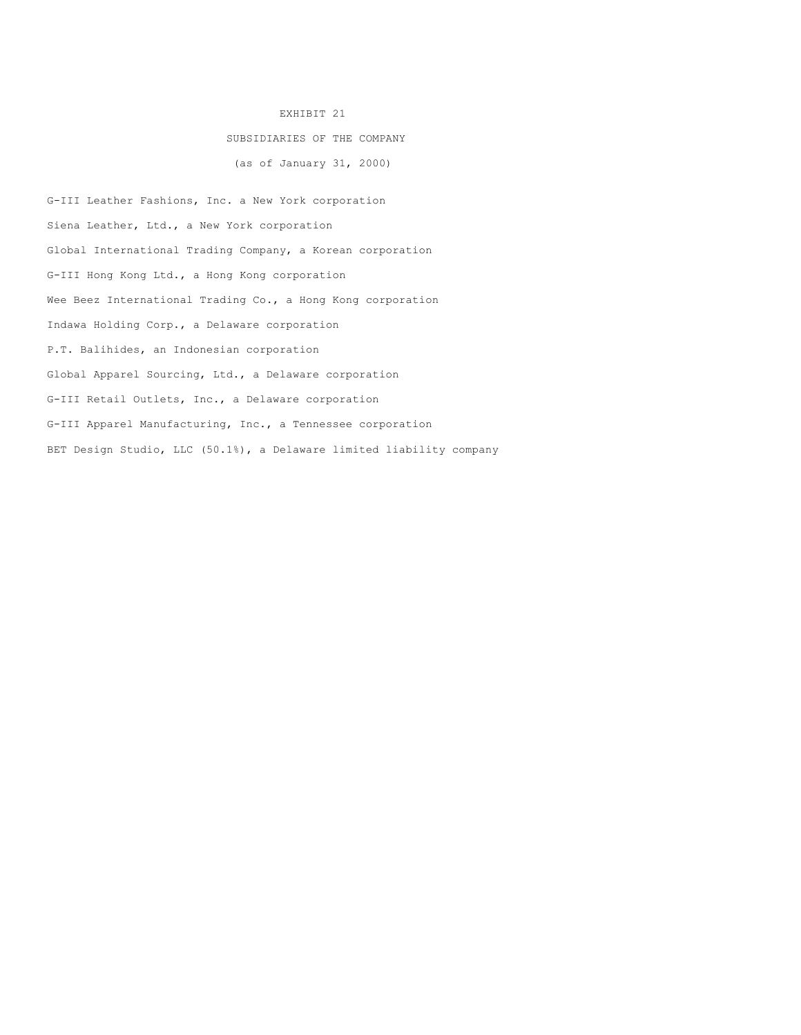### EXHIBIT 21

# SUBSIDIARIES OF THE COMPANY

(as of January 31, 2000)

G-III Leather Fashions, Inc. a New York corporation Siena Leather, Ltd., a New York corporation Global International Trading Company, a Korean corporation G-III Hong Kong Ltd., a Hong Kong corporation Wee Beez International Trading Co., a Hong Kong corporation Indawa Holding Corp., a Delaware corporation P.T. Balihides, an Indonesian corporation Global Apparel Sourcing, Ltd., a Delaware corporation G-III Retail Outlets, Inc., a Delaware corporation G-III Apparel Manufacturing, Inc., a Tennessee corporation BET Design Studio, LLC (50.1%), a Delaware limited liability company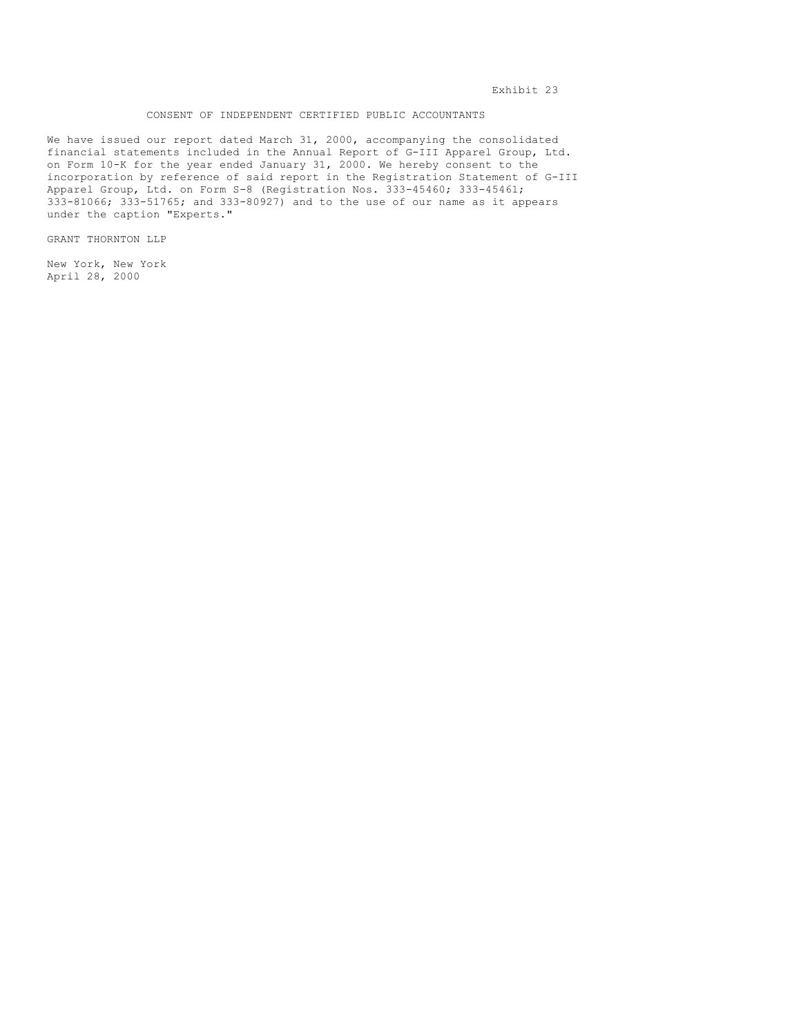# CONSENT OF INDEPENDENT CERTIFIED PUBLIC ACCOUNTANTS

We have issued our report dated March 31, 2000, accompanying the consolidated financial statements included in the Annual Report of G-III Apparel Group, Ltd. on Form 10-K for the year ended January 31, 2000. We hereby consent to the incorporation by reference of said report in the Registration Statement of G-III Apparel Group, Ltd. on Form S-8 (Registration Nos. 333-45460; 333-45461; 333-81066; 333-51765; and 333-80927) and to the use of our name as it appears under the caption "Experts."

GRANT THORNTON LLP

New York, New York April 28, 2000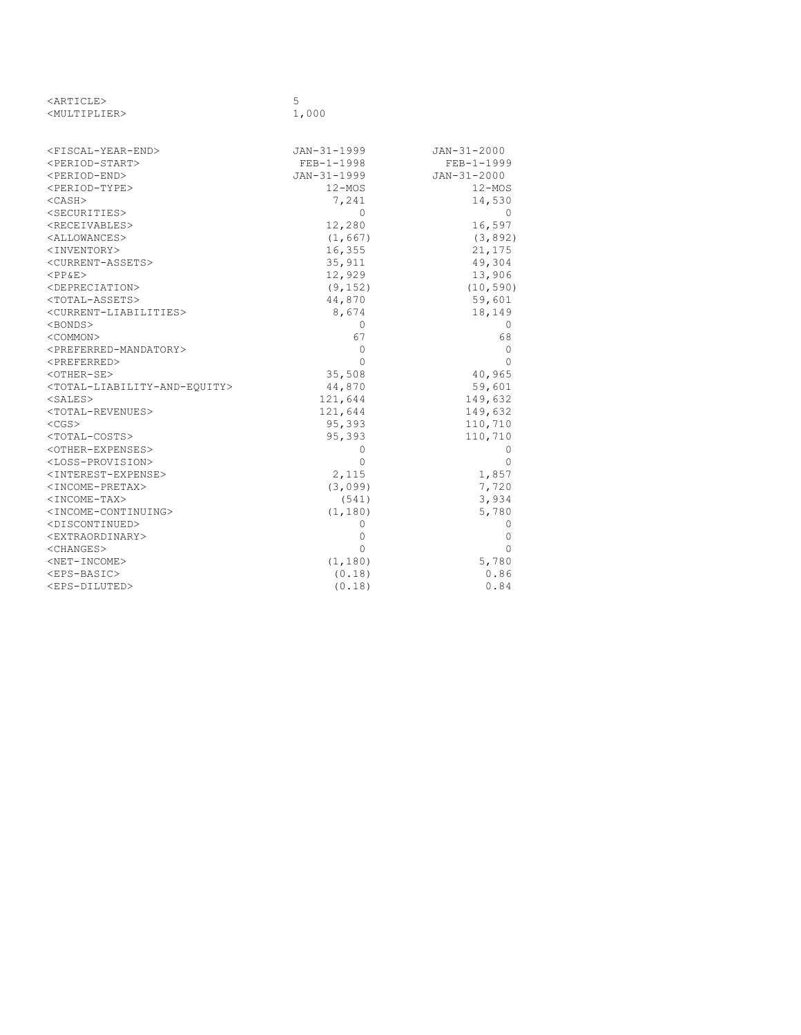| <article></article>                                       | 5            |              |
|-----------------------------------------------------------|--------------|--------------|
| <multiplier></multiplier>                                 | 1,000        |              |
|                                                           |              |              |
| <fiscal-year-end></fiscal-year-end>                       | JAN-31-1999  | JAN-31-2000  |
| <period-start></period-start>                             | $FEB-1-1998$ | $FEB-1-1999$ |
| <period-end></period-end>                                 | JAN-31-1999  | JAN-31-2000  |
| <period-type></period-type>                               | $12 - MOS$   | $12 - MOS$   |
| $<$ CASH $>$                                              | 7,241        | 14,530       |
| <securities></securities>                                 | 0            | 0            |
| <receivables></receivables>                               | 12,280       | 16,597       |
| <allowances></allowances>                                 | (1, 667)     | (3, 892)     |
| <inventory></inventory>                                   | 16,355       | 21,175       |
| <current-assets></current-assets>                         | 35,911       | 49,304       |
| $<$ PP&E>                                                 | 12,929       | 13,906       |
| <depreciation></depreciation>                             | (9, 152)     | (10, 590)    |
| <total-assets></total-assets>                             | 44,870       | 59,601       |
| <current-liabilities></current-liabilities>               | 8,674        | 18,149       |
| <bonds></bonds>                                           | $\Omega$     | 0            |
| <common></common>                                         | 67           | 68           |
| <preferred-mandatory></preferred-mandatory>               | $\Omega$     | 0            |
| <preferred></preferred>                                   | $\Omega$     | 0            |
| <other-se></other-se>                                     | 35,508       | 40,965       |
| <total-liability-and-equity></total-liability-and-equity> | 44,870       | 59,601       |
| $<$ SALES $>$                                             | 121,644      | 149,632      |
| <total-revenues></total-revenues>                         | 121,644      | 149,632      |
| $<$ CGS $>$                                               | 95,393       | 110,710      |
| <total-costs></total-costs>                               | 95,393       | 110,710      |
| <other-expenses></other-expenses>                         | $\Omega$     | $\bigcirc$   |
| <loss-provision></loss-provision>                         | $\Omega$     | $\Omega$     |
| <interest-expense></interest-expense>                     | 2,115        | 1,857        |
| <income-pretax></income-pretax>                           | (3,099)      | 7,720        |
| $<$ INCOME-TAX>                                           | (541)        | 3,934        |
| <income-continuing></income-continuing>                   | (1, 180)     | 5,780        |
| <discontinued></discontinued>                             | 0            | 0            |
| <extraordinary></extraordinary>                           | $\Omega$     | 0            |
| <changes></changes>                                       | $\Omega$     | $\Omega$     |
| $<$ NET-INCOME>                                           | (1, 180)     | 5,780        |
| $<$ EPS-BASIC>                                            | (0.18)       | 0.86         |
| <eps-diluted></eps-diluted>                               | (0.18)       | 0.84         |